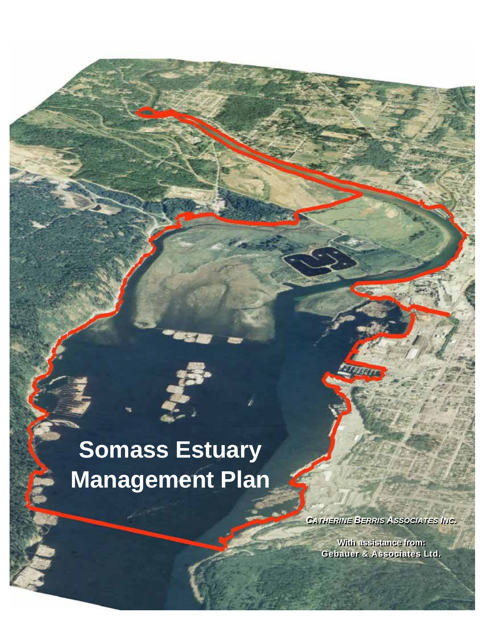# **Somass Estuary Management Plan**

į ì

*CATHERINE BERRIS ASSOCIATES INC. CATHERINE BERRIS ASSOCIATES INC.* 

**With assistance from: With assistance from: Gebauer & Associates Ltd. Gebauer & Associates Ltd.**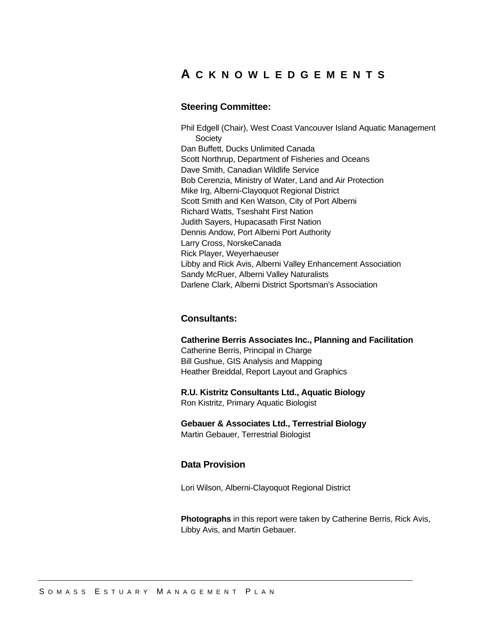# **A CKNOWLEDGEMENTS**

#### **Steering Committee:**

Phil Edgell (Chair), West Coast Vancouver Island Aquatic Management **Society** Dan Buffett, Ducks Unlimited Canada Scott Northrup, Department of Fisheries and Oceans Dave Smith, Canadian Wildlife Service Bob Cerenzia, Ministry of Water, Land and Air Protection Mike Irg, Alberni-Clayoquot Regional District Scott Smith and Ken Watson, City of Port Alberni Richard Watts, Tseshaht First Nation Judith Sayers, Hupacasath First Nation Dennis Andow, Port Alberni Port Authority Larry Cross, NorskeCanada Rick Player, Weyerhaeuser Libby and Rick Avis, Alberni Valley Enhancement Association Sandy McRuer, Alberni Valley Naturalists Darlene Clark, Alberni District Sportsman's Association

# **Consultants:**

#### **Catherine Berris Associates Inc., Planning and Facilitation**

Catherine Berris, Principal in Charge Bill Gushue, GIS Analysis and Mapping Heather Breiddal, Report Layout and Graphics

**R.U. Kistritz Consultants Ltd., Aquatic Biology**  Ron Kistritz, Primary Aquatic Biologist

**Gebauer & Associates Ltd., Terrestrial Biology**  Martin Gebauer, Terrestrial Biologist

#### **Data Provision**

Lori Wilson, Alberni-Clayoquot Regional District

**Photographs** in this report were taken by Catherine Berris, Rick Avis, Libby Avis, and Martin Gebauer.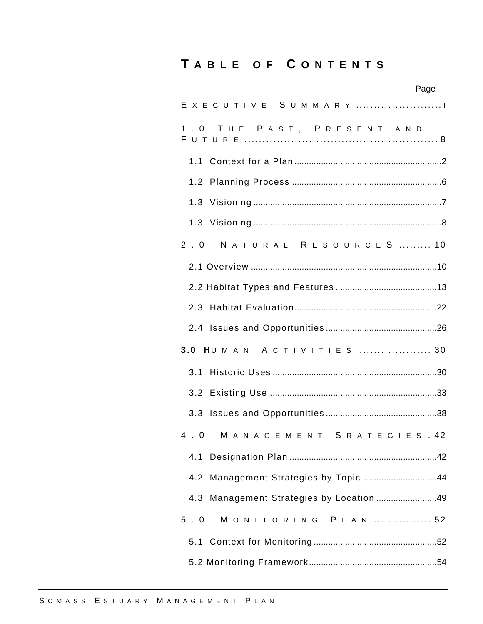# **T ABLE OF C ONTENTS**

|                                          | Page |
|------------------------------------------|------|
| E X E C U T I V E S U M M A R Y          |      |
| 1.0 THE PAST, PRESENT AND                |      |
|                                          |      |
|                                          |      |
|                                          |      |
|                                          |      |
| NATURAL RESOURCES  10<br>2.0             |      |
|                                          |      |
|                                          |      |
|                                          |      |
|                                          |      |
| 3.0 HUMAN ACTIVITIES  30                 |      |
|                                          |      |
|                                          |      |
|                                          |      |
| 4.0 MANAGEMENT SRATEGIES.42              |      |
|                                          |      |
| 4.2 Management Strategies by Topic44     |      |
| 4.3 Management Strategies by Location 49 |      |
| 5.0<br>MONITORING PLAN  52               |      |
|                                          |      |
|                                          |      |
|                                          |      |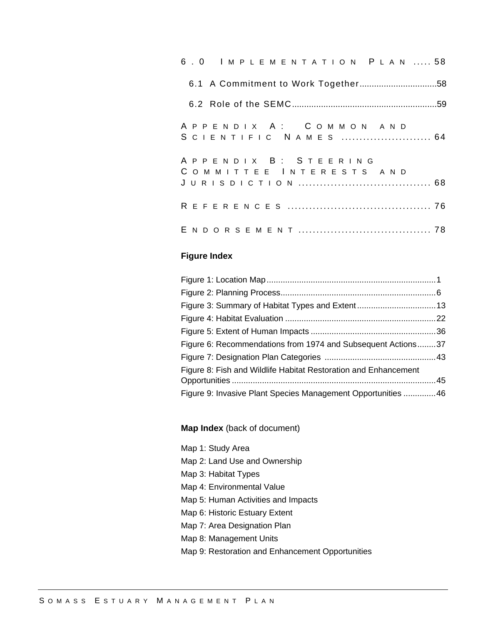|  |  |  |  |  |  |  |  |                                                 |  | 6.0 IMPLEMENTATION PLAN  58 |  |
|--|--|--|--|--|--|--|--|-------------------------------------------------|--|-----------------------------|--|
|  |  |  |  |  |  |  |  |                                                 |  |                             |  |
|  |  |  |  |  |  |  |  |                                                 |  |                             |  |
|  |  |  |  |  |  |  |  | APPENDIX A: COMMON AND                          |  | SCIENTIFIC NAMES  64        |  |
|  |  |  |  |  |  |  |  | APPENDIX B: STEERING<br>COMMITTEE INTERESTS AND |  |                             |  |
|  |  |  |  |  |  |  |  |                                                 |  |                             |  |
|  |  |  |  |  |  |  |  |                                                 |  |                             |  |

# **Figure Index**

| Figure 6: Recommendations from 1974 and Subsequent Actions37    |  |
|-----------------------------------------------------------------|--|
|                                                                 |  |
| Figure 8: Fish and Wildlife Habitat Restoration and Enhancement |  |
|                                                                 |  |
| Figure 9: Invasive Plant Species Management Opportunities  46   |  |

#### **Map Index** (back of document)

Map 1: Study Area Map 2: Land Use and Ownership Map 3: Habitat Types Map 4: Environmental Value Map 5: Human Activities and Impacts Map 6: Historic Estuary Extent Map 7: Area Designation Plan Map 8: Management Units Map 9: Restoration and Enhancement Opportunities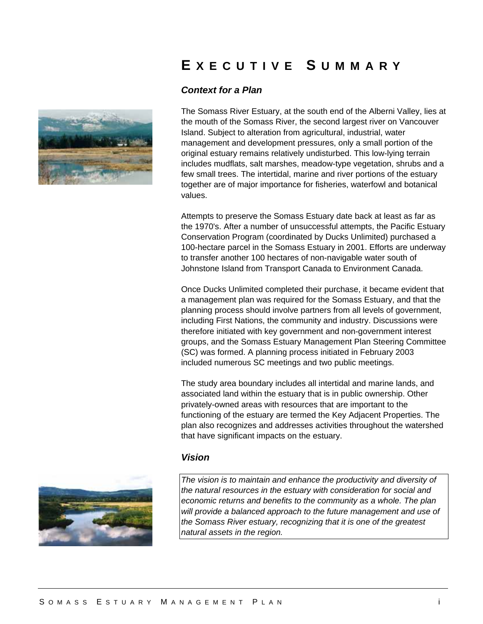

# **E XECUTIVE S UMMARY**

# *Context for a Plan*

The Somass River Estuary, at the south end of the Alberni Valley, lies at the mouth of the Somass River, the second largest river on Vancouver Island. Subject to alteration from agricultural, industrial, water management and development pressures, only a small portion of the original estuary remains relatively undisturbed. This low-lying terrain includes mudflats, salt marshes, meadow-type vegetation, shrubs and a few small trees. The intertidal, marine and river portions of the estuary together are of major importance for fisheries, waterfowl and botanical values.

Attempts to preserve the Somass Estuary date back at least as far as the 1970's. After a number of unsuccessful attempts, the Pacific Estuary Conservation Program (coordinated by Ducks Unlimited) purchased a 100-hectare parcel in the Somass Estuary in 2001. Efforts are underway to transfer another 100 hectares of non-navigable water south of Johnstone Island from Transport Canada to Environment Canada.

Once Ducks Unlimited completed their purchase, it became evident that a management plan was required for the Somass Estuary, and that the planning process should involve partners from all levels of government, including First Nations, the community and industry. Discussions were therefore initiated with key government and non-government interest groups, and the Somass Estuary Management Plan Steering Committee (SC) was formed. A planning process initiated in February 2003 included numerous SC meetings and two public meetings.

The study area boundary includes all intertidal and marine lands, and associated land within the estuary that is in public ownership. Other privately-owned areas with resources that are important to the functioning of the estuary are termed the Key Adjacent Properties. The plan also recognizes and addresses activities throughout the watershed that have significant impacts on the estuary.

#### *Vision*

*The vision is to maintain and enhance the productivity and diversity of the natural resources in the estuary with consideration for social and economic returns and benefits to the community as a whole. The plan will provide a balanced approach to the future management and use of the Somass River estuary, recognizing that it is one of the greatest natural assets in the region.* 

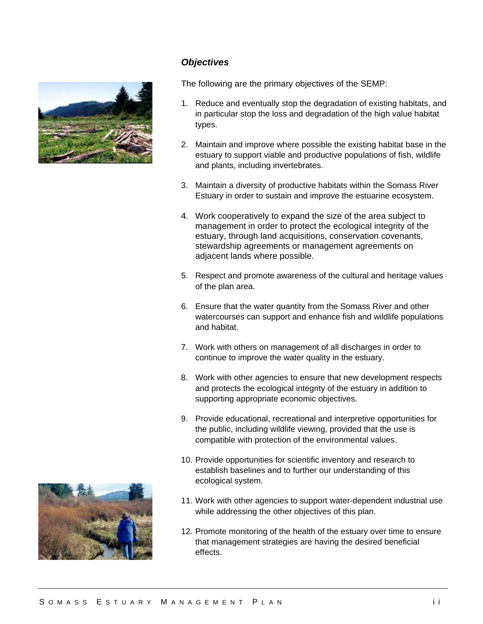

# *Objectives*

The following are the primary objectives of the SEMP:

- 1. Reduce and eventually stop the degradation of existing habitats, and in particular stop the loss and degradation of the high value habitat types.
- 2. Maintain and improve where possible the existing habitat base in the estuary to support viable and productive populations of fish, wildlife and plants, including invertebrates.
- 3. Maintain a diversity of productive habitats within the Somass River Estuary in order to sustain and improve the estuarine ecosystem.
- 4. Work cooperatively to expand the size of the area subject to management in order to protect the ecological integrity of the estuary, through land acquisitions, conservation covenants, stewardship agreements or management agreements on adjacent lands where possible.
- 5. Respect and promote awareness of the cultural and heritage values of the plan area.
- 6. Ensure that the water quantity from the Somass River and other watercourses can support and enhance fish and wildlife populations and habitat.
- 7. Work with others on management of all discharges in order to continue to improve the water quality in the estuary.
- 8. Work with other agencies to ensure that new development respects and protects the ecological integrity of the estuary in addition to supporting appropriate economic objectives.
- 9. Provide educational, recreational and interpretive opportunities for the public, including wildlife viewing, provided that the use is compatible with protection of the environmental values.
- 10. Provide opportunities for scientific inventory and research to establish baselines and to further our understanding of this ecological system.
- 11. Work with other agencies to support water-dependent industrial use while addressing the other objectives of this plan.
- 12. Promote monitoring of the health of the estuary over time to ensure that management strategies are having the desired beneficial effects.

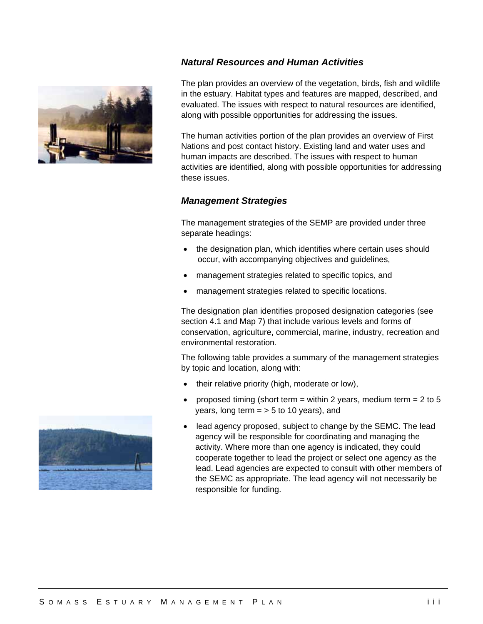# *Natural Resources and Human Activities*



The plan provides an overview of the vegetation, birds, fish and wildlife in the estuary. Habitat types and features are mapped, described, and evaluated. The issues with respect to natural resources are identified, along with possible opportunities for addressing the issues.

The human activities portion of the plan provides an overview of First Nations and post contact history. Existing land and water uses and human impacts are described. The issues with respect to human activities are identified, along with possible opportunities for addressing these issues.

# *Management Strategies*

The management strategies of the SEMP are provided under three separate headings:

- the designation plan, which identifies where certain uses should occur, with accompanying objectives and guidelines,
- management strategies related to specific topics, and
- management strategies related to specific locations.

The designation plan identifies proposed designation categories (see section 4.1 and Map 7) that include various levels and forms of conservation, agriculture, commercial, marine, industry, recreation and environmental restoration.

The following table provides a summary of the management strategies by topic and location, along with:

- their relative priority (high, moderate or low),
- proposed timing (short term = within 2 years, medium term =  $2$  to  $5$ years, long term  $=$  > 5 to 10 years), and
- lead agency proposed, subject to change by the SEMC. The lead agency will be responsible for coordinating and managing the activity. Where more than one agency is indicated, they could cooperate together to lead the project or select one agency as the lead. Lead agencies are expected to consult with other members of the SEMC as appropriate. The lead agency will not necessarily be responsible for funding.

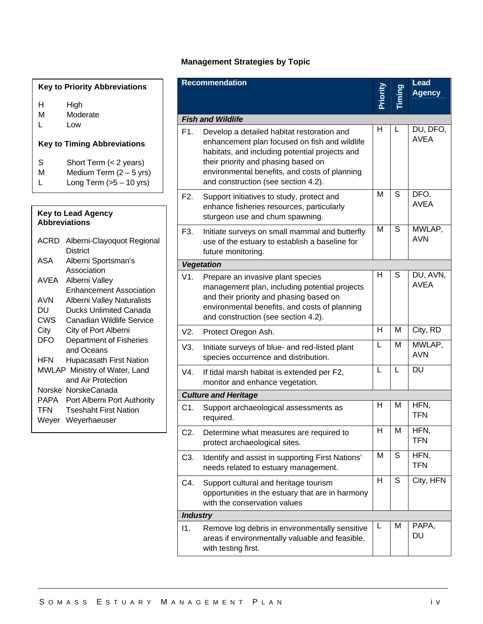# **Management Strategies by Topic**

| <b>Key to Priority Abbreviations</b> |                                    |  |  |  |  |  |
|--------------------------------------|------------------------------------|--|--|--|--|--|
| н<br>м<br>L                          | High<br>Moderate<br>Low            |  |  |  |  |  |
|                                      |                                    |  |  |  |  |  |
|                                      | <b>Key to Timing Abbreviations</b> |  |  |  |  |  |

| <b>Abbreviations</b> | <b>Key to Lead Agency</b>              |
|----------------------|----------------------------------------|
| ACRD                 | Alberni-Clayoquot Regional             |
| ASA                  | <b>District</b><br>Alberni Sportsman's |
|                      | Association                            |
| AVEA                 | Alberni Valley                         |
|                      | <b>Enhancement Association</b>         |
| AVN                  | Alberni Valley Naturalists             |
| DU                   | <b>Ducks Unlimited Canada</b>          |
| <b>CWS</b>           | Canadian Wildlife Service              |
| City                 | City of Port Alberni                   |
| DFO                  | Department of Fisheries                |
|                      | and Oceans                             |
| HFN                  | <b>Hupacasath First Nation</b>         |
|                      | MWLAP Ministry of Water, Land          |
|                      | and Air Protection                     |
| Norske               | NorskeCanada                           |
| PAPA                 | Port Alberni Port Authority            |
| TFN                  | <b>Tseshaht First Nation</b>           |
| Weyer                | Weyerhaeuser                           |
|                      |                                        |

|                  | <b>Recommendation</b>                                                                                                                                                                                                                                                        | Priority |   | <b>Lead</b><br><b>Agency</b> |
|------------------|------------------------------------------------------------------------------------------------------------------------------------------------------------------------------------------------------------------------------------------------------------------------------|----------|---|------------------------------|
|                  | <b>Fish and Wildlife</b>                                                                                                                                                                                                                                                     |          |   |                              |
| F1.              | Develop a detailed habitat restoration and<br>enhancement plan focused on fish and wildlife<br>habitats, and including potential projects and<br>their priority and phasing based on<br>environmental benefits, and costs of planning<br>and construction (see section 4.2). | Н        | L | DU, DFO,<br><b>AVEA</b>      |
| F <sub>2</sub> . | Support initiatives to study, protect and<br>enhance fisheries resources, particularly<br>sturgeon use and chum spawning.                                                                                                                                                    | M        | S | DFO,<br><b>AVEA</b>          |
| F3.              | Initiate surveys on small mammal and butterfly<br>use of the estuary to establish a baseline for<br>future monitoring.                                                                                                                                                       | M        | S | MWLAP,<br><b>AVN</b>         |
|                  | <b>Vegetation</b>                                                                                                                                                                                                                                                            |          |   |                              |
| V1.              | Prepare an invasive plant species<br>management plan, including potential projects<br>and their priority and phasing based on<br>environmental benefits, and costs of planning<br>and construction (see section 4.2).                                                        | н        | S | DU, AVN,<br><b>AVEA</b>      |
| V2.              | Protect Oregon Ash.                                                                                                                                                                                                                                                          | Н        | M | City, RD                     |
| V3.              | Initiate surveys of blue- and red-listed plant<br>species occurrence and distribution.                                                                                                                                                                                       | L        | M | MWLAP,<br><b>AVN</b>         |
| V4.              | If tidal marsh habitat is extended per F2,<br>monitor and enhance vegetation.                                                                                                                                                                                                | L        | L | $\overline{D}$               |
|                  | <b>Culture and Heritage</b>                                                                                                                                                                                                                                                  |          |   |                              |
| C1.              | Support archaeological assessments as<br>required.                                                                                                                                                                                                                           | н        | M | HFN,<br><b>TFN</b>           |
| C2.              | Determine what measures are required to<br>protect archaeological sites.                                                                                                                                                                                                     | н        | M | <b>HFN</b><br><b>TFN</b>     |
| C3.              | Identify and assist in supporting First Nations'<br>needs related to estuary management.                                                                                                                                                                                     | M        | S | HFN,<br><b>TFN</b>           |
| C4.              | Support cultural and heritage tourism<br>opportunities in the estuary that are in harmony<br>with the conservation values                                                                                                                                                    | H        | S | City, HFN                    |
| <b>Industry</b>  |                                                                                                                                                                                                                                                                              |          |   |                              |
| 11.              | Remove log debris in environmentally sensitive<br>areas if environmentally valuable and feasible,<br>with testing first.                                                                                                                                                     | L        | M | PAPA,<br>DU                  |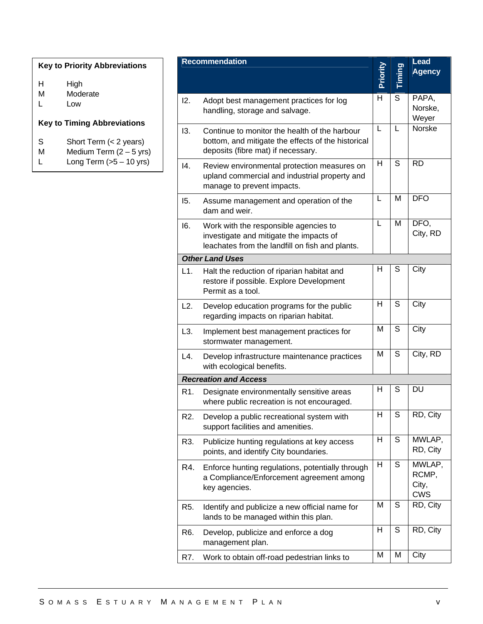# **Key to Priority Abbreviations**

| н | High |
|---|------|
|   |      |

- M Moderate
- L Low

# **Key to Timing Abbreviations**

- S Short Term (< 2 years)
- M Medium Term  $(2 5 \text{ yrs})$ <br>L Long Term  $(5 10 \text{ yrs})$
- Long Term  $(5 10 \text{ yrs})$

|     | <b>Recommendation</b>                                                                                                                     | Priority |   | <b>Lead</b><br><b>Agency</b>           |
|-----|-------------------------------------------------------------------------------------------------------------------------------------------|----------|---|----------------------------------------|
| 12. | Adopt best management practices for log<br>handling, storage and salvage.                                                                 | н        | S | PAPA,<br>Norske,<br>Weyer              |
| 13. | Continue to monitor the health of the harbour<br>bottom, and mitigate the effects of the historical<br>deposits (fibre mat) if necessary. | L        | L | <b>Norske</b>                          |
| 4.  | Review environmental protection measures on<br>upland commercial and industrial property and<br>manage to prevent impacts.                | H        | S | <b>RD</b>                              |
| 15. | Assume management and operation of the<br>dam and weir.                                                                                   | L        | M | <b>DFO</b>                             |
| 16. | Work with the responsible agencies to<br>investigate and mitigate the impacts of<br>leachates from the landfill on fish and plants.       | L        | M | DFO,<br>City, RD                       |
|     | <b>Other Land Uses</b>                                                                                                                    |          |   |                                        |
| L1. | Halt the reduction of riparian habitat and<br>restore if possible. Explore Development<br>Permit as a tool.                               | н        | S | City                                   |
| L2. | Develop education programs for the public<br>regarding impacts on riparian habitat.                                                       | Н        | S | City                                   |
| L3. | Implement best management practices for<br>stormwater management.                                                                         | м        | S | City                                   |
| L4. | Develop infrastructure maintenance practices<br>with ecological benefits.                                                                 | M        | S | City, RD                               |
|     | <b>Recreation and Access</b>                                                                                                              |          |   |                                        |
| R1. | Designate environmentally sensitive areas<br>where public recreation is not encouraged.                                                   | н        | S | DU                                     |
| R2. | Develop a public recreational system with<br>support facilities and amenities.                                                            | н        | S | RD, City                               |
| R3. | Publicize hunting regulations at key access<br>points, and identify City boundaries.                                                      | н        | S | MWLAP,<br>RD, City                     |
| R4. | Enforce hunting regulations, potentially through<br>a Compliance/Enforcement agreement among<br>key agencies.                             | H        | S | MWLAP,<br>RCMP,<br>City,<br><b>CWS</b> |
| R5. | Identify and publicize a new official name for<br>lands to be managed within this plan.                                                   | M        | S | RD, City                               |
| R6. | Develop, publicize and enforce a dog<br>management plan.                                                                                  | H        | S | RD, City                               |
| R7. | Work to obtain off-road pedestrian links to                                                                                               | M        | M | City                                   |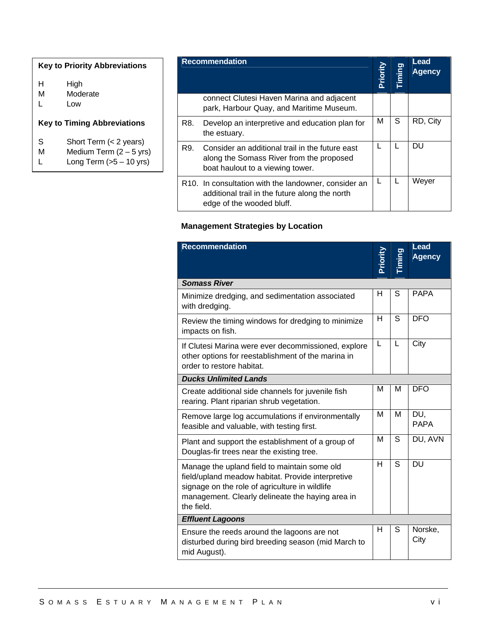# **Key to Priority Abbreviations**  H High M Moderate L Low **Key to Timing Abbreviations**  S Short Term (< 2 years) M Medium Term  $(2 - 5 \text{ yrs})$ <br>L Long Term  $(5 - 10 \text{ yrs})$ Long Term  $(5 - 10 \text{ yrs})$

|     | <b>Recommendation</b>                                                                                                               | Priority | Timing | Lead<br><b>Agency</b> |
|-----|-------------------------------------------------------------------------------------------------------------------------------------|----------|--------|-----------------------|
|     | connect Clutesi Haven Marina and adjacent<br>park, Harbour Quay, and Maritime Museum.                                               |          |        |                       |
| R8. | Develop an interpretive and education plan for<br>the estuary.                                                                      | м        | S      | RD, City              |
| R9. | Consider an additional trail in the future east<br>along the Somass River from the proposed<br>boat haulout to a viewing tower.     |          |        | DU                    |
|     | R10. In consultation with the landowner, consider an<br>additional trail in the future along the north<br>edge of the wooded bluff. |          |        | Weyer                 |

# **Management Strategies by Location**

| <b>Recommendation</b>                                                                                                                                                                                                 | Priority | iming | Lead<br><b>Agency</b> |
|-----------------------------------------------------------------------------------------------------------------------------------------------------------------------------------------------------------------------|----------|-------|-----------------------|
| <b>Somass River</b>                                                                                                                                                                                                   |          |       |                       |
| Minimize dredging, and sedimentation associated<br>with dredging.                                                                                                                                                     | н        | S     | <b>PAPA</b>           |
| Review the timing windows for dredging to minimize<br>impacts on fish.                                                                                                                                                | Н        | S     | <b>DFO</b>            |
| If Clutesi Marina were ever decommissioned, explore<br>other options for reestablishment of the marina in<br>order to restore habitat.                                                                                | L        | L     | City                  |
| <b>Ducks Unlimited Lands</b>                                                                                                                                                                                          |          |       |                       |
| Create additional side channels for juvenile fish<br>rearing. Plant riparian shrub vegetation.                                                                                                                        | М        | м     | <b>DFO</b>            |
| Remove large log accumulations if environmentally<br>feasible and valuable, with testing first.                                                                                                                       | M        | M     | DU,<br><b>PAPA</b>    |
| Plant and support the establishment of a group of<br>Douglas-fir trees near the existing tree.                                                                                                                        | M        | S     | DU, AVN               |
| Manage the upland field to maintain some old<br>field/upland meadow habitat. Provide interpretive<br>signage on the role of agriculture in wildlife<br>management. Clearly delineate the haying area in<br>the field. | н        | S     | <b>DU</b>             |
| <b>Effluent Lagoons</b>                                                                                                                                                                                               |          |       |                       |
| Ensure the reeds around the lagoons are not<br>disturbed during bird breeding season (mid March to<br>mid August).                                                                                                    | н        | S     | Norske,<br>City       |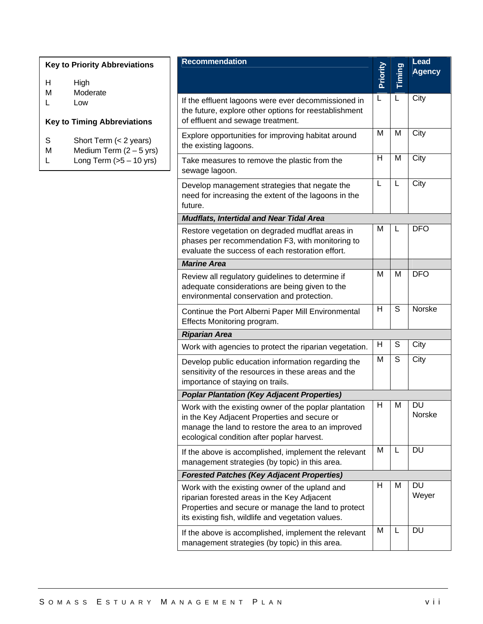| <b>Key to Priority Abbreviations</b>                                    | <b>Recommendation</b>                                                                                                                                   |          |        | <b>Lead</b><br><b>Agency</b> |
|-------------------------------------------------------------------------|---------------------------------------------------------------------------------------------------------------------------------------------------------|----------|--------|------------------------------|
| H<br>High<br>M<br>Moderate                                              |                                                                                                                                                         | Priority | Timing |                              |
| Low<br>L<br><b>Key to Timing Abbreviations</b>                          | If the effluent lagoons were ever decommissioned in<br>the future, explore other options for reestablishment<br>of effluent and sewage treatment.       | L        | L      | City                         |
| $\mathsf S$<br>Short Term (< 2 years)<br>Medium Term $(2 - 5$ yrs)<br>M | Explore opportunities for improving habitat around<br>the existing lagoons.                                                                             | M        | M      | City                         |
| Long Term $(5 - 10$ yrs)<br>L                                           | Take measures to remove the plastic from the<br>sewage lagoon.                                                                                          | H        | M      | City                         |
|                                                                         | Develop management strategies that negate the<br>need for increasing the extent of the lagoons in the<br>future.                                        | L        | L      | City                         |
|                                                                         | <b>Mudflats, Intertidal and Near Tidal Area</b>                                                                                                         |          |        |                              |
|                                                                         | Restore vegetation on degraded mudflat areas in<br>phases per recommendation F3, with monitoring to<br>evaluate the success of each restoration effort. | M        | L      | <b>DFO</b>                   |
|                                                                         | <b>Marine Area</b>                                                                                                                                      |          |        |                              |
|                                                                         | Review all regulatory guidelines to determine if<br>adequate considerations are being given to the<br>environmental conservation and protection.        | M        | M      | <b>DFO</b>                   |
|                                                                         | Continue the Port Alberni Paper Mill Environmental<br>Effects Monitoring program.                                                                       | H        | S      | Norske                       |
|                                                                         | <b>Riparian Area</b>                                                                                                                                    |          |        |                              |
|                                                                         | Work with agencies to protect the riparian vegetation.                                                                                                  | H        | S      | City                         |
|                                                                         | Develop public education information regarding the<br>sensitivity of the resources in these areas and the<br>importance of staying on trails.           | M        | S      | City                         |

Work with the existing owner of the upland and riparian forested areas in the Key Adjacent Properties and secure or manage the land to protect its existing fish, wildlife and vegetation values. H M DU If the above is accomplished, implement the relevant management strategies (by topic) in this area. M L DU

*Poplar Plantation (Key Adjacent Properties)*

in the Key Adjacent Properties and secure or

management strategies (by topic) in this area.

*Forested Patches (Key Adjacent Properties)*

ecological condition after poplar harvest.

Work with the existing owner of the poplar plantation

manage the land to restore the area to an improved

If the above is accomplished, implement the relevant

H M DU

M L DU

Norske

Weyer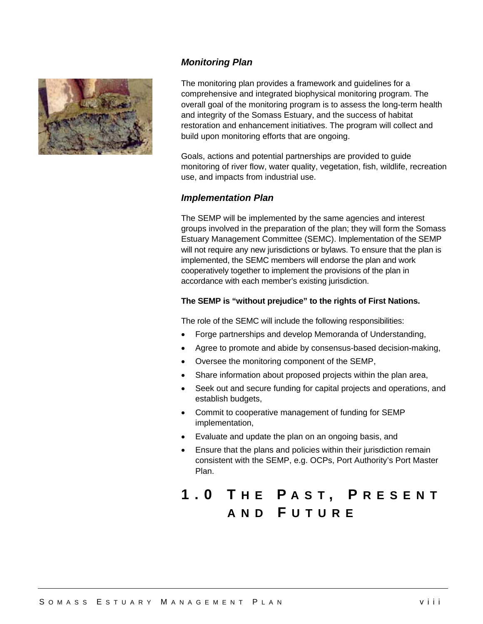

# *Monitoring Plan*

The monitoring plan provides a framework and guidelines for a comprehensive and integrated biophysical monitoring program. The overall goal of the monitoring program is to assess the long-term health and integrity of the Somass Estuary, and the success of habitat restoration and enhancement initiatives. The program will collect and build upon monitoring efforts that are ongoing.

Goals, actions and potential partnerships are provided to guide monitoring of river flow, water quality, vegetation, fish, wildlife, recreation use, and impacts from industrial use.

# *Implementation Plan*

The SEMP will be implemented by the same agencies and interest groups involved in the preparation of the plan; they will form the Somass Estuary Management Committee (SEMC). Implementation of the SEMP will not require any new jurisdictions or bylaws. To ensure that the plan is implemented, the SEMC members will endorse the plan and work cooperatively together to implement the provisions of the plan in accordance with each member's existing jurisdiction.

#### **The SEMP is "without prejudice" to the rights of First Nations.**

The role of the SEMC will include the following responsibilities:

- Forge partnerships and develop Memoranda of Understanding,
- Agree to promote and abide by consensus-based decision-making,
- Oversee the monitoring component of the SEMP,
- Share information about proposed projects within the plan area,
- Seek out and secure funding for capital projects and operations, and establish budgets,
- Commit to cooperative management of funding for SEMP implementation,
- Evaluate and update the plan on an ongoing basis, and
- Ensure that the plans and policies within their jurisdiction remain consistent with the SEMP, e.g. OCPs, Port Authority's Port Master Plan.

# **1.0 T HE P AST , P RESENT AND F UTURE**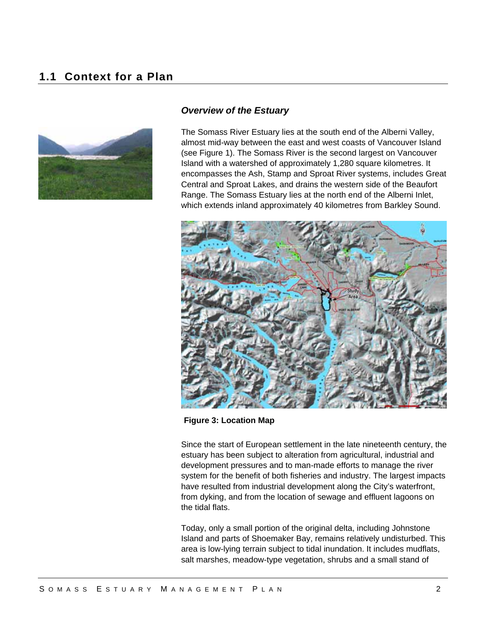# **1.1 Context for a Plan**



#### *Overview of the Estuary*

The Somass River Estuary lies at the south end of the Alberni Valley, almost mid-way between the east and west coasts of Vancouver Island (see Figure 1). The Somass River is the second largest on Vancouver Island with a watershed of approximately 1,280 square kilometres. It encompasses the Ash, Stamp and Sproat River systems, includes Great Central and Sproat Lakes, and drains the western side of the Beaufort Range. The Somass Estuary lies at the north end of the Alberni Inlet, which extends inland approximately 40 kilometres from Barkley Sound.



**Figure 3: Location Map** 

Since the start of European settlement in the late nineteenth century, the estuary has been subject to alteration from agricultural, industrial and development pressures and to man-made efforts to manage the river system for the benefit of both fisheries and industry. The largest impacts have resulted from industrial development along the City's waterfront, from dyking, and from the location of sewage and effluent lagoons on the tidal flats.

Today, only a small portion of the original delta, including Johnstone Island and parts of Shoemaker Bay, remains relatively undisturbed. This area is low-lying terrain subject to tidal inundation. It includes mudflats, salt marshes, meadow-type vegetation, shrubs and a small stand of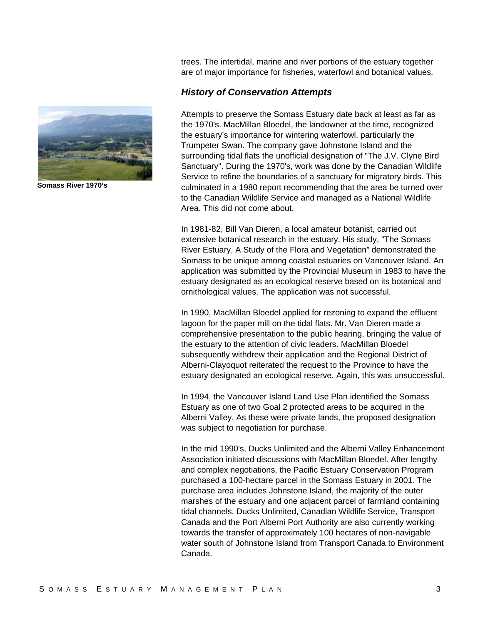

**Somass River 1970's** 

trees. The intertidal, marine and river portions of the estuary together are of major importance for fisheries, waterfowl and botanical values.

#### *History of Conservation Attempts*

Attempts to preserve the Somass Estuary date back at least as far as the 1970's. MacMillan Bloedel, the landowner at the time, recognized the estuary's importance for wintering waterfowl, particularly the Trumpeter Swan. The company gave Johnstone Island and the surrounding tidal flats the unofficial designation of "The J.V. Clyne Bird Sanctuary". During the 1970's, work was done by the Canadian Wildlife Service to refine the boundaries of a sanctuary for migratory birds. This culminated in a 1980 report recommending that the area be turned over to the Canadian Wildlife Service and managed as a National Wildlife Area. This did not come about.

In 1981-82, Bill Van Dieren, a local amateur botanist, carried out extensive botanical research in the estuary. His study, "The Somass River Estuary, A Study of the Flora and Vegetation" demonstrated the Somass to be unique among coastal estuaries on Vancouver Island. An application was submitted by the Provincial Museum in 1983 to have the estuary designated as an ecological reserve based on its botanical and ornithological values. The application was not successful.

In 1990, MacMillan Bloedel applied for rezoning to expand the effluent lagoon for the paper mill on the tidal flats. Mr. Van Dieren made a comprehensive presentation to the public hearing, bringing the value of the estuary to the attention of civic leaders. MacMillan Bloedel subsequently withdrew their application and the Regional District of Alberni-Clayoquot reiterated the request to the Province to have the estuary designated an ecological reserve. Again, this was unsuccessful.

In 1994, the Vancouver Island Land Use Plan identified the Somass Estuary as one of two Goal 2 protected areas to be acquired in the Alberni Valley. As these were private lands, the proposed designation was subject to negotiation for purchase.

In the mid 1990's, Ducks Unlimited and the Alberni Valley Enhancement Association initiated discussions with MacMillan Bloedel. After lengthy and complex negotiations, the Pacific Estuary Conservation Program purchased a 100-hectare parcel in the Somass Estuary in 2001. The purchase area includes Johnstone Island, the majority of the outer marshes of the estuary and one adjacent parcel of farmland containing tidal channels. Ducks Unlimited, Canadian Wildlife Service, Transport Canada and the Port Alberni Port Authority are also currently working towards the transfer of approximately 100 hectares of non-navigable water south of Johnstone Island from Transport Canada to Environment Canada.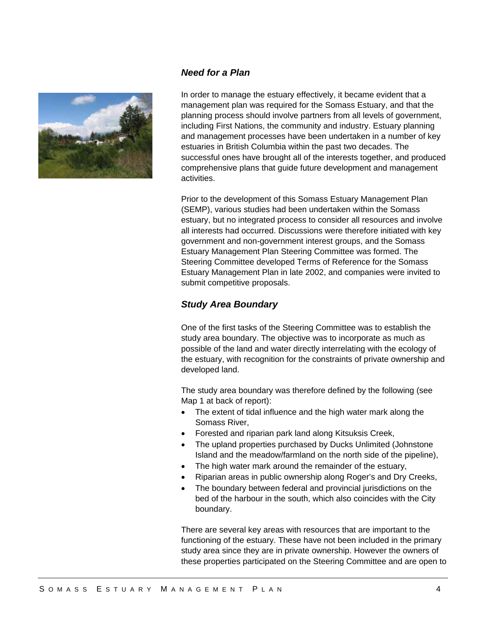

#### *Need for a Plan*

In order to manage the estuary effectively, it became evident that a management plan was required for the Somass Estuary, and that the planning process should involve partners from all levels of government, including First Nations, the community and industry. Estuary planning and management processes have been undertaken in a number of key estuaries in British Columbia within the past two decades. The successful ones have brought all of the interests together, and produced comprehensive plans that guide future development and management activities.

Prior to the development of this Somass Estuary Management Plan (SEMP), various studies had been undertaken within the Somass estuary, but no integrated process to consider all resources and involve all interests had occurred. Discussions were therefore initiated with key government and non-government interest groups, and the Somass Estuary Management Plan Steering Committee was formed. The Steering Committee developed Terms of Reference for the Somass Estuary Management Plan in late 2002, and companies were invited to submit competitive proposals.

# *Study Area Boundary*

One of the first tasks of the Steering Committee was to establish the study area boundary. The objective was to incorporate as much as possible of the land and water directly interrelating with the ecology of the estuary, with recognition for the constraints of private ownership and developed land.

The study area boundary was therefore defined by the following (see Map 1 at back of report):

- The extent of tidal influence and the high water mark along the Somass River,
- Forested and riparian park land along Kitsuksis Creek,
- The upland properties purchased by Ducks Unlimited (Johnstone Island and the meadow/farmland on the north side of the pipeline),
- The high water mark around the remainder of the estuary,
- Riparian areas in public ownership along Roger's and Dry Creeks,
- The boundary between federal and provincial jurisdictions on the bed of the harbour in the south, which also coincides with the City boundary.

There are several key areas with resources that are important to the functioning of the estuary. These have not been included in the primary study area since they are in private ownership. However the owners of these properties participated on the Steering Committee and are open to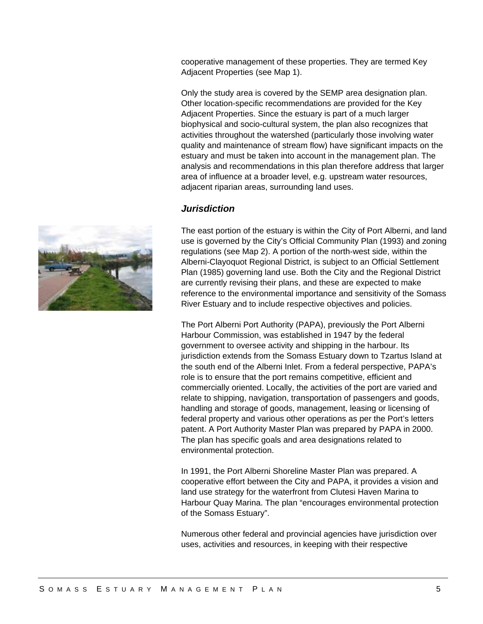cooperative management of these properties. They are termed Key Adjacent Properties (see Map 1).

Only the study area is covered by the SEMP area designation plan. Other location-specific recommendations are provided for the Key Adjacent Properties. Since the estuary is part of a much larger biophysical and socio-cultural system, the plan also recognizes that activities throughout the watershed (particularly those involving water quality and maintenance of stream flow) have significant impacts on the estuary and must be taken into account in the management plan. The analysis and recommendations in this plan therefore address that larger area of influence at a broader level, e.g. upstream water resources, adjacent riparian areas, surrounding land uses.

#### *Jurisdiction*

The east portion of the estuary is within the City of Port Alberni, and land use is governed by the City's Official Community Plan (1993) and zoning regulations (see Map 2). A portion of the north-west side, within the Alberni-Clayoquot Regional District, is subject to an Official Settlement Plan (1985) governing land use. Both the City and the Regional District are currently revising their plans, and these are expected to make reference to the environmental importance and sensitivity of the Somass River Estuary and to include respective objectives and policies.

The Port Alberni Port Authority (PAPA), previously the Port Alberni Harbour Commission, was established in 1947 by the federal government to oversee activity and shipping in the harbour. Its jurisdiction extends from the Somass Estuary down to Tzartus Island at the south end of the Alberni Inlet. From a federal perspective, PAPA's role is to ensure that the port remains competitive, efficient and commercially oriented. Locally, the activities of the port are varied and relate to shipping, navigation, transportation of passengers and goods, handling and storage of goods, management, leasing or licensing of federal property and various other operations as per the Port's letters patent. A Port Authority Master Plan was prepared by PAPA in 2000. The plan has specific goals and area designations related to environmental protection.

In 1991, the Port Alberni Shoreline Master Plan was prepared. A cooperative effort between the City and PAPA, it provides a vision and land use strategy for the waterfront from Clutesi Haven Marina to Harbour Quay Marina. The plan "encourages environmental protection of the Somass Estuary".

Numerous other federal and provincial agencies have jurisdiction over uses, activities and resources, in keeping with their respective

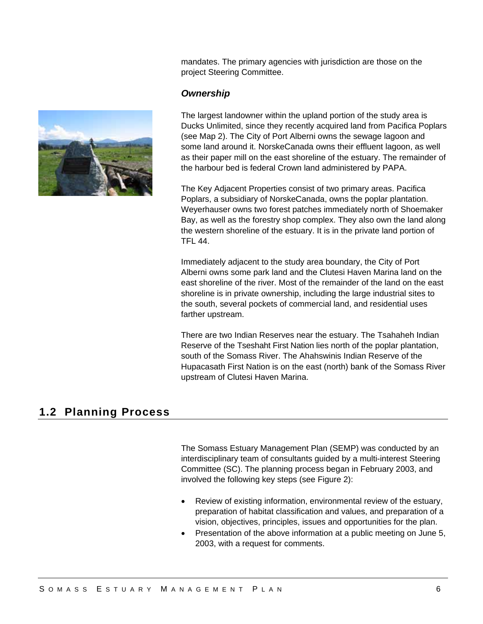mandates. The primary agencies with jurisdiction are those on the project Steering Committee.

#### *Ownership*

The largest landowner within the upland portion of the study area is Ducks Unlimited, since they recently acquired land from Pacifica Poplars (see Map 2). The City of Port Alberni owns the sewage lagoon and some land around it. NorskeCanada owns their effluent lagoon, as well as their paper mill on the east shoreline of the estuary. The remainder of the harbour bed is federal Crown land administered by PAPA.

The Key Adjacent Properties consist of two primary areas. Pacifica Poplars, a subsidiary of NorskeCanada, owns the poplar plantation. Weyerhauser owns two forest patches immediately north of Shoemaker Bay, as well as the forestry shop complex. They also own the land along the western shoreline of the estuary. It is in the private land portion of TFL 44.

Immediately adjacent to the study area boundary, the City of Port Alberni owns some park land and the Clutesi Haven Marina land on the east shoreline of the river. Most of the remainder of the land on the east shoreline is in private ownership, including the large industrial sites to the south, several pockets of commercial land, and residential uses farther upstream.

There are two Indian Reserves near the estuary. The Tsahaheh Indian Reserve of the Tseshaht First Nation lies north of the poplar plantation, south of the Somass River. The Ahahswinis Indian Reserve of the Hupacasath First Nation is on the east (north) bank of the Somass River upstream of Clutesi Haven Marina.

# **1.2 Planning Process**

The Somass Estuary Management Plan (SEMP) was conducted by an interdisciplinary team of consultants guided by a multi-interest Steering Committee (SC). The planning process began in February 2003, and involved the following key steps (see Figure 2):

- Review of existing information, environmental review of the estuary, preparation of habitat classification and values, and preparation of a vision, objectives, principles, issues and opportunities for the plan.
- Presentation of the above information at a public meeting on June 5, 2003, with a request for comments.

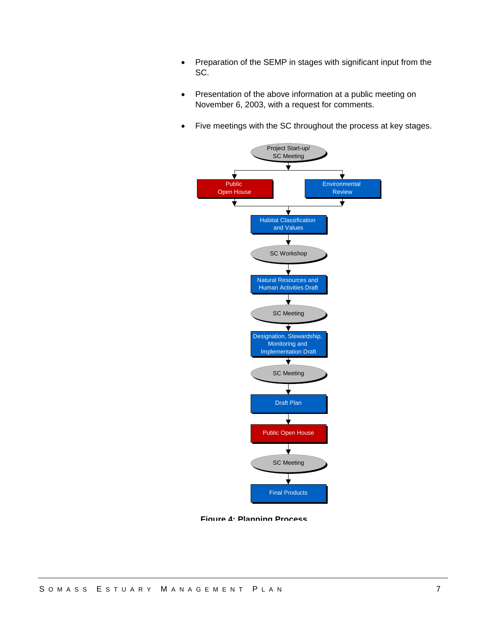- Preparation of the SEMP in stages with significant input from the SC.
- Presentation of the above information at a public meeting on November 6, 2003, with a request for comments.
- Five meetings with the SC throughout the process at key stages.



**Figure 4: Planning Process**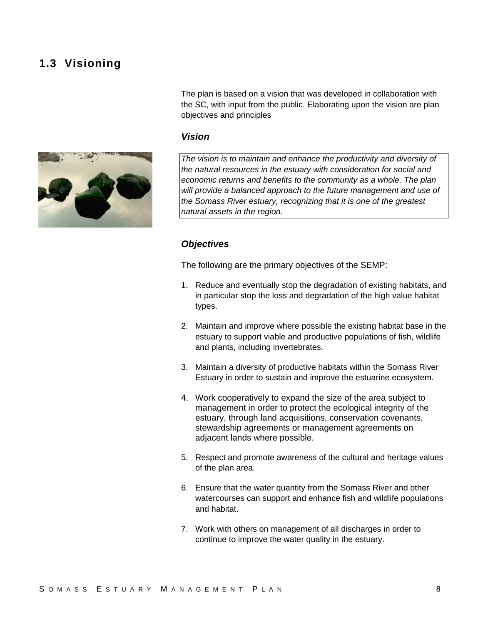The plan is based on a vision that was developed in collaboration with the SC, with input from the public. Elaborating upon the vision are plan objectives and principles

#### *Vision*



*The vision is to maintain and enhance the productivity and diversity of the natural resources in the estuary with consideration for social and economic returns and benefits to the community as a whole. The plan will provide a balanced approach to the future management and use of the Somass River estuary, recognizing that it is one of the greatest natural assets in the region.* 

#### *Objectives*

The following are the primary objectives of the SEMP:

- 1. Reduce and eventually stop the degradation of existing habitats, and in particular stop the loss and degradation of the high value habitat types.
- 2. Maintain and improve where possible the existing habitat base in the estuary to support viable and productive populations of fish, wildlife and plants, including invertebrates.
- 3. Maintain a diversity of productive habitats within the Somass River Estuary in order to sustain and improve the estuarine ecosystem.
- 4. Work cooperatively to expand the size of the area subject to management in order to protect the ecological integrity of the estuary, through land acquisitions, conservation covenants, stewardship agreements or management agreements on adjacent lands where possible.
- 5. Respect and promote awareness of the cultural and heritage values of the plan area.
- 6. Ensure that the water quantity from the Somass River and other watercourses can support and enhance fish and wildlife populations and habitat.
- 7. Work with others on management of all discharges in order to continue to improve the water quality in the estuary.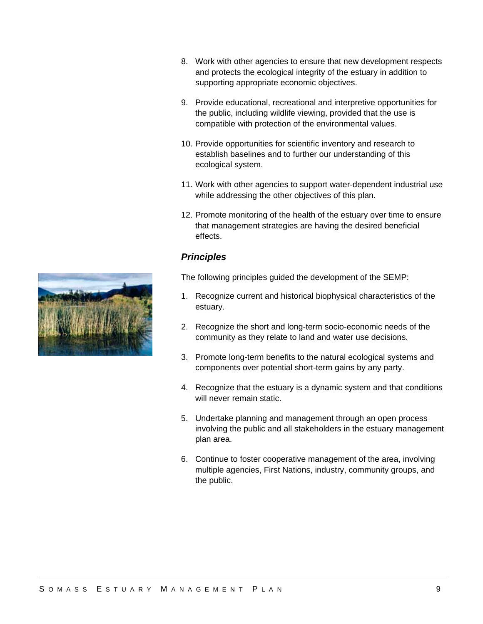- 8. Work with other agencies to ensure that new development respects and protects the ecological integrity of the estuary in addition to supporting appropriate economic objectives.
- 9. Provide educational, recreational and interpretive opportunities for the public, including wildlife viewing, provided that the use is compatible with protection of the environmental values.
- 10. Provide opportunities for scientific inventory and research to establish baselines and to further our understanding of this ecological system.
- 11. Work with other agencies to support water-dependent industrial use while addressing the other objectives of this plan.
- 12. Promote monitoring of the health of the estuary over time to ensure that management strategies are having the desired beneficial effects.

# *Principles*

The following principles guided the development of the SEMP:

- 1. Recognize current and historical biophysical characteristics of the estuary.
- 2. Recognize the short and long-term socio-economic needs of the community as they relate to land and water use decisions.
- 3. Promote long-term benefits to the natural ecological systems and components over potential short-term gains by any party.
- 4. Recognize that the estuary is a dynamic system and that conditions will never remain static.
- 5. Undertake planning and management through an open process involving the public and all stakeholders in the estuary management plan area.
- 6. Continue to foster cooperative management of the area, involving multiple agencies, First Nations, industry, community groups, and the public.

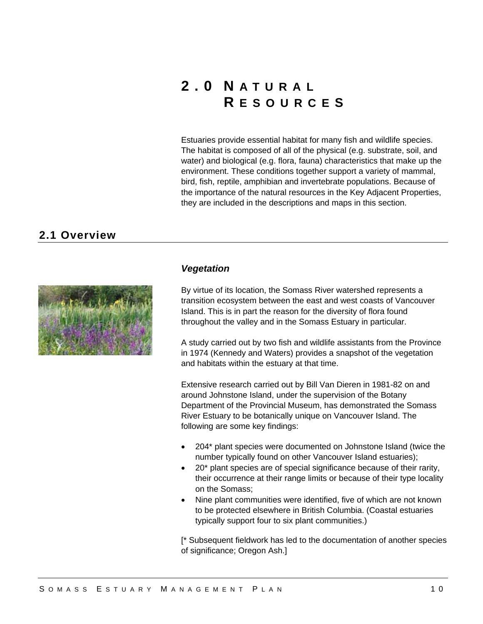# **2.0 N ATURAL R ESOURCE S**

Estuaries provide essential habitat for many fish and wildlife species. The habitat is composed of all of the physical (e.g. substrate, soil, and water) and biological (e.g. flora, fauna) characteristics that make up the environment. These conditions together support a variety of mammal, bird, fish, reptile, amphibian and invertebrate populations. Because of the importance of the natural resources in the Key Adjacent Properties, they are included in the descriptions and maps in this section.

# **2.1 Overview**



#### *Vegetation*

By virtue of its location, the Somass River watershed represents a transition ecosystem between the east and west coasts of Vancouver Island. This is in part the reason for the diversity of flora found throughout the valley and in the Somass Estuary in particular.

A study carried out by two fish and wildlife assistants from the Province in 1974 (Kennedy and Waters) provides a snapshot of the vegetation and habitats within the estuary at that time.

Extensive research carried out by Bill Van Dieren in 1981-82 on and around Johnstone Island, under the supervision of the Botany Department of the Provincial Museum, has demonstrated the Somass River Estuary to be botanically unique on Vancouver Island. The following are some key findings:

- 204\* plant species were documented on Johnstone Island (twice the number typically found on other Vancouver Island estuaries);
- 20\* plant species are of special significance because of their rarity, their occurrence at their range limits or because of their type locality on the Somass;
- Nine plant communities were identified, five of which are not known to be protected elsewhere in British Columbia. (Coastal estuaries typically support four to six plant communities.)

[\* Subsequent fieldwork has led to the documentation of another species of significance; Oregon Ash.]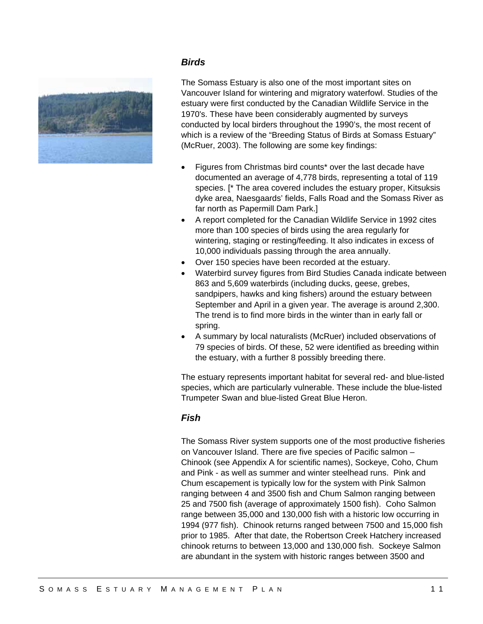

#### *Birds*

The Somass Estuary is also one of the most important sites on Vancouver Island for wintering and migratory waterfowl. Studies of the estuary were first conducted by the Canadian Wildlife Service in the 1970's. These have been considerably augmented by surveys conducted by local birders throughout the 1990's, the most recent of which is a review of the "Breeding Status of Birds at Somass Estuary" (McRuer, 2003). The following are some key findings:

- Figures from Christmas bird counts\* over the last decade have documented an average of 4,778 birds, representing a total of 119 species. [\* The area covered includes the estuary proper, Kitsuksis dyke area, Naesgaards' fields, Falls Road and the Somass River as far north as Papermill Dam Park.]
- A report completed for the Canadian Wildlife Service in 1992 cites more than 100 species of birds using the area regularly for wintering, staging or resting/feeding. It also indicates in excess of 10,000 individuals passing through the area annually.
- Over 150 species have been recorded at the estuary.
- Waterbird survey figures from Bird Studies Canada indicate between 863 and 5,609 waterbirds (including ducks, geese, grebes, sandpipers, hawks and king fishers) around the estuary between September and April in a given year. The average is around 2,300. The trend is to find more birds in the winter than in early fall or spring.
- A summary by local naturalists (McRuer) included observations of 79 species of birds. Of these, 52 were identified as breeding within the estuary, with a further 8 possibly breeding there.

The estuary represents important habitat for several red- and blue-listed species, which are particularly vulnerable. These include the blue-listed Trumpeter Swan and blue-listed Great Blue Heron.

# *Fish*

The Somass River system supports one of the most productive fisheries on Vancouver Island. There are five species of Pacific salmon – Chinook (see Appendix A for scientific names), Sockeye, Coho, Chum and Pink - as well as summer and winter steelhead runs. Pink and Chum escapement is typically low for the system with Pink Salmon ranging between 4 and 3500 fish and Chum Salmon ranging between 25 and 7500 fish (average of approximately 1500 fish). Coho Salmon range between 35,000 and 130,000 fish with a historic low occurring in 1994 (977 fish). Chinook returns ranged between 7500 and 15,000 fish prior to 1985. After that date, the Robertson Creek Hatchery increased chinook returns to between 13,000 and 130,000 fish. Sockeye Salmon are abundant in the system with historic ranges between 3500 and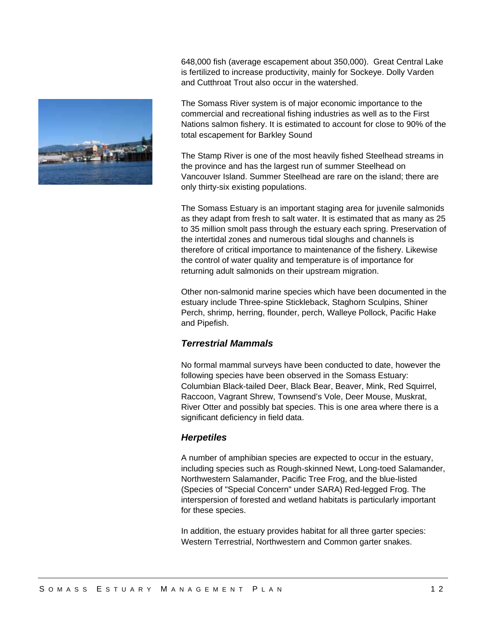

648,000 fish (average escapement about 350,000). Great Central Lake is fertilized to increase productivity, mainly for Sockeye. Dolly Varden and Cutthroat Trout also occur in the watershed.

The Somass River system is of major economic importance to the commercial and recreational fishing industries as well as to the First Nations salmon fishery. It is estimated to account for close to 90% of the total escapement for Barkley Sound

The Stamp River is one of the most heavily fished Steelhead streams in the province and has the largest run of summer Steelhead on Vancouver Island. Summer Steelhead are rare on the island; there are only thirty-six existing populations.

The Somass Estuary is an important staging area for juvenile salmonids as they adapt from fresh to salt water. It is estimated that as many as 25 to 35 million smolt pass through the estuary each spring. Preservation of the intertidal zones and numerous tidal sloughs and channels is therefore of critical importance to maintenance of the fishery. Likewise the control of water quality and temperature is of importance for returning adult salmonids on their upstream migration.

Other non-salmonid marine species which have been documented in the estuary include Three-spine Stickleback, Staghorn Sculpins, Shiner Perch, shrimp, herring, flounder, perch, Walleye Pollock, Pacific Hake and Pipefish.

# *Terrestrial Mammals*

No formal mammal surveys have been conducted to date, however the following species have been observed in the Somass Estuary: Columbian Black-tailed Deer, Black Bear, Beaver, Mink, Red Squirrel, Raccoon, Vagrant Shrew, Townsend's Vole, Deer Mouse, Muskrat, River Otter and possibly bat species. This is one area where there is a significant deficiency in field data.

# *Herpetiles*

A number of amphibian species are expected to occur in the estuary, including species such as Rough-skinned Newt, Long-toed Salamander, Northwestern Salamander, Pacific Tree Frog, and the blue-listed (Species of "Special Concern" under SARA) Red-legged Frog. The interspersion of forested and wetland habitats is particularly important for these species.

In addition, the estuary provides habitat for all three garter species: Western Terrestrial, Northwestern and Common garter snakes.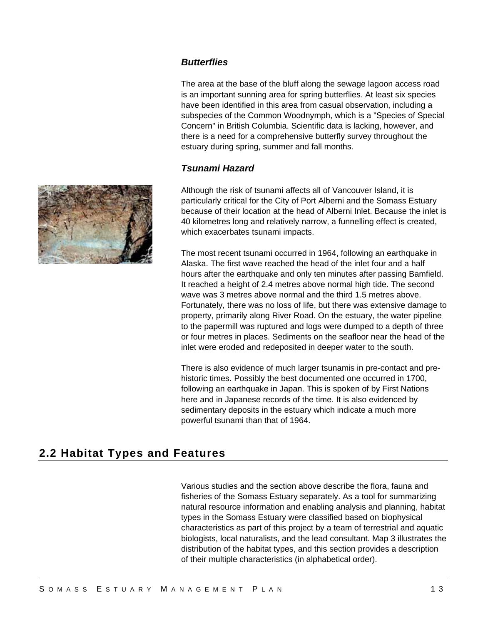# *Butterflies*

The area at the base of the bluff along the sewage lagoon access road is an important sunning area for spring butterflies. At least six species have been identified in this area from casual observation, including a subspecies of the Common Woodnymph, which is a "Species of Special Concern" in British Columbia. Scientific data is lacking, however, and there is a need for a comprehensive butterfly survey throughout the estuary during spring, summer and fall months.

# *Tsunami Hazard*

Although the risk of tsunami affects all of Vancouver Island, it is particularly critical for the City of Port Alberni and the Somass Estuary because of their location at the head of Alberni Inlet. Because the inlet is 40 kilometres long and relatively narrow, a funnelling effect is created, which exacerbates tsunami impacts.

The most recent tsunami occurred in 1964, following an earthquake in Alaska. The first wave reached the head of the inlet four and a half hours after the earthquake and only ten minutes after passing Bamfield. It reached a height of 2.4 metres above normal high tide. The second wave was 3 metres above normal and the third 1.5 metres above. Fortunately, there was no loss of life, but there was extensive damage to property, primarily along River Road. On the estuary, the water pipeline to the papermill was ruptured and logs were dumped to a depth of three or four metres in places. Sediments on the seafloor near the head of the inlet were eroded and redeposited in deeper water to the south.

There is also evidence of much larger tsunamis in pre-contact and prehistoric times. Possibly the best documented one occurred in 1700, following an earthquake in Japan. This is spoken of by First Nations here and in Japanese records of the time. It is also evidenced by sedimentary deposits in the estuary which indicate a much more powerful tsunami than that of 1964.

# **2.2 Habitat Types and Features**

Various studies and the section above describe the flora, fauna and fisheries of the Somass Estuary separately. As a tool for summarizing natural resource information and enabling analysis and planning, habitat types in the Somass Estuary were classified based on biophysical characteristics as part of this project by a team of terrestrial and aquatic biologists, local naturalists, and the lead consultant. Map 3 illustrates the distribution of the habitat types, and this section provides a description of their multiple characteristics (in alphabetical order).

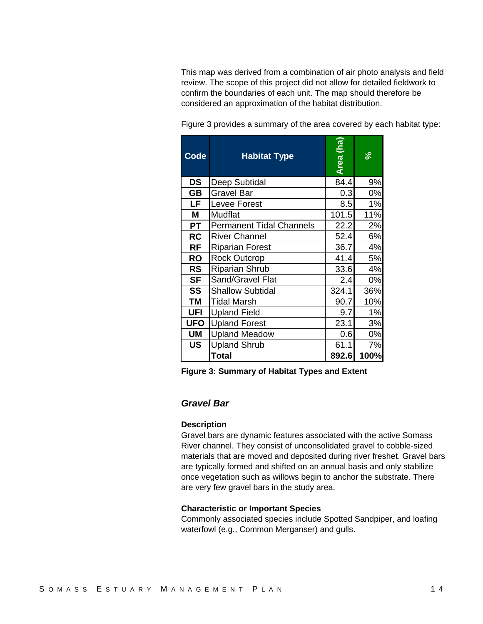This map was derived from a combination of air photo analysis and field review. The scope of this project did not allow for detailed fieldwork to confirm the boundaries of each unit. The map should therefore be considered an approximation of the habitat distribution.

| Code       | <b>Habitat Type</b>             | Area (ha) | ৯    |
|------------|---------------------------------|-----------|------|
| DS         | Deep Subtidal                   | 84.4      | 9%   |
| <b>GB</b>  | <b>Gravel Bar</b>               | 0.3       | 0%   |
| LF         | Levee Forest                    | 8.5       | 1%   |
| Μ          | Mudflat                         | 101.5     | 11%  |
| <b>PT</b>  | <b>Permanent Tidal Channels</b> | 22.2      | 2%   |
| <b>RC</b>  | <b>River Channel</b>            | 52.4      | 6%   |
| <b>RF</b>  | <b>Riparian Forest</b>          | 36.7      | 4%   |
| <b>RO</b>  | <b>Rock Outcrop</b>             | 41.4      | 5%   |
| <b>RS</b>  | <b>Riparian Shrub</b>           | 33.6      | 4%   |
| <b>SF</b>  | Sand/Gravel Flat                | 2.4       | 0%   |
| SS         | <b>Shallow Subtidal</b>         | 324.1     | 36%  |
| <b>TM</b>  | Tidal Marsh                     | 90.7      | 10%  |
| <b>UFI</b> | <b>Upland Field</b>             | 9.7       | 1%   |
| <b>UFO</b> | <b>Upland Forest</b>            | 23.1      | 3%   |
| <b>UM</b>  | <b>Upland Meadow</b>            | 0.6       | 0%   |
| US         | <b>Upland Shrub</b>             | 61.1      | 7%   |
|            | Total                           | 892.6     | 100% |

Figure 3 provides a summary of the area covered by each habitat type:

**Figure 3: Summary of Habitat Types and Extent** 

# *Gravel Bar*

#### **Description**

Gravel bars are dynamic features associated with the active Somass River channel. They consist of unconsolidated gravel to cobble-sized materials that are moved and deposited during river freshet. Gravel bars are typically formed and shifted on an annual basis and only stabilize once vegetation such as willows begin to anchor the substrate. There are very few gravel bars in the study area.

#### **Characteristic or Important Species**

Commonly associated species include Spotted Sandpiper, and loafing waterfowl (e.g., Common Merganser) and gulls.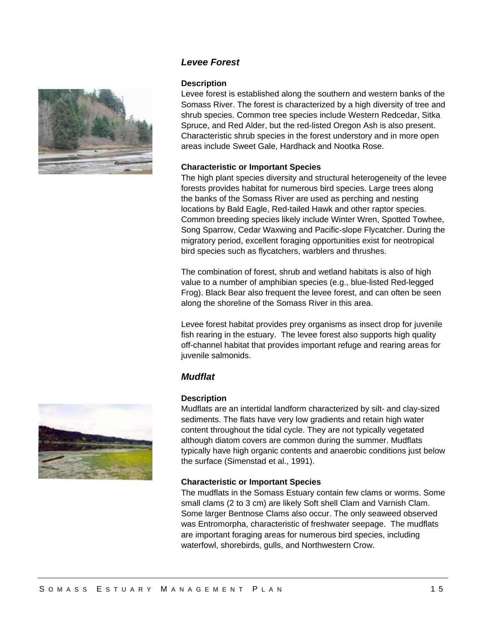

# *Levee Forest*

#### **Description**

Levee forest is established along the southern and western banks of the Somass River. The forest is characterized by a high diversity of tree and shrub species. Common tree species include Western Redcedar, Sitka Spruce, and Red Alder, but the red-listed Oregon Ash is also present. Characteristic shrub species in the forest understory and in more open areas include Sweet Gale, Hardhack and Nootka Rose.

#### **Characteristic or Important Species**

The high plant species diversity and structural heterogeneity of the levee forests provides habitat for numerous bird species. Large trees along the banks of the Somass River are used as perching and nesting locations by Bald Eagle, Red-tailed Hawk and other raptor species. Common breeding species likely include Winter Wren, Spotted Towhee, Song Sparrow, Cedar Waxwing and Pacific-slope Flycatcher. During the migratory period, excellent foraging opportunities exist for neotropical bird species such as flycatchers, warblers and thrushes.

The combination of forest, shrub and wetland habitats is also of high value to a number of amphibian species (e.g., blue-listed Red-legged Frog). Black Bear also frequent the levee forest, and can often be seen along the shoreline of the Somass River in this area.

Levee forest habitat provides prey organisms as insect drop for juvenile fish rearing in the estuary. The levee forest also supports high quality off-channel habitat that provides important refuge and rearing areas for juvenile salmonids.

# *Mudflat*

#### **Description**

Mudflats are an intertidal landform characterized by silt- and clay-sized sediments. The flats have very low gradients and retain high water content throughout the tidal cycle. They are not typically vegetated although diatom covers are common during the summer. Mudflats typically have high organic contents and anaerobic conditions just below the surface (Simenstad et al., 1991).

#### **Characteristic or Important Species**

The mudflats in the Somass Estuary contain few clams or worms. Some small clams (2 to 3 cm) are likely Soft shell Clam and Varnish Clam. Some larger Bentnose Clams also occur. The only seaweed observed was Entromorpha, characteristic of freshwater seepage. The mudflats are important foraging areas for numerous bird species, including waterfowl, shorebirds, gulls, and Northwestern Crow.

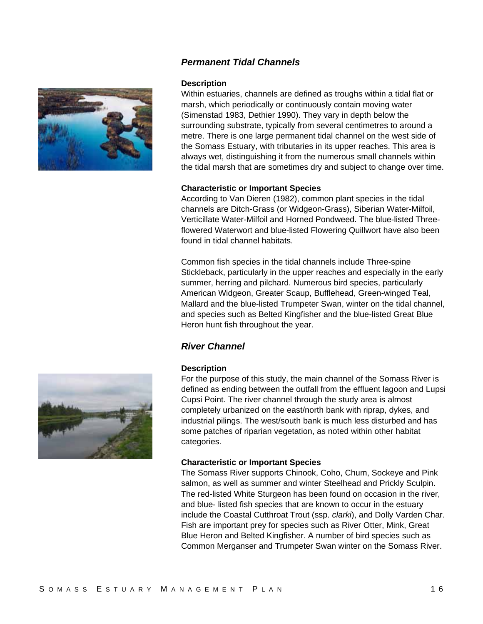# *Permanent Tidal Channels*



#### **Description**

Within estuaries, channels are defined as troughs within a tidal flat or marsh, which periodically or continuously contain moving water (Simenstad 1983, Dethier 1990). They vary in depth below the surrounding substrate, typically from several centimetres to around a metre. There is one large permanent tidal channel on the west side of the Somass Estuary, with tributaries in its upper reaches. This area is always wet, distinguishing it from the numerous small channels within the tidal marsh that are sometimes dry and subject to change over time.

#### **Characteristic or Important Species**

According to Van Dieren (1982), common plant species in the tidal channels are Ditch-Grass (or Widgeon-Grass), Siberian Water-Milfoil, Verticillate Water-Milfoil and Horned Pondweed. The blue-listed Threeflowered Waterwort and blue-listed Flowering Quillwort have also been found in tidal channel habitats.

Common fish species in the tidal channels include Three-spine Stickleback, particularly in the upper reaches and especially in the early summer, herring and pilchard. Numerous bird species, particularly American Widgeon, Greater Scaup, Bufflehead, Green-winged Teal, Mallard and the blue-listed Trumpeter Swan, winter on the tidal channel, and species such as Belted Kingfisher and the blue-listed Great Blue Heron hunt fish throughout the year.

# *River Channel*

#### **Description**

For the purpose of this study, the main channel of the Somass River is defined as ending between the outfall from the effluent lagoon and Lupsi Cupsi Point. The river channel through the study area is almost completely urbanized on the east/north bank with riprap, dykes, and industrial pilings. The west/south bank is much less disturbed and has some patches of riparian vegetation, as noted within other habitat categories.

#### **Characteristic or Important Species**

The Somass River supports Chinook, Coho, Chum, Sockeye and Pink salmon, as well as summer and winter Steelhead and Prickly Sculpin. The red-listed White Sturgeon has been found on occasion in the river, and blue- listed fish species that are known to occur in the estuary include the Coastal Cutthroat Trout (ssp. *clarki*), and Dolly Varden Char. Fish are important prey for species such as River Otter, Mink, Great Blue Heron and Belted Kingfisher. A number of bird species such as Common Merganser and Trumpeter Swan winter on the Somass River.

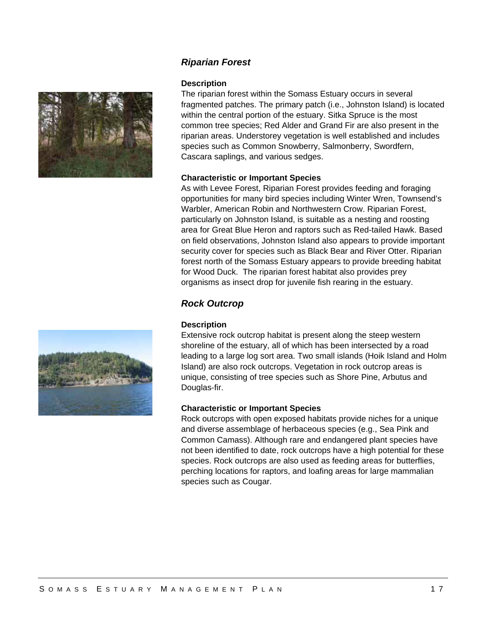



#### **Description**

The riparian forest within the Somass Estuary occurs in several fragmented patches. The primary patch (i.e., Johnston Island) is located within the central portion of the estuary. Sitka Spruce is the most common tree species; Red Alder and Grand Fir are also present in the riparian areas. Understorey vegetation is well established and includes species such as Common Snowberry, Salmonberry, Swordfern, Cascara saplings, and various sedges.

#### **Characteristic or Important Species**

As with Levee Forest, Riparian Forest provides feeding and foraging opportunities for many bird species including Winter Wren, Townsend's Warbler, American Robin and Northwestern Crow. Riparian Forest, particularly on Johnston Island, is suitable as a nesting and roosting area for Great Blue Heron and raptors such as Red-tailed Hawk. Based on field observations, Johnston Island also appears to provide important security cover for species such as Black Bear and River Otter. Riparian forest north of the Somass Estuary appears to provide breeding habitat for Wood Duck. The riparian forest habitat also provides prey organisms as insect drop for juvenile fish rearing in the estuary.

# *Rock Outcrop*

#### **Description**

Extensive rock outcrop habitat is present along the steep western shoreline of the estuary, all of which has been intersected by a road leading to a large log sort area. Two small islands (Hoik Island and Holm Island) are also rock outcrops. Vegetation in rock outcrop areas is unique, consisting of tree species such as Shore Pine, Arbutus and Douglas-fir.

#### **Characteristic or Important Species**

Rock outcrops with open exposed habitats provide niches for a unique and diverse assemblage of herbaceous species (e.g., Sea Pink and Common Camass). Although rare and endangered plant species have not been identified to date, rock outcrops have a high potential for these species. Rock outcrops are also used as feeding areas for butterflies, perching locations for raptors, and loafing areas for large mammalian species such as Cougar.

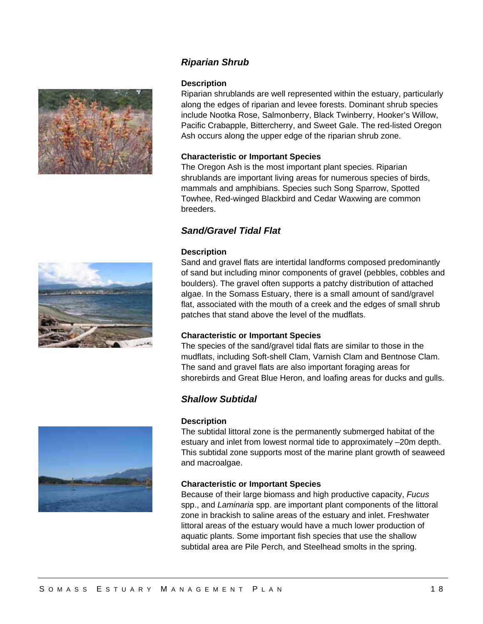

#### *Riparian Shrub*

#### **Description**

Riparian shrublands are well represented within the estuary, particularly along the edges of riparian and levee forests. Dominant shrub species include Nootka Rose, Salmonberry, Black Twinberry, Hooker's Willow, Pacific Crabapple, Bittercherry, and Sweet Gale. The red-listed Oregon Ash occurs along the upper edge of the riparian shrub zone.

#### **Characteristic or Important Species**

The Oregon Ash is the most important plant species. Riparian shrublands are important living areas for numerous species of birds, mammals and amphibians. Species such Song Sparrow, Spotted Towhee, Red-winged Blackbird and Cedar Waxwing are common breeders.

### *Sand/Gravel Tidal Flat*

#### **Description**

Sand and gravel flats are intertidal landforms composed predominantly of sand but including minor components of gravel (pebbles, cobbles and boulders). The gravel often supports a patchy distribution of attached algae. In the Somass Estuary, there is a small amount of sand/gravel flat, associated with the mouth of a creek and the edges of small shrub patches that stand above the level of the mudflats.

#### **Characteristic or Important Species**

The species of the sand/gravel tidal flats are similar to those in the mudflats, including Soft-shell Clam, Varnish Clam and Bentnose Clam. The sand and gravel flats are also important foraging areas for shorebirds and Great Blue Heron, and loafing areas for ducks and gulls.

### *Shallow Subtidal*

#### **Description**

The subtidal littoral zone is the permanently submerged habitat of the estuary and inlet from lowest normal tide to approximately –20m depth. This subtidal zone supports most of the marine plant growth of seaweed and macroalgae.

#### **Characteristic or Important Species**

Because of their large biomass and high productive capacity, *Fucus* spp., and *Laminaria* spp. are important plant components of the littoral zone in brackish to saline areas of the estuary and inlet. Freshwater littoral areas of the estuary would have a much lower production of aquatic plants. Some important fish species that use the shallow subtidal area are Pile Perch, and Steelhead smolts in the spring.



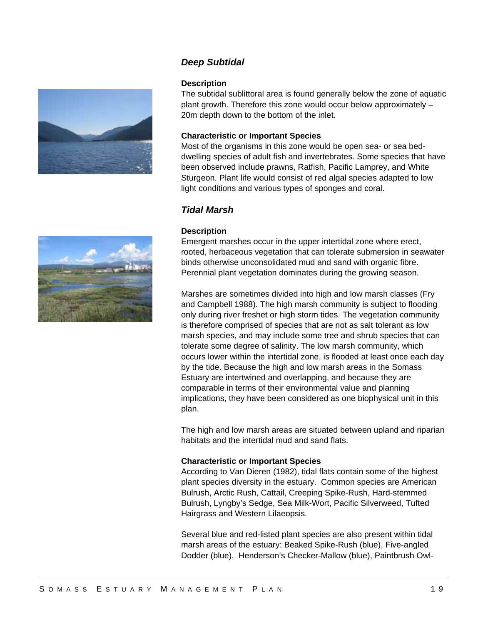

# *Deep Subtidal*

#### **Description**

The subtidal sublittoral area is found generally below the zone of aquatic plant growth. Therefore this zone would occur below approximately – 20m depth down to the bottom of the inlet.

#### **Characteristic or Important Species**

Most of the organisms in this zone would be open sea- or sea beddwelling species of adult fish and invertebrates. Some species that have been observed include prawns, Ratfish, Pacific Lamprey, and White Sturgeon. Plant life would consist of red algal species adapted to low light conditions and various types of sponges and coral.

# *Tidal Marsh*

#### **Description**

Emergent marshes occur in the upper intertidal zone where erect, rooted, herbaceous vegetation that can tolerate submersion in seawater binds otherwise unconsolidated mud and sand with organic fibre. Perennial plant vegetation dominates during the growing season.

Marshes are sometimes divided into high and low marsh classes (Fry and Campbell 1988). The high marsh community is subject to flooding only during river freshet or high storm tides. The vegetation community is therefore comprised of species that are not as salt tolerant as low marsh species, and may include some tree and shrub species that can tolerate some degree of salinity. The low marsh community, which occurs lower within the intertidal zone, is flooded at least once each day by the tide. Because the high and low marsh areas in the Somass Estuary are intertwined and overlapping, and because they are comparable in terms of their environmental value and planning implications, they have been considered as one biophysical unit in this plan.

The high and low marsh areas are situated between upland and riparian habitats and the intertidal mud and sand flats.

#### **Characteristic or Important Species**

According to Van Dieren (1982), tidal flats contain some of the highest plant species diversity in the estuary. Common species are American Bulrush, Arctic Rush, Cattail, Creeping Spike-Rush, Hard-stemmed Bulrush, Lyngby's Sedge, Sea Milk-Wort, Pacific Silverweed, Tufted Hairgrass and Western Lilaeopsis.

Several blue and red-listed plant species are also present within tidal marsh areas of the estuary: Beaked Spike-Rush (blue), Five-angled Dodder (blue), Henderson's Checker-Mallow (blue), Paintbrush Owl-

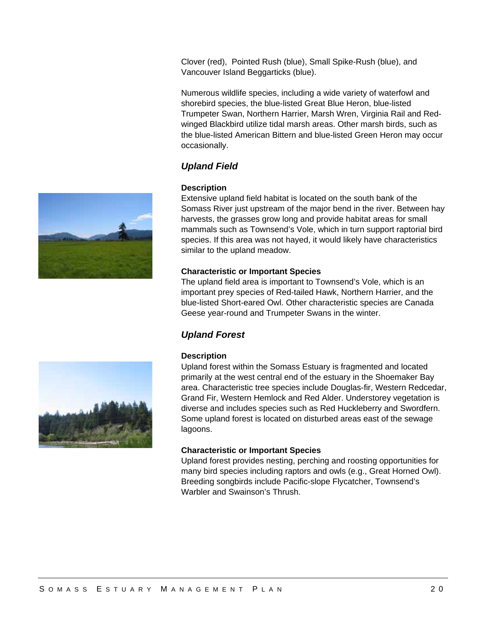Clover (red), Pointed Rush (blue), Small Spike-Rush (blue), and Vancouver Island Beggarticks (blue).

Numerous wildlife species, including a wide variety of waterfowl and shorebird species, the blue-listed Great Blue Heron, blue-listed Trumpeter Swan, Northern Harrier, Marsh Wren, Virginia Rail and Redwinged Blackbird utilize tidal marsh areas. Other marsh birds, such as the blue-listed American Bittern and blue-listed Green Heron may occur occasionally.

# *Upland Field*

# **Description**

Extensive upland field habitat is located on the south bank of the Somass River just upstream of the major bend in the river. Between hay harvests, the grasses grow long and provide habitat areas for small mammals such as Townsend's Vole, which in turn support raptorial bird species. If this area was not hayed, it would likely have characteristics similar to the upland meadow.

# **Characteristic or Important Species**

The upland field area is important to Townsend's Vole, which is an important prey species of Red-tailed Hawk, Northern Harrier, and the blue-listed Short-eared Owl. Other characteristic species are Canada Geese year-round and Trumpeter Swans in the winter.

# *Upland Forest*

# **Description**

Upland forest within the Somass Estuary is fragmented and located primarily at the west central end of the estuary in the Shoemaker Bay area. Characteristic tree species include Douglas-fir, Western Redcedar, Grand Fir, Western Hemlock and Red Alder. Understorey vegetation is diverse and includes species such as Red Huckleberry and Swordfern. Some upland forest is located on disturbed areas east of the sewage lagoons.

# **Characteristic or Important Species**

Upland forest provides nesting, perching and roosting opportunities for many bird species including raptors and owls (e.g., Great Horned Owl). Breeding songbirds include Pacific-slope Flycatcher, Townsend's Warbler and Swainson's Thrush.



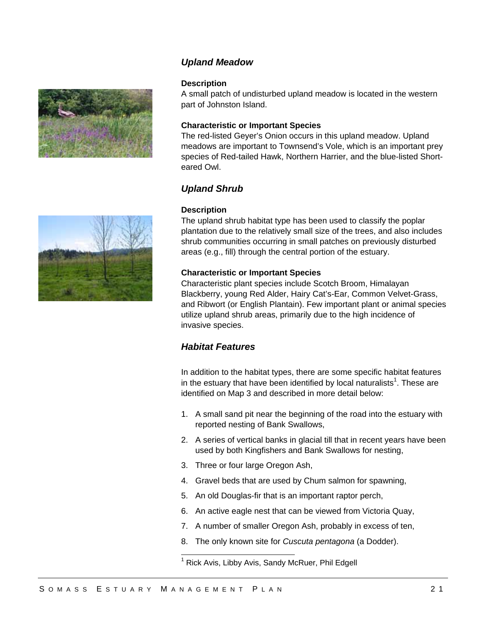



# *Upland Meadow*

#### **Description**

A small patch of undisturbed upland meadow is located in the western part of Johnston Island.

#### **Characteristic or Important Species**

The red-listed Geyer's Onion occurs in this upland meadow. Upland meadows are important to Townsend's Vole, which is an important prey species of Red-tailed Hawk, Northern Harrier, and the blue-listed Shorteared Owl.

#### *Upland Shrub*

#### **Description**

The upland shrub habitat type has been used to classify the poplar plantation due to the relatively small size of the trees, and also includes shrub communities occurring in small patches on previously disturbed areas (e.g., fill) through the central portion of the estuary.

#### **Characteristic or Important Species**

Characteristic plant species include Scotch Broom, Himalayan Blackberry, young Red Alder, Hairy Cat's-Ear, Common Velvet-Grass, and Ribwort (or English Plantain). Few important plant or animal species utilize upland shrub areas, primarily due to the high incidence of invasive species.

# *Habitat Features*

In addition to the habitat types, there are some specific habitat features in the estuary that have been identified by local naturalists<sup>1</sup>. These are identified on Map 3 and described in more detail below:

- 1. A small sand pit near the beginning of the road into the estuary with reported nesting of Bank Swallows,
- 2. A series of vertical banks in glacial till that in recent years have been used by both Kingfishers and Bank Swallows for nesting,
- 3. Three or four large Oregon Ash,
- 4. Gravel beds that are used by Chum salmon for spawning,
- 5. An old Douglas-fir that is an important raptor perch,
- 6. An active eagle nest that can be viewed from Victoria Quay,
- 7. A number of smaller Oregon Ash, probably in excess of ten,
- 8. The only known site for *Cuscuta pentagona* (a Dodder).

l

<sup>&</sup>lt;sup>1</sup> Rick Avis, Libby Avis, Sandy McRuer, Phil Edgell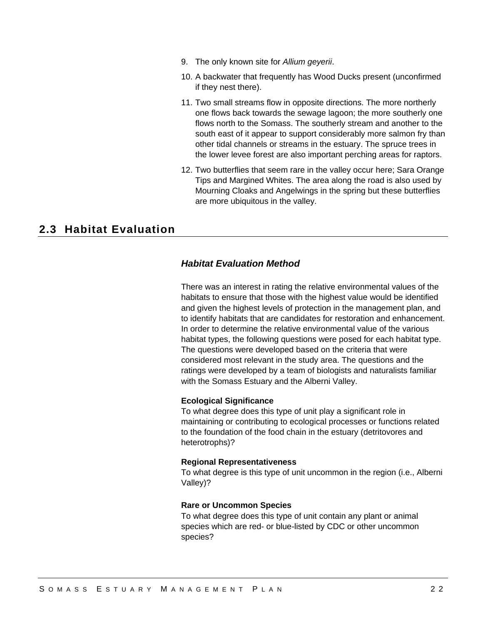- 9. The only known site for *Allium geyerii*.
- 10. A backwater that frequently has Wood Ducks present (unconfirmed if they nest there).
- 11. Two small streams flow in opposite directions. The more northerly one flows back towards the sewage lagoon; the more southerly one flows north to the Somass. The southerly stream and another to the south east of it appear to support considerably more salmon fry than other tidal channels or streams in the estuary. The spruce trees in the lower levee forest are also important perching areas for raptors.
- 12. Two butterflies that seem rare in the valley occur here; Sara Orange Tips and Margined Whites. The area along the road is also used by Mourning Cloaks and Angelwings in the spring but these butterflies are more ubiquitous in the valley.

# **2.3 Habitat Evaluation**

# *Habitat Evaluation Method*

There was an interest in rating the relative environmental values of the habitats to ensure that those with the highest value would be identified and given the highest levels of protection in the management plan, and to identify habitats that are candidates for restoration and enhancement. In order to determine the relative environmental value of the various habitat types, the following questions were posed for each habitat type. The questions were developed based on the criteria that were considered most relevant in the study area. The questions and the ratings were developed by a team of biologists and naturalists familiar with the Somass Estuary and the Alberni Valley.

#### **Ecological Significance**

To what degree does this type of unit play a significant role in maintaining or contributing to ecological processes or functions related to the foundation of the food chain in the estuary (detritovores and heterotrophs)?

#### **Regional Representativeness**

To what degree is this type of unit uncommon in the region (i.e., Alberni Valley)?

#### **Rare or Uncommon Species**

To what degree does this type of unit contain any plant or animal species which are red- or blue-listed by CDC or other uncommon species?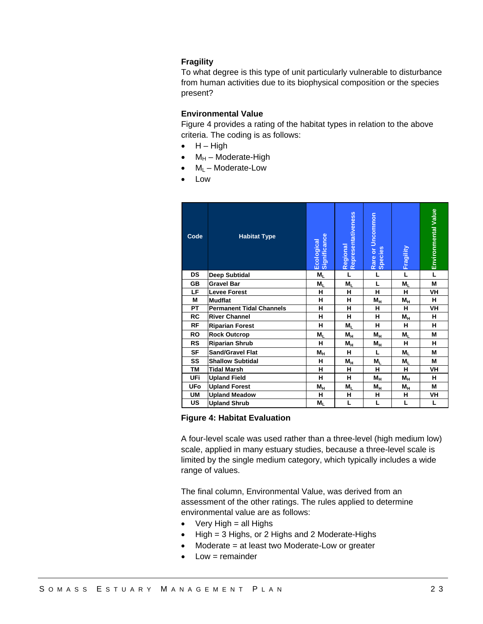#### **Fragility**

To what degree is this type of unit particularly vulnerable to disturbance from human activities due to its biophysical composition or the species present?

#### **Environmental Value**

Figure 4 provides a rating of the habitat types in relation to the above criteria. The coding is as follows:

- $\bullet$  H High
- $M_H$  Moderate-High
- $M_l$  Moderate-Low
- Low

| Code      | <b>Habitat Type</b>             | Ecological<br>Significance | Regional<br>Representativeness | Rare or Uncommon<br>Species | Fragility      | Environmental Value |
|-----------|---------------------------------|----------------------------|--------------------------------|-----------------------------|----------------|---------------------|
| <b>DS</b> | Deep Subtidal                   | $M_{L}$                    | L                              | L                           | L              | L                   |
| GB        | <b>Gravel Bar</b>               | $M_{L}$                    | $M_{L}$                        | L                           | $M_{L}$        | М                   |
| LF.       | <b>Levee Forest</b>             | н                          | н                              | н                           | н              | VH                  |
| М         | <b>Mudflat</b>                  | н                          | н                              | $M_H$                       | $M_H$          | н                   |
| РT        | <b>Permanent Tidal Channels</b> | н                          | н                              | н                           | н              | VH                  |
| RC        | <b>River Channel</b>            | н                          | н                              | н                           | $M_H$          | н                   |
| RF        | <b>Riparian Forest</b>          | н                          | $M_{L}$                        | н                           | н              | н                   |
| <b>RO</b> | <b>Rock Outcrop</b>             | М,                         | М <sub>н</sub>                 | $M_H$                       | M,             | М                   |
| <b>RS</b> | <b>Riparian Shrub</b>           | н                          | $M_H$                          | Мн                          | н              | н                   |
| <b>SF</b> | <b>Sand/Gravel Flat</b>         | Mн                         | н                              | L                           | $M_{L}$        | М                   |
| SS        | <b>Shallow Subtidal</b>         | н                          | $M_{\underline{H}}$            | $M_{L}$                     | $M_{L}$        | М                   |
| TМ        | <b>Tidal Marsh</b>              | н                          | н                              | н                           | н              | VH                  |
| UFi       | <b>Upland Field</b>             | н                          | н                              | М <sub>н</sub>              | М <sub>н</sub> | н                   |
| UFo       | <b>Upland Forest</b>            | М <sub>н</sub>             | M,                             | М <sub>н</sub>              | М <sub>н</sub> | М                   |
| UM        | <b>Upland Meadow</b>            | н                          | н                              | н                           | н              | VH                  |
| US        | <b>Upland Shrub</b>             | $M_{L}$                    | L                              | L                           | L              | L                   |

#### **Figure 4: Habitat Evaluation**

A four-level scale was used rather than a three-level (high medium low) scale, applied in many estuary studies, because a three-level scale is limited by the single medium category, which typically includes a wide range of values.

The final column, Environmental Value, was derived from an assessment of the other ratings. The rules applied to determine environmental value are as follows:

- $\bullet$  Very High = all Highs
- High = 3 Highs, or 2 Highs and 2 Moderate-Highs
- Moderate = at least two Moderate-Low or greater
- Low = remainder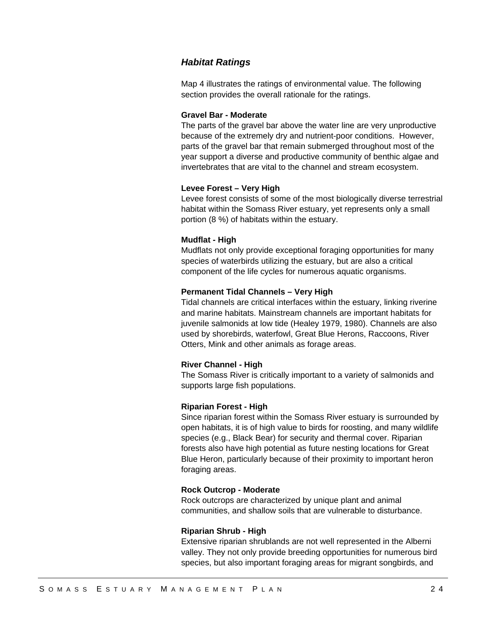#### *Habitat Ratings*

Map 4 illustrates the ratings of environmental value. The following section provides the overall rationale for the ratings.

#### **Gravel Bar - Moderate**

The parts of the gravel bar above the water line are very unproductive because of the extremely dry and nutrient-poor conditions. However, parts of the gravel bar that remain submerged throughout most of the year support a diverse and productive community of benthic algae and invertebrates that are vital to the channel and stream ecosystem.

#### **Levee Forest – Very High**

Levee forest consists of some of the most biologically diverse terrestrial habitat within the Somass River estuary, yet represents only a small portion (8 %) of habitats within the estuary.

#### **Mudflat - High**

Mudflats not only provide exceptional foraging opportunities for many species of waterbirds utilizing the estuary, but are also a critical component of the life cycles for numerous aquatic organisms.

#### **Permanent Tidal Channels – Very High**

Tidal channels are critical interfaces within the estuary, linking riverine and marine habitats. Mainstream channels are important habitats for juvenile salmonids at low tide (Healey 1979, 1980). Channels are also used by shorebirds, waterfowl, Great Blue Herons, Raccoons, River Otters, Mink and other animals as forage areas.

#### **River Channel - High**

The Somass River is critically important to a variety of salmonids and supports large fish populations.

#### **Riparian Forest - High**

Since riparian forest within the Somass River estuary is surrounded by open habitats, it is of high value to birds for roosting, and many wildlife species (e.g., Black Bear) for security and thermal cover. Riparian forests also have high potential as future nesting locations for Great Blue Heron, particularly because of their proximity to important heron foraging areas.

#### **Rock Outcrop - Moderate**

Rock outcrops are characterized by unique plant and animal communities, and shallow soils that are vulnerable to disturbance.

#### **Riparian Shrub - High**

Extensive riparian shrublands are not well represented in the Alberni valley. They not only provide breeding opportunities for numerous bird species, but also important foraging areas for migrant songbirds, and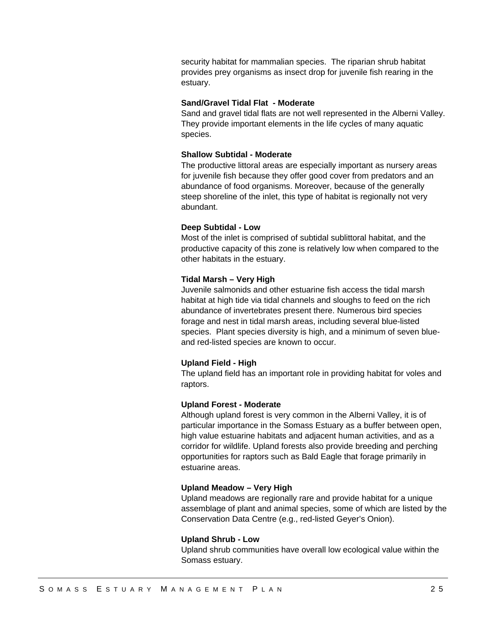security habitat for mammalian species. The riparian shrub habitat provides prey organisms as insect drop for juvenile fish rearing in the estuary.

#### **Sand/Gravel Tidal Flat - Moderate**

Sand and gravel tidal flats are not well represented in the Alberni Valley. They provide important elements in the life cycles of many aquatic species.

#### **Shallow Subtidal - Moderate**

The productive littoral areas are especially important as nursery areas for juvenile fish because they offer good cover from predators and an abundance of food organisms. Moreover, because of the generally steep shoreline of the inlet, this type of habitat is regionally not very abundant.

#### **Deep Subtidal - Low**

Most of the inlet is comprised of subtidal sublittoral habitat, and the productive capacity of this zone is relatively low when compared to the other habitats in the estuary.

#### **Tidal Marsh – Very High**

Juvenile salmonids and other estuarine fish access the tidal marsh habitat at high tide via tidal channels and sloughs to feed on the rich abundance of invertebrates present there. Numerous bird species forage and nest in tidal marsh areas, including several blue-listed species. Plant species diversity is high, and a minimum of seven blueand red-listed species are known to occur.

#### **Upland Field - High**

The upland field has an important role in providing habitat for voles and raptors.

#### **Upland Forest - Moderate**

Although upland forest is very common in the Alberni Valley, it is of particular importance in the Somass Estuary as a buffer between open, high value estuarine habitats and adjacent human activities, and as a corridor for wildlife. Upland forests also provide breeding and perching opportunities for raptors such as Bald Eagle that forage primarily in estuarine areas.

#### **Upland Meadow – Very High**

Upland meadows are regionally rare and provide habitat for a unique assemblage of plant and animal species, some of which are listed by the Conservation Data Centre (e.g., red-listed Geyer's Onion).

#### **Upland Shrub - Low**

Upland shrub communities have overall low ecological value within the Somass estuary.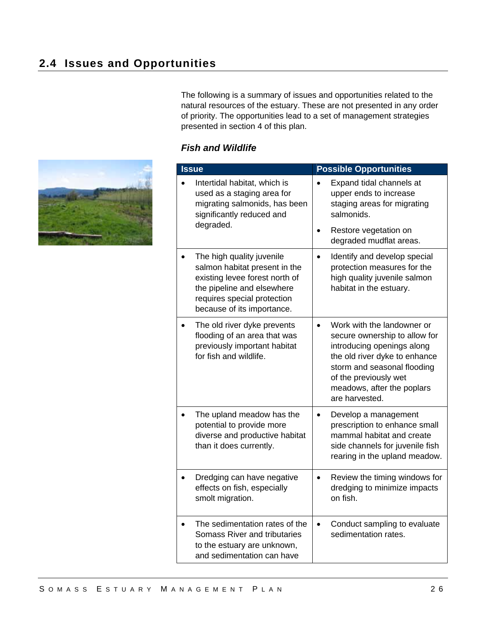The following is a summary of issues and opportunities related to the natural resources of the estuary. These are not presented in any order of priority. The opportunities lead to a set of management strategies presented in section 4 of this plan.

## *Fish and Wildlife*

| <b>Issue</b>                                                                                                                          |                                                                                                                                                                                         | <b>Possible Opportunities</b>                                                                                                                                                                                                      |  |
|---------------------------------------------------------------------------------------------------------------------------------------|-----------------------------------------------------------------------------------------------------------------------------------------------------------------------------------------|------------------------------------------------------------------------------------------------------------------------------------------------------------------------------------------------------------------------------------|--|
| Intertidal habitat, which is<br>used as a staging area for<br>migrating salmonids, has been<br>significantly reduced and<br>degraded. |                                                                                                                                                                                         | Expand tidal channels at<br>upper ends to increase<br>staging areas for migrating<br>salmonids.                                                                                                                                    |  |
|                                                                                                                                       |                                                                                                                                                                                         | Restore vegetation on<br>degraded mudflat areas.                                                                                                                                                                                   |  |
|                                                                                                                                       | The high quality juvenile<br>salmon habitat present in the<br>existing levee forest north of<br>the pipeline and elsewhere<br>requires special protection<br>because of its importance. | Identify and develop special<br>$\bullet$<br>protection measures for the<br>high quality juvenile salmon<br>habitat in the estuary.                                                                                                |  |
|                                                                                                                                       | The old river dyke prevents<br>flooding of an area that was<br>previously important habitat<br>for fish and wildlife.                                                                   | Work with the landowner or<br>secure ownership to allow for<br>introducing openings along<br>the old river dyke to enhance<br>storm and seasonal flooding<br>of the previously wet<br>meadows, after the poplars<br>are harvested. |  |
|                                                                                                                                       | The upland meadow has the<br>potential to provide more<br>diverse and productive habitat<br>than it does currently.                                                                     | Develop a management<br>prescription to enhance small<br>mammal habitat and create<br>side channels for juvenile fish<br>rearing in the upland meadow.                                                                             |  |
|                                                                                                                                       | Dredging can have negative<br>effects on fish, especially<br>smolt migration.                                                                                                           | Review the timing windows for<br>$\bullet$<br>dredging to minimize impacts<br>on fish.                                                                                                                                             |  |
|                                                                                                                                       | The sedimentation rates of the<br>Somass River and tributaries<br>to the estuary are unknown,<br>and sedimentation can have                                                             | Conduct sampling to evaluate<br>sedimentation rates.                                                                                                                                                                               |  |

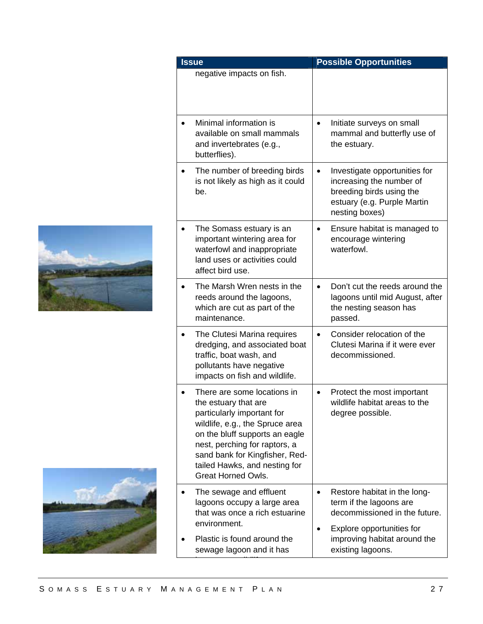

| <b>Issue</b>                                                                    |                                                                                                                                                                                                      |           | <b>Possible Opportunities</b>                                                                                                          |
|---------------------------------------------------------------------------------|------------------------------------------------------------------------------------------------------------------------------------------------------------------------------------------------------|-----------|----------------------------------------------------------------------------------------------------------------------------------------|
| negative impacts on fish.                                                       |                                                                                                                                                                                                      |           |                                                                                                                                        |
| Minimal information is<br>and invertebrates (e.g.,<br>butterflies).             | available on small mammals                                                                                                                                                                           | $\bullet$ | Initiate surveys on small<br>mammal and butterfly use of<br>the estuary.                                                               |
| be.                                                                             | The number of breeding birds<br>is not likely as high as it could                                                                                                                                    | $\bullet$ | Investigate opportunities for<br>increasing the number of<br>breeding birds using the<br>estuary (e.g. Purple Martin<br>nesting boxes) |
| affect bird use.                                                                | The Somass estuary is an<br>important wintering area for<br>waterfowl and inappropriate<br>land uses or activities could                                                                             |           | Ensure habitat is managed to<br>encourage wintering<br>waterfowl.                                                                      |
| maintenance.                                                                    | The Marsh Wren nests in the<br>reeds around the lagoons,<br>which are cut as part of the                                                                                                             | $\bullet$ | Don't cut the reeds around the<br>lagoons until mid August, after<br>the nesting season has<br>passed.                                 |
| traffic, boat wash, and<br>pollutants have negative                             | The Clutesi Marina requires<br>dredging, and associated boat<br>impacts on fish and wildlife.                                                                                                        | $\bullet$ | Consider relocation of the<br>Clutesi Marina if it were ever<br>decommissioned.                                                        |
| the estuary that are<br>particularly important for<br><b>Great Horned Owls.</b> | There are some locations in<br>wildlife, e.g., the Spruce area<br>on the bluff supports an eagle<br>nest, perching for raptors, a<br>sand bank for Kingfisher, Red-<br>tailed Hawks, and nesting for |           | Protect the most important<br>wildlife habitat areas to the<br>degree possible.                                                        |
| The sewage and effluent<br>environment.                                         | lagoons occupy a large area<br>that was once a rich estuarine                                                                                                                                        | ٠         | Restore habitat in the long-<br>term if the lagoons are<br>decommissioned in the future.                                               |
| sewage lagoon and it has                                                        | Plastic is found around the                                                                                                                                                                          | ٠         | Explore opportunities for<br>improving habitat around the<br>existing lagoons.                                                         |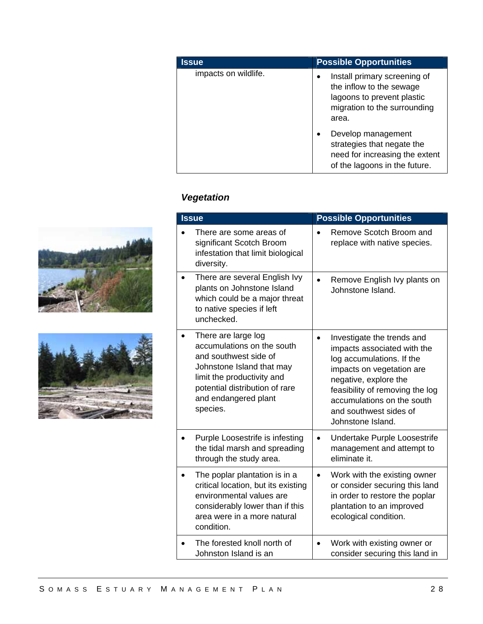| <b>Issue</b>         | <b>Possible Opportunities</b>                                                                                                                |
|----------------------|----------------------------------------------------------------------------------------------------------------------------------------------|
| impacts on wildlife. | Install primary screening of<br>$\bullet$<br>the inflow to the sewage<br>lagoons to prevent plastic<br>migration to the surrounding<br>area. |
|                      | Develop management<br>strategies that negate the<br>need for increasing the extent<br>of the lagoons in the future.                          |

# *Vegetation*

| <b>Issue</b>                                                                                                                                                                                                | <b>Possible Opportunities</b>                                                                                                                                                                                                                                |
|-------------------------------------------------------------------------------------------------------------------------------------------------------------------------------------------------------------|--------------------------------------------------------------------------------------------------------------------------------------------------------------------------------------------------------------------------------------------------------------|
| There are some areas of<br>significant Scotch Broom<br>infestation that limit biological<br>diversity.                                                                                                      | Remove Scotch Broom and<br>replace with native species.                                                                                                                                                                                                      |
| There are several English Ivy<br>plants on Johnstone Island<br>which could be a major threat<br>to native species if left<br>unchecked.                                                                     | Remove English Ivy plants on<br>Johnstone Island.                                                                                                                                                                                                            |
| There are large log<br>accumulations on the south<br>and southwest side of<br>Johnstone Island that may<br>limit the productivity and<br>potential distribution of rare<br>and endangered plant<br>species. | Investigate the trends and<br>impacts associated with the<br>log accumulations. If the<br>impacts on vegetation are<br>negative, explore the<br>feasibility of removing the log<br>accumulations on the south<br>and southwest sides of<br>Johnstone Island. |
| Purple Loosestrife is infesting<br>the tidal marsh and spreading<br>through the study area.                                                                                                                 | Undertake Purple Loosestrife<br>$\bullet$<br>management and attempt to<br>eliminate it.                                                                                                                                                                      |
| The poplar plantation is in a<br>critical location, but its existing<br>environmental values are<br>considerably lower than if this<br>area were in a more natural<br>condition.                            | Work with the existing owner<br>$\bullet$<br>or consider securing this land<br>in order to restore the poplar<br>plantation to an improved<br>ecological condition.                                                                                          |
| The forested knoll north of<br>Johnston Island is an                                                                                                                                                        | Work with existing owner or<br>consider securing this land in                                                                                                                                                                                                |



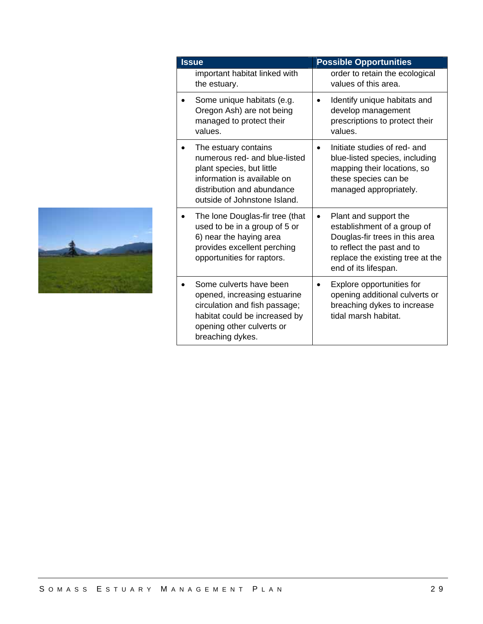| <b>Issue</b>                                                                                                                                                                    | <b>Possible Opportunities</b>                                                                                                                                                                 |  |
|---------------------------------------------------------------------------------------------------------------------------------------------------------------------------------|-----------------------------------------------------------------------------------------------------------------------------------------------------------------------------------------------|--|
| important habitat linked with<br>the estuary.                                                                                                                                   | order to retain the ecological<br>values of this area.                                                                                                                                        |  |
| Some unique habitats (e.g.<br>Oregon Ash) are not being<br>managed to protect their<br>values.                                                                                  | Identify unique habitats and<br>develop management<br>prescriptions to protect their<br>values.                                                                                               |  |
| The estuary contains<br>numerous red- and blue-listed<br>plant species, but little<br>information is available on<br>distribution and abundance<br>outside of Johnstone Island. | Initiate studies of red- and<br>blue-listed species, including<br>mapping their locations, so<br>these species can be<br>managed appropriately.                                               |  |
| The lone Douglas-fir tree (that<br>used to be in a group of 5 or<br>6) near the haying area<br>provides excellent perching<br>opportunities for raptors.                        | Plant and support the<br>$\bullet$<br>establishment of a group of<br>Douglas-fir trees in this area<br>to reflect the past and to<br>replace the existing tree at the<br>end of its lifespan. |  |
| Some culverts have been<br>opened, increasing estuarine<br>circulation and fish passage;<br>habitat could be increased by<br>opening other culverts or<br>breaching dykes.      | Explore opportunities for<br>opening additional culverts or<br>breaching dykes to increase<br>tidal marsh habitat.                                                                            |  |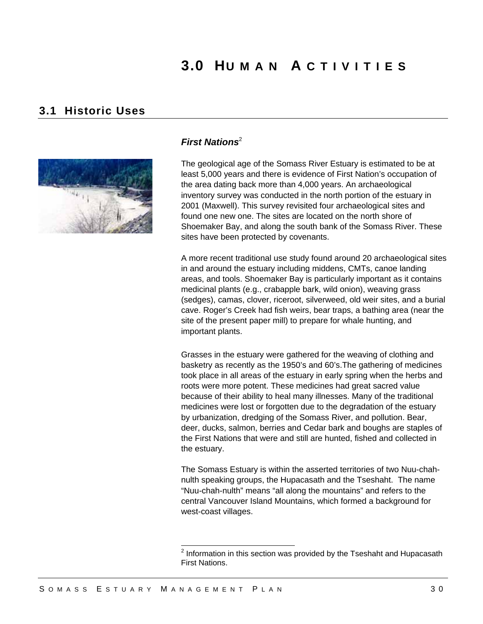# **3.0 HUMAN A CTIVITIES**

## **3.1 Historic Uses**



### *First Nations*<sup>2</sup>

The geological age of the Somass River Estuary is estimated to be at least 5,000 years and there is evidence of First Nation's occupation of the area dating back more than 4,000 years. An archaeological inventory survey was conducted in the north portion of the estuary in 2001 (Maxwell). This survey revisited four archaeological sites and found one new one. The sites are located on the north shore of Shoemaker Bay, and along the south bank of the Somass River. These sites have been protected by covenants.

A more recent traditional use study found around 20 archaeological sites in and around the estuary including middens, CMTs, canoe landing areas, and tools. Shoemaker Bay is particularly important as it contains medicinal plants (e.g., crabapple bark, wild onion), weaving grass (sedges), camas, clover, riceroot, silverweed, old weir sites, and a burial cave. Roger's Creek had fish weirs, bear traps, a bathing area (near the site of the present paper mill) to prepare for whale hunting, and important plants.

Grasses in the estuary were gathered for the weaving of clothing and basketry as recently as the 1950's and 60's.The gathering of medicines took place in all areas of the estuary in early spring when the herbs and roots were more potent. These medicines had great sacred value because of their ability to heal many illnesses. Many of the traditional medicines were lost or forgotten due to the degradation of the estuary by urbanization, dredging of the Somass River, and pollution. Bear, deer, ducks, salmon, berries and Cedar bark and boughs are staples of the First Nations that were and still are hunted, fished and collected in the estuary.

The Somass Estuary is within the asserted territories of two Nuu-chahnulth speaking groups, the Hupacasath and the Tseshaht. The name "Nuu-chah-nulth" means "all along the mountains" and refers to the central Vancouver Island Mountains, which formed a background for west-coast villages.

<sup>&</sup>lt;sup>2</sup> Information in this section was provided by the Tseshaht and Hupacasath First Nations.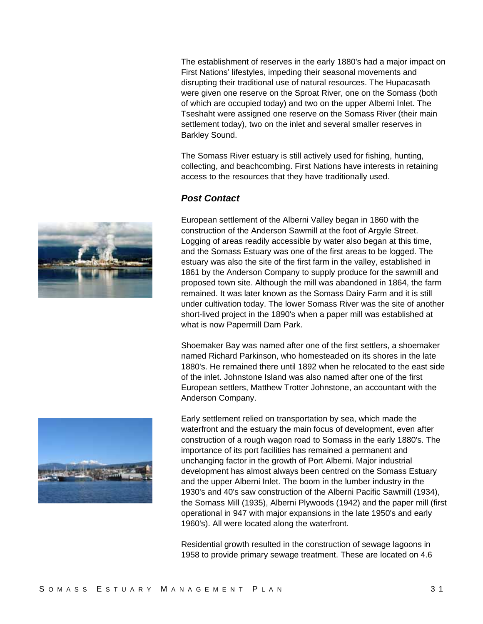The establishment of reserves in the early 1880's had a major impact on First Nations' lifestyles, impeding their seasonal movements and disrupting their traditional use of natural resources. The Hupacasath were given one reserve on the Sproat River, one on the Somass (both of which are occupied today) and two on the upper Alberni Inlet. The Tseshaht were assigned one reserve on the Somass River (their main settlement today), two on the inlet and several smaller reserves in Barkley Sound.

The Somass River estuary is still actively used for fishing, hunting, collecting, and beachcombing. First Nations have interests in retaining access to the resources that they have traditionally used.

### *Post Contact*

European settlement of the Alberni Valley began in 1860 with the construction of the Anderson Sawmill at the foot of Argyle Street. Logging of areas readily accessible by water also began at this time, and the Somass Estuary was one of the first areas to be logged. The estuary was also the site of the first farm in the valley, established in 1861 by the Anderson Company to supply produce for the sawmill and proposed town site. Although the mill was abandoned in 1864, the farm remained. It was later known as the Somass Dairy Farm and it is still under cultivation today. The lower Somass River was the site of another short-lived project in the 1890's when a paper mill was established at what is now Papermill Dam Park.

Shoemaker Bay was named after one of the first settlers, a shoemaker named Richard Parkinson, who homesteaded on its shores in the late 1880's. He remained there until 1892 when he relocated to the east side of the inlet. Johnstone Island was also named after one of the first European settlers, Matthew Trotter Johnstone, an accountant with the Anderson Company.



Early settlement relied on transportation by sea, which made the waterfront and the estuary the main focus of development, even after construction of a rough wagon road to Somass in the early 1880's. The importance of its port facilities has remained a permanent and unchanging factor in the growth of Port Alberni. Major industrial development has almost always been centred on the Somass Estuary and the upper Alberni Inlet. The boom in the lumber industry in the 1930's and 40's saw construction of the Alberni Pacific Sawmill (1934), the Somass Mill (1935), Alberni Plywoods (1942) and the paper mill (first operational in 947 with major expansions in the late 1950's and early 1960's). All were located along the waterfront.

Residential growth resulted in the construction of sewage lagoons in 1958 to provide primary sewage treatment. These are located on 4.6

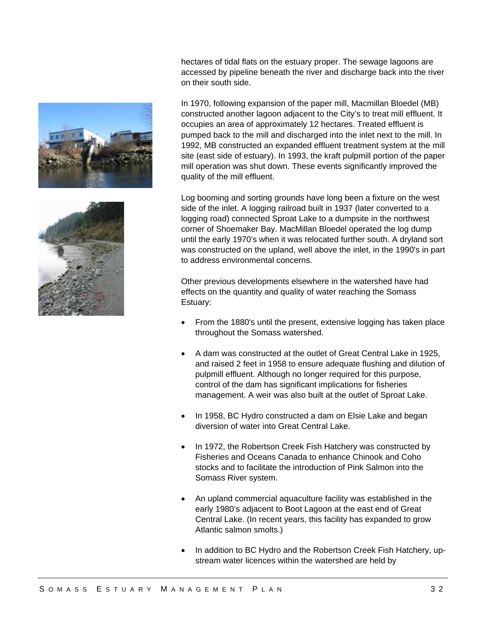



hectares of tidal flats on the estuary proper. The sewage lagoons are accessed by pipeline beneath the river and discharge back into the river on their south side.

In 1970, following expansion of the paper mill, Macmillan Bloedel (MB) constructed another lagoon adjacent to the City's to treat mill effluent. It occupies an area of approximately 12 hectares. Treated effluent is pumped back to the mill and discharged into the inlet next to the mill. In 1992, MB constructed an expanded effluent treatment system at the mill site (east side of estuary). In 1993, the kraft pulpmill portion of the paper mill operation was shut down. These events significantly improved the quality of the mill effluent.

Log booming and sorting grounds have long been a fixture on the west side of the inlet. A logging railroad built in 1937 (later converted to a logging road) connected Sproat Lake to a dumpsite in the northwest corner of Shoemaker Bay. MacMillan Bloedel operated the log dump until the early 1970's when it was relocated further south. A dryland sort was constructed on the upland, well above the inlet, in the 1990's in part to address environmental concerns.

Other previous developments elsewhere in the watershed have had effects on the quantity and quality of water reaching the Somass Estuary:

- From the 1880's until the present, extensive logging has taken place throughout the Somass watershed.
- A dam was constructed at the outlet of Great Central Lake in 1925, and raised 2 feet in 1958 to ensure adequate flushing and dilution of pulpmill effluent. Although no longer required for this purpose, control of the dam has significant implications for fisheries management. A weir was also built at the outlet of Sproat Lake.
- In 1958, BC Hydro constructed a dam on Elsie Lake and began diversion of water into Great Central Lake.
- In 1972, the Robertson Creek Fish Hatchery was constructed by Fisheries and Oceans Canada to enhance Chinook and Coho stocks and to facilitate the introduction of Pink Salmon into the Somass River system.
- An upland commercial aquaculture facility was established in the early 1980's adjacent to Boot Lagoon at the east end of Great Central Lake. (In recent years, this facility has expanded to grow Atlantic salmon smolts.)
- In addition to BC Hydro and the Robertson Creek Fish Hatchery, upstream water licences within the watershed are held by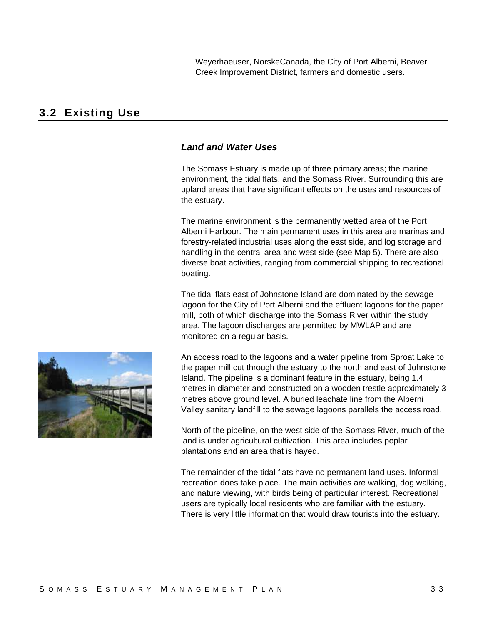Weyerhaeuser, NorskeCanada, the City of Port Alberni, Beaver Creek Improvement District, farmers and domestic users.

## **3.2 Existing Use**

### *Land and Water Uses*

The Somass Estuary is made up of three primary areas; the marine environment, the tidal flats, and the Somass River. Surrounding this are upland areas that have significant effects on the uses and resources of the estuary.

The marine environment is the permanently wetted area of the Port Alberni Harbour. The main permanent uses in this area are marinas and forestry-related industrial uses along the east side, and log storage and handling in the central area and west side (see Map 5). There are also diverse boat activities, ranging from commercial shipping to recreational boating.

The tidal flats east of Johnstone Island are dominated by the sewage lagoon for the City of Port Alberni and the effluent lagoons for the paper mill, both of which discharge into the Somass River within the study area. The lagoon discharges are permitted by MWLAP and are monitored on a regular basis.

An access road to the lagoons and a water pipeline from Sproat Lake to the paper mill cut through the estuary to the north and east of Johnstone Island. The pipeline is a dominant feature in the estuary, being 1.4 metres in diameter and constructed on a wooden trestle approximately 3 metres above ground level. A buried leachate line from the Alberni Valley sanitary landfill to the sewage lagoons parallels the access road.

North of the pipeline, on the west side of the Somass River, much of the land is under agricultural cultivation. This area includes poplar plantations and an area that is hayed.

The remainder of the tidal flats have no permanent land uses. Informal recreation does take place. The main activities are walking, dog walking, and nature viewing, with birds being of particular interest. Recreational users are typically local residents who are familiar with the estuary. There is very little information that would draw tourists into the estuary.

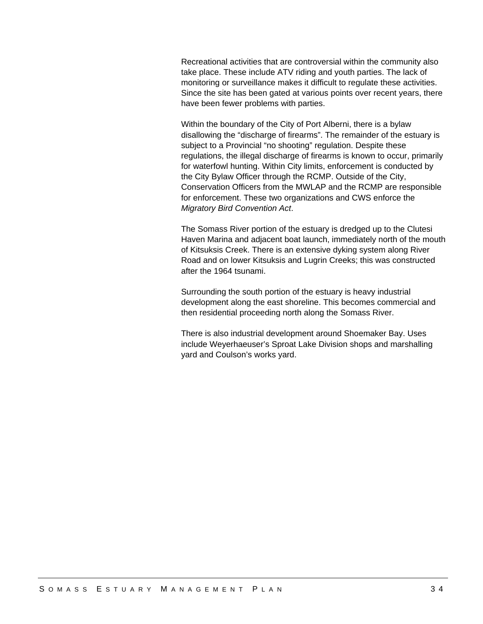Recreational activities that are controversial within the community also take place. These include ATV riding and youth parties. The lack of monitoring or surveillance makes it difficult to regulate these activities. Since the site has been gated at various points over recent years, there have been fewer problems with parties.

Within the boundary of the City of Port Alberni, there is a bylaw disallowing the "discharge of firearms". The remainder of the estuary is subject to a Provincial "no shooting" regulation. Despite these regulations, the illegal discharge of firearms is known to occur, primarily for waterfowl hunting. Within City limits, enforcement is conducted by the City Bylaw Officer through the RCMP. Outside of the City, Conservation Officers from the MWLAP and the RCMP are responsible for enforcement. These two organizations and CWS enforce the *Migratory Bird Convention Act*.

The Somass River portion of the estuary is dredged up to the Clutesi Haven Marina and adjacent boat launch, immediately north of the mouth of Kitsuksis Creek. There is an extensive dyking system along River Road and on lower Kitsuksis and Lugrin Creeks; this was constructed after the 1964 tsunami.

Surrounding the south portion of the estuary is heavy industrial development along the east shoreline. This becomes commercial and then residential proceeding north along the Somass River.

There is also industrial development around Shoemaker Bay. Uses include Weyerhaeuser's Sproat Lake Division shops and marshalling yard and Coulson's works yard.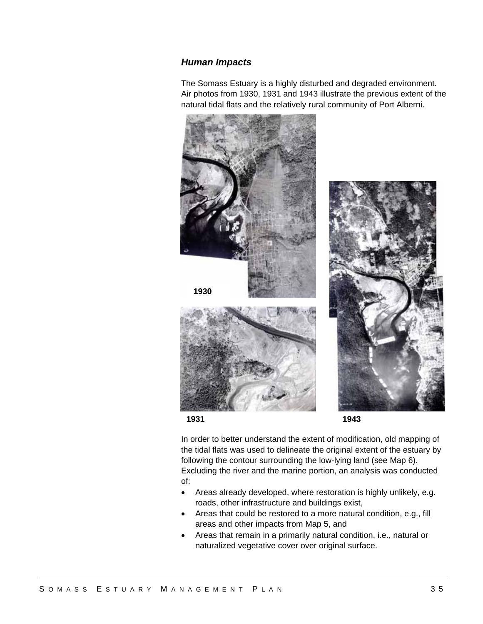#### *Human Impacts*

The Somass Estuary is a highly disturbed and degraded environment. Air photos from 1930, 1931 and 1943 illustrate the previous extent of the natural tidal flats and the relatively rural community of Port Alberni.





In order to better understand the extent of modification, old mapping of the tidal flats was used to delineate the original extent of the estuary by following the contour surrounding the low-lying land (see Map 6). Excluding the river and the marine portion, an analysis was conducted of:

- Areas already developed, where restoration is highly unlikely, e.g. roads, other infrastructure and buildings exist,
- Areas that could be restored to a more natural condition, e.g., fill areas and other impacts from Map 5, and
- Areas that remain in a primarily natural condition, i.e., natural or naturalized vegetative cover over original surface.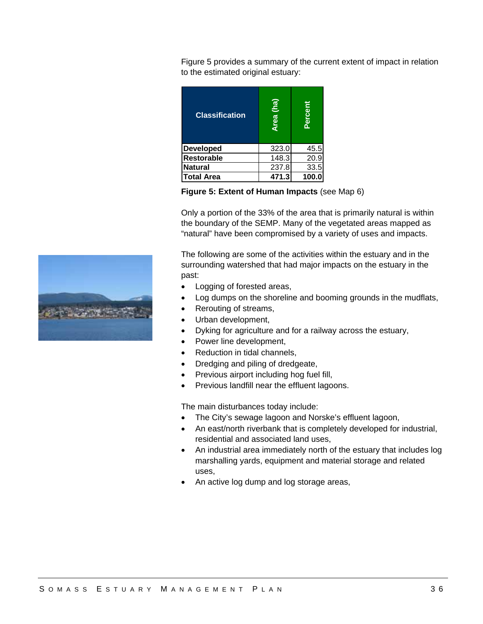Figure 5 provides a summary of the current extent of impact in relation to the estimated original estuary:

| <b>Classification</b> | (ha)<br><b>Area</b> | Percent |
|-----------------------|---------------------|---------|
| <b>Developed</b>      | 323.0               | 45.5    |
| <b>Restorable</b>     | 148.3               | 20.9    |
| <b>Natural</b>        | 237.8               | 33.5    |
| <b>Total Area</b>     | 471.3               | 100.0   |

**Figure 5: Extent of Human Impacts** (see Map 6)

Only a portion of the 33% of the area that is primarily natural is within the boundary of the SEMP. Many of the vegetated areas mapped as "natural" have been compromised by a variety of uses and impacts.

The following are some of the activities within the estuary and in the surrounding watershed that had major impacts on the estuary in the past:

- Logging of forested areas,
- Log dumps on the shoreline and booming grounds in the mudflats,
- Rerouting of streams,
- Urban development,
- Dyking for agriculture and for a railway across the estuary,
- Power line development,
- Reduction in tidal channels,
- Dredging and piling of dredgeate,
- Previous airport including hog fuel fill,
- Previous landfill near the effluent lagoons.

The main disturbances today include:

- The City's sewage lagoon and Norske's effluent lagoon,
- An east/north riverbank that is completely developed for industrial, residential and associated land uses,
- An industrial area immediately north of the estuary that includes log marshalling yards, equipment and material storage and related uses,
- An active log dump and log storage areas,

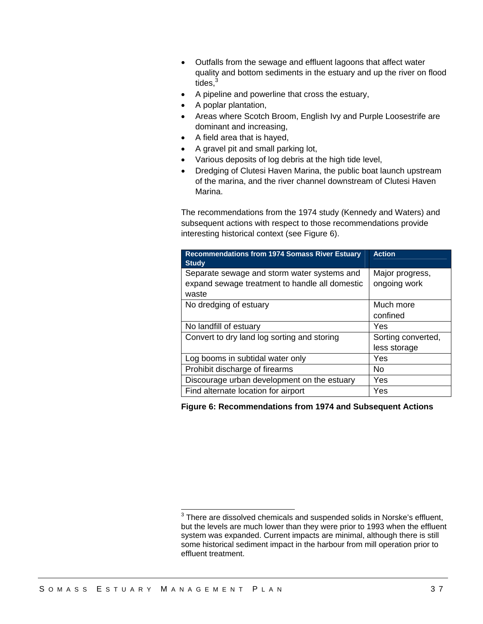- Outfalls from the sewage and effluent lagoons that affect water quality and bottom sediments in the estuary and up the river on flood tides, $3$
- A pipeline and powerline that cross the estuary,
- A poplar plantation,
- Areas where Scotch Broom, English Ivy and Purple Loosestrife are dominant and increasing,
- A field area that is hayed,
- A gravel pit and small parking lot,
- Various deposits of log debris at the high tide level,
- Dredging of Clutesi Haven Marina, the public boat launch upstream of the marina, and the river channel downstream of Clutesi Haven Marina.

The recommendations from the 1974 study (Kennedy and Waters) and subsequent actions with respect to those recommendations provide interesting historical context (see Figure 6).

| <b>Recommendations from 1974 Somass River Estuary</b><br><b>Study</b>                                  | <b>Action</b>                      |
|--------------------------------------------------------------------------------------------------------|------------------------------------|
| Separate sewage and storm water systems and<br>expand sewage treatment to handle all domestic<br>waste | Major progress,<br>ongoing work    |
| No dredging of estuary                                                                                 | Much more<br>confined              |
| No landfill of estuary                                                                                 | Yes                                |
| Convert to dry land log sorting and storing                                                            | Sorting converted,<br>less storage |
| Log booms in subtidal water only                                                                       | Yes                                |
| Prohibit discharge of firearms                                                                         | No.                                |
| Discourage urban development on the estuary                                                            | Yes                                |
| Find alternate location for airport                                                                    | Yes                                |

**Figure 6: Recommendations from 1974 and Subsequent Actions** 

 3 There are dissolved chemicals and suspended solids in Norske's effluent, but the levels are much lower than they were prior to 1993 when the effluent system was expanded. Current impacts are minimal, although there is still some historical sediment impact in the harbour from mill operation prior to effluent treatment.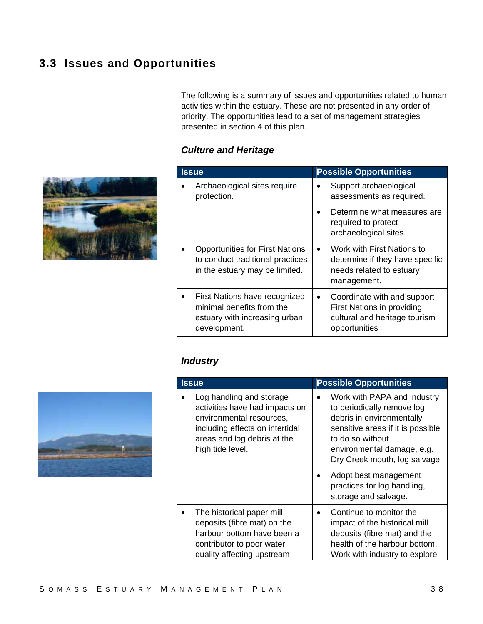The following is a summary of issues and opportunities related to human activities within the estuary. These are not presented in any order of priority. The opportunities lead to a set of management strategies presented in section 4 of this plan.

## *Culture and Heritage*

| <b>Issue</b>                                                                                                 | <b>Possible Opportunities</b>                                                                                         |  |
|--------------------------------------------------------------------------------------------------------------|-----------------------------------------------------------------------------------------------------------------------|--|
| Archaeological sites require<br>protection.                                                                  | Support archaeological<br>assessments as required.                                                                    |  |
|                                                                                                              | Determine what measures are<br>required to protect<br>archaeological sites.                                           |  |
| <b>Opportunities for First Nations</b><br>to conduct traditional practices<br>in the estuary may be limited. | Work with First Nations to<br>$\bullet$<br>determine if they have specific<br>needs related to estuary<br>management. |  |
| First Nations have recognized<br>minimal benefits from the<br>estuary with increasing urban<br>development.  | Coordinate with and support<br>First Nations in providing<br>cultural and heritage tourism<br>opportunities           |  |



| <b>Issue</b>                                                                                                                                                                 | <b>Possible Opportunities</b>                                                                                                                                                                                                                                                                  |  |  |
|------------------------------------------------------------------------------------------------------------------------------------------------------------------------------|------------------------------------------------------------------------------------------------------------------------------------------------------------------------------------------------------------------------------------------------------------------------------------------------|--|--|
| Log handling and storage<br>activities have had impacts on<br>environmental resources,<br>including effects on intertidal<br>areas and log debris at the<br>high tide level. | Work with PAPA and industry<br>to periodically remove log<br>debris in environmentally<br>sensitive areas if it is possible<br>to do so without<br>environmental damage, e.g.<br>Dry Creek mouth, log salvage.<br>Adopt best management<br>practices for log handling,<br>storage and salvage. |  |  |
| The historical paper mill<br>deposits (fibre mat) on the<br>harbour bottom have been a<br>contributor to poor water<br>quality affecting upstream                            | Continue to monitor the<br>impact of the historical mill<br>deposits (fibre mat) and the<br>health of the harbour bottom.<br>Work with industry to explore                                                                                                                                     |  |  |



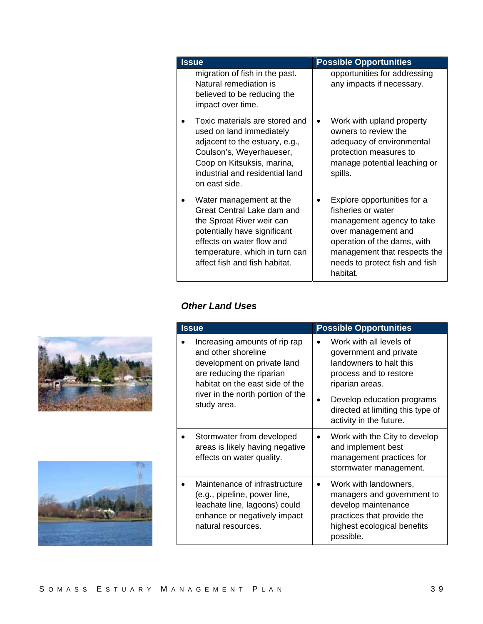| <b>Issue</b>                                                                                                                                                                                                       | <b>Possible Opportunities</b>                                                                                                                                                                                      |  |
|--------------------------------------------------------------------------------------------------------------------------------------------------------------------------------------------------------------------|--------------------------------------------------------------------------------------------------------------------------------------------------------------------------------------------------------------------|--|
| migration of fish in the past.<br>Natural remediation is<br>believed to be reducing the<br>impact over time.                                                                                                       | opportunities for addressing<br>any impacts if necessary.                                                                                                                                                          |  |
| Toxic materials are stored and<br>used on land immediately<br>adjacent to the estuary, e.g.,<br>Coulson's, Weyerhaueser,<br>Coop on Kitsuksis, marina,<br>industrial and residential land<br>on east side.         | Work with upland property<br>$\bullet$<br>owners to review the<br>adequacy of environmental<br>protection measures to<br>manage potential leaching or<br>spills.                                                   |  |
| Water management at the<br>Great Central Lake dam and<br>the Sproat River weir can<br>potentially have significant<br>effects on water flow and<br>temperature, which in turn can<br>affect fish and fish habitat. | Explore opportunities for a<br>fisheries or water<br>management agency to take<br>over management and<br>operation of the dams, with<br>management that respects the<br>needs to protect fish and fish<br>habitat. |  |

## *Other Land Uses*

| <b>Issue</b>                                                                                                                                                                                            | <b>Possible Opportunities</b>                                                                                                                                                                                           |
|---------------------------------------------------------------------------------------------------------------------------------------------------------------------------------------------------------|-------------------------------------------------------------------------------------------------------------------------------------------------------------------------------------------------------------------------|
| Increasing amounts of rip rap<br>and other shoreline<br>development on private land<br>are reducing the riparian<br>habitat on the east side of the<br>river in the north portion of the<br>study area. | Work with all levels of<br>government and private<br>landowners to halt this<br>process and to restore<br>riparian areas.<br>Develop education programs<br>directed at limiting this type of<br>activity in the future. |
| Stormwater from developed<br>areas is likely having negative<br>effects on water quality.                                                                                                               | Work with the City to develop<br>and implement best<br>management practices for<br>stormwater management.                                                                                                               |
| Maintenance of infrastructure<br>(e.g., pipeline, power line,<br>leachate line, lagoons) could<br>enhance or negatively impact<br>natural resources.                                                    | Work with landowners,<br>managers and government to<br>develop maintenance<br>practices that provide the<br>highest ecological benefits<br>possible.                                                                    |



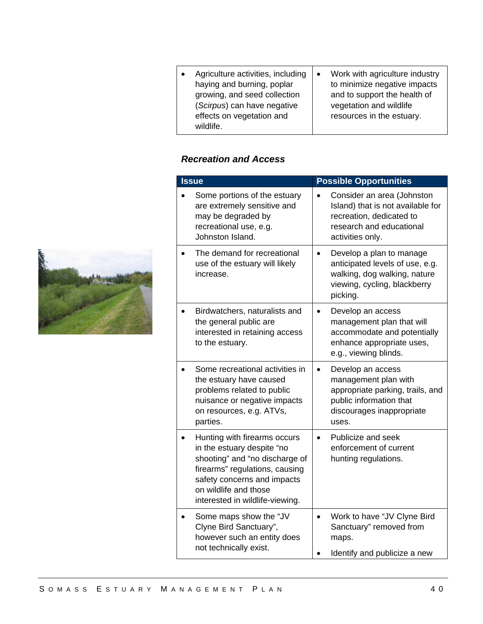- Agriculture activities, including haying and burning, poplar growing, and seed collection (*Scirpus*) can have negative effects on vegetation and wildlife.
- Work with agriculture industry to minimize negative impacts and to support the health of vegetation and wildlife resources in the estuary.

### *Recreation and Access*

| <b>Issue</b>                                                                                                                                                                                                              | <b>Possible Opportunities</b>                                                                                                                        |  |  |
|---------------------------------------------------------------------------------------------------------------------------------------------------------------------------------------------------------------------------|------------------------------------------------------------------------------------------------------------------------------------------------------|--|--|
| Some portions of the estuary<br>are extremely sensitive and<br>may be degraded by<br>recreational use, e.g.<br>Johnston Island.                                                                                           | Consider an area (Johnston<br>Island) that is not available for<br>recreation, dedicated to<br>research and educational<br>activities only.          |  |  |
| The demand for recreational<br>use of the estuary will likely<br>increase.                                                                                                                                                | Develop a plan to manage<br>$\bullet$<br>anticipated levels of use, e.g.<br>walking, dog walking, nature<br>viewing, cycling, blackberry<br>picking. |  |  |
| Birdwatchers, naturalists and<br>the general public are<br>interested in retaining access<br>to the estuary.                                                                                                              | Develop an access<br>$\bullet$<br>management plan that will<br>accommodate and potentially<br>enhance appropriate uses,<br>e.g., viewing blinds.     |  |  |
| Some recreational activities in<br>the estuary have caused<br>problems related to public<br>nuisance or negative impacts<br>on resources, e.g. ATVs,<br>parties.                                                          | Develop an access<br>management plan with<br>appropriate parking, trails, and<br>public information that<br>discourages inappropriate<br>uses.       |  |  |
| Hunting with firearms occurs<br>in the estuary despite "no<br>shooting" and "no discharge of<br>firearms" regulations, causing<br>safety concerns and impacts<br>on wildlife and those<br>interested in wildlife-viewing. | Publicize and seek<br>$\bullet$<br>enforcement of current<br>hunting regulations.                                                                    |  |  |
| Some maps show the "JV<br>Clyne Bird Sanctuary",<br>however such an entity does<br>not technically exist.                                                                                                                 | Work to have "JV Clyne Bird<br>$\bullet$<br>Sanctuary" removed from<br>maps.<br>Identify and publicize a new                                         |  |  |

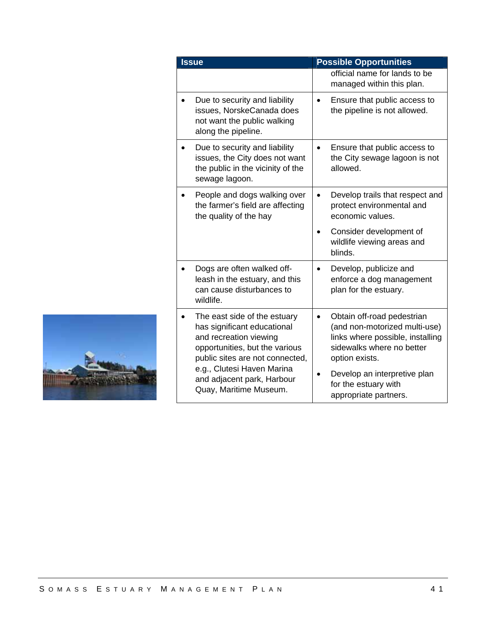| <b>Issue</b>                                                                                                                                               | <b>Possible Opportunities</b>                                                                                                                  |
|------------------------------------------------------------------------------------------------------------------------------------------------------------|------------------------------------------------------------------------------------------------------------------------------------------------|
|                                                                                                                                                            | official name for lands to be<br>managed within this plan.                                                                                     |
| Due to security and liability<br>issues, NorskeCanada does<br>not want the public walking<br>along the pipeline.                                           | Ensure that public access to<br>the pipeline is not allowed.                                                                                   |
| Due to security and liability<br>issues, the City does not want<br>the public in the vicinity of the<br>sewage lagoon.                                     | Ensure that public access to<br>the City sewage lagoon is not<br>allowed.                                                                      |
| People and dogs walking over<br>the farmer's field are affecting<br>the quality of the hay                                                                 | Develop trails that respect and<br>protect environmental and<br>economic values.                                                               |
|                                                                                                                                                            | Consider development of<br>wildlife viewing areas and<br>blinds.                                                                               |
| Dogs are often walked off-<br>leash in the estuary, and this<br>can cause disturbances to<br>wildlife.                                                     | Develop, publicize and<br>enforce a dog management<br>plan for the estuary.                                                                    |
| The east side of the estuary<br>has significant educational<br>and recreation viewing<br>opportunities, but the various<br>public sites are not connected, | Obtain off-road pedestrian<br>(and non-motorized multi-use)<br>links where possible, installing<br>sidewalks where no better<br>option exists. |
| e.g., Clutesi Haven Marina<br>and adjacent park, Harbour<br>Quay, Maritime Museum.                                                                         | Develop an interpretive plan<br>for the estuary with<br>appropriate partners.                                                                  |

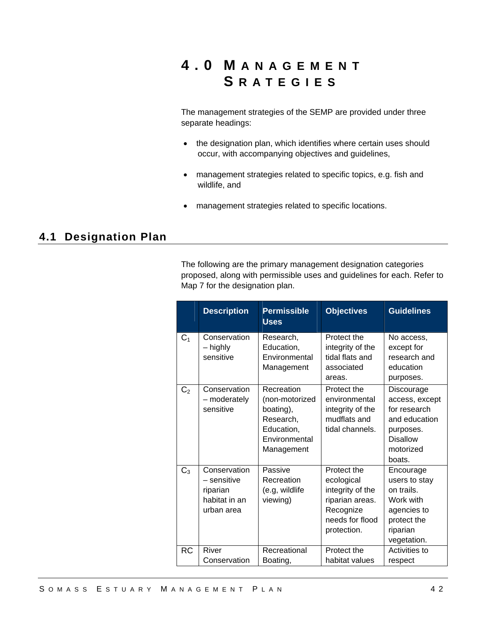# **4.0 M ANAGEMENT S RATEGIES**

The management strategies of the SEMP are provided under three separate headings:

- the designation plan, which identifies where certain uses should occur, with accompanying objectives and guidelines,
- management strategies related to specific topics, e.g. fish and wildlife, and
- management strategies related to specific locations.

## **4.1 Designation Plan**

The following are the primary management designation categories proposed, along with permissible uses and guidelines for each. Refer to Map 7 for the designation plan.

|                | <b>Description</b>                                                     | <b>Permissible</b><br><b>Uses</b>                                                                   | <b>Objectives</b>                                                                                               | <b>Guidelines</b>                                                                                                    |
|----------------|------------------------------------------------------------------------|-----------------------------------------------------------------------------------------------------|-----------------------------------------------------------------------------------------------------------------|----------------------------------------------------------------------------------------------------------------------|
| C <sub>1</sub> | Conservation<br>– highly<br>sensitive                                  | Research.<br>Education,<br>Environmental<br>Management                                              | Protect the<br>integrity of the<br>tidal flats and<br>associated<br>areas.                                      | No access,<br>except for<br>research and<br>education<br>purposes.                                                   |
| C <sub>2</sub> | Conservation<br>- moderately<br>sensitive                              | Recreation<br>(non-motorized<br>boating),<br>Research,<br>Education,<br>Environmental<br>Management | Protect the<br>environmental<br>integrity of the<br>mudflats and<br>tidal channels.                             | Discourage<br>access, except<br>for research<br>and education<br>purposes.<br><b>Disallow</b><br>motorized<br>boats. |
| $C_3$          | Conservation<br>– sensitive<br>riparian<br>habitat in an<br>urban area | Passive<br>Recreation<br>(e.g, wildlife<br>viewing)                                                 | Protect the<br>ecological<br>integrity of the<br>riparian areas.<br>Recognize<br>needs for flood<br>protection. | Encourage<br>users to stay<br>on trails.<br>Work with<br>agencies to<br>protect the<br>riparian<br>vegetation.       |
| <b>RC</b>      | River<br>Conservation                                                  | Recreational<br>Boating,                                                                            | Protect the<br>habitat values                                                                                   | Activities to<br>respect                                                                                             |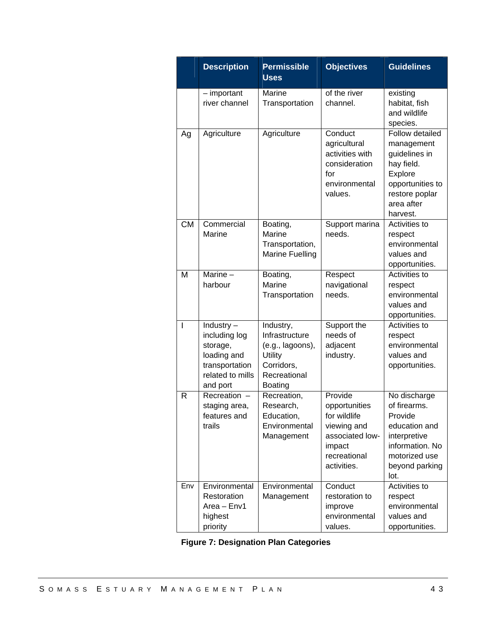|              | <b>Description</b>                                                                                         | <b>Permissible</b><br><b>Uses</b>                                                                                 | <b>Objectives</b>                                                                                                   | <b>Guidelines</b>                                                                                                                       |
|--------------|------------------------------------------------------------------------------------------------------------|-------------------------------------------------------------------------------------------------------------------|---------------------------------------------------------------------------------------------------------------------|-----------------------------------------------------------------------------------------------------------------------------------------|
|              | $-$ important<br>river channel                                                                             | Marine<br>Transportation                                                                                          | of the river<br>channel.                                                                                            | existing<br>habitat, fish<br>and wildlife<br>species.                                                                                   |
| Ag           | Agriculture                                                                                                | Agriculture                                                                                                       | Conduct<br>agricultural<br>activities with<br>consideration<br>for<br>environmental<br>values.                      | Follow detailed<br>management<br>guidelines in<br>hay field.<br>Explore<br>opportunities to<br>restore poplar<br>area after<br>harvest. |
| <b>CM</b>    | Commercial<br>Marine                                                                                       | Boating,<br>Marine<br>Transportation,<br><b>Marine Fuelling</b>                                                   | Support marina<br>needs.                                                                                            | Activities to<br>respect<br>environmental<br>values and<br>opportunities.                                                               |
| M            | Marine $-$<br>harbour                                                                                      | Boating,<br>Marine<br>Transportation                                                                              | Respect<br>navigational<br>needs.                                                                                   | Activities to<br>respect<br>environmental<br>values and<br>opportunities.                                                               |
| I            | Industry $-$<br>including log<br>storage,<br>loading and<br>transportation<br>related to mills<br>and port | Industry,<br>Infrastructure<br>(e.g., lagoons),<br><b>Utility</b><br>Corridors,<br>Recreational<br><b>Boating</b> | Support the<br>needs of<br>adjacent<br>industry.                                                                    | Activities to<br>respect<br>environmental<br>values and<br>opportunities.                                                               |
| $\mathsf{R}$ | Recreation -<br>staging area,<br>features and<br>trails                                                    | Recreation,<br>Research,<br>Education,<br>Environmental<br>Management                                             | Provide<br>opportunities<br>for wildlife<br>viewing and<br>associated low-<br>impact<br>recreational<br>activities. | No discharge<br>of firearms.<br>Provide<br>education and<br>interpretive<br>information. No<br>motorized use<br>beyond parking<br>lot.  |
| Env          | Environmental<br>Restoration<br>Area - Env1<br>highest<br>priority                                         | Environmental<br>Management                                                                                       | Conduct<br>restoration to<br>improve<br>environmental<br>values.                                                    | <b>Activities to</b><br>respect<br>environmental<br>values and<br>opportunities.                                                        |

**Figure 7: Designation Plan Categories**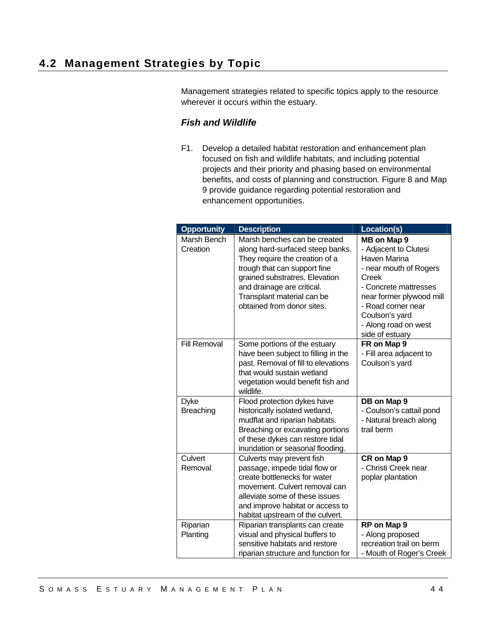Management strategies related to specific topics apply to the resource wherever it occurs within the estuary.

## *Fish and Wildlife*

F1. Develop a detailed habitat restoration and enhancement plan focused on fish and wildlife habitats, and including potential projects and their priority and phasing based on environmental benefits, and costs of planning and construction. Figure 8 and Map 9 provide guidance regarding potential restoration and enhancement opportunities.

| <b>Opportunity</b>              | <b>Description</b>                                                                                                                                                                                                                                             | Location(s)                                                                                                                                                                                                                            |
|---------------------------------|----------------------------------------------------------------------------------------------------------------------------------------------------------------------------------------------------------------------------------------------------------------|----------------------------------------------------------------------------------------------------------------------------------------------------------------------------------------------------------------------------------------|
| Marsh Bench<br>Creation         | Marsh benches can be created<br>along hard-surfaced steep banks.<br>They require the creation of a<br>trough that can support fine<br>grained substratres. Elevation<br>and drainage are critical.<br>Transplant material can be<br>obtained from donor sites. | MB on Map 9<br>- Adjacent to Clutesi<br>Haven Marina<br>- near mouth of Rogers<br><b>Creek</b><br>- Concrete mattresses<br>near former plywood mill<br>- Road corner near<br>Coulson's yard<br>- Along road on west<br>side of estuary |
| <b>Fill Removal</b>             | Some portions of the estuary<br>have been subject to filling in the<br>past. Removal of fill to elevations<br>that would sustain wetland<br>vegetation would benefit fish and<br>wildlife.                                                                     | FR on Map 9<br>- Fill area adjacent to<br>Coulson's yard                                                                                                                                                                               |
| <b>Dyke</b><br><b>Breaching</b> | Flood protection dykes have<br>historically isolated wetland,<br>mudflat and riparian habitats.<br>Breaching or excavating portions<br>of these dykes can restore tidal<br>inundation or seasonal flooding.                                                    | DB on Map 9<br>- Coulson's cattail pond<br>- Natural breach along<br>trail berm                                                                                                                                                        |
| Culvert<br>Removal              | Culverts may prevent fish<br>passage, impede tidal flow or<br>create bottlenecks for water<br>movement. Culvert removal can<br>alleviate some of these issues<br>and improve habitat or access to<br>habitat upstream of the culvert.                          | CR on Map 9<br>- Christi Creek near<br>poplar plantation                                                                                                                                                                               |
| Riparian<br>Planting            | Riparian transplants can create<br>visual and physical buffers to<br>sensitive habitats and restore<br>riparian structure and function for                                                                                                                     | RP on Map 9<br>- Along proposed<br>recreation trail on berm<br>- Mouth of Roger's Creek                                                                                                                                                |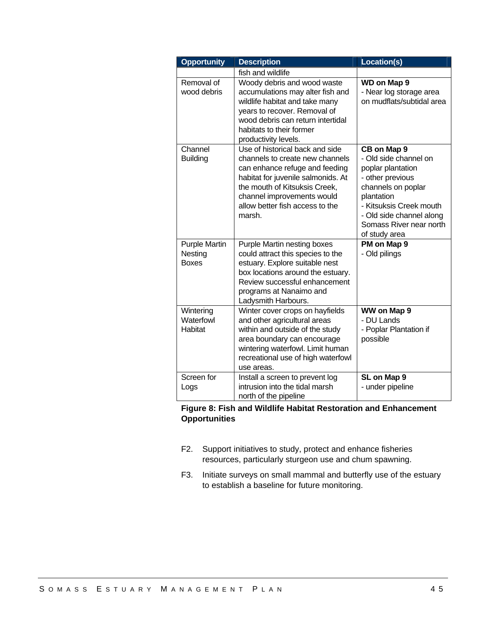| <b>Opportunity</b>                              | <b>Description</b>                                                                                                                                                                                                                                     | Location(s)                                                                                                                                                                                                          |
|-------------------------------------------------|--------------------------------------------------------------------------------------------------------------------------------------------------------------------------------------------------------------------------------------------------------|----------------------------------------------------------------------------------------------------------------------------------------------------------------------------------------------------------------------|
|                                                 | fish and wildlife                                                                                                                                                                                                                                      |                                                                                                                                                                                                                      |
| Removal of<br>wood debris                       | Woody debris and wood waste<br>accumulations may alter fish and<br>wildlife habitat and take many<br>years to recover. Removal of<br>wood debris can return intertidal<br>habitats to their former<br>productivity levels.                             | WD on Map 9<br>- Near log storage area<br>on mudflats/subtidal area                                                                                                                                                  |
| Channel<br><b>Building</b>                      | Use of historical back and side<br>channels to create new channels<br>can enhance refuge and feeding<br>habitat for juvenile salmonids. At<br>the mouth of Kitsuksis Creek,<br>channel improvements would<br>allow better fish access to the<br>marsh. | CB on Map 9<br>- Old side channel on<br>poplar plantation<br>- other previous<br>channels on poplar<br>plantation<br>- Kitsuksis Creek mouth<br>- Old side channel along<br>Somass River near north<br>of study area |
| <b>Purple Martin</b><br>Nesting<br><b>Boxes</b> | Purple Martin nesting boxes<br>could attract this species to the<br>estuary. Explore suitable nest<br>box locations around the estuary.<br>Review successful enhancement<br>programs at Nanaimo and<br>Ladysmith Harbours.                             | PM on Map 9<br>- Old pilings                                                                                                                                                                                         |
| Wintering<br>Waterfowl<br>Habitat               | Winter cover crops on hayfields<br>and other agricultural areas<br>within and outside of the study<br>area boundary can encourage<br>wintering waterfowl. Limit human<br>recreational use of high waterfowl<br>use areas.                              | WW on Map 9<br>- DU Lands<br>- Poplar Plantation if<br>possible                                                                                                                                                      |
| Screen for<br>Logs                              | Install a screen to prevent log<br>intrusion into the tidal marsh<br>north of the pipeline                                                                                                                                                             | SL on Map 9<br>- under pipeline                                                                                                                                                                                      |

### **Figure 8: Fish and Wildlife Habitat Restoration and Enhancement Opportunities**

- F2. Support initiatives to study, protect and enhance fisheries resources, particularly sturgeon use and chum spawning.
- F3. Initiate surveys on small mammal and butterfly use of the estuary to establish a baseline for future monitoring.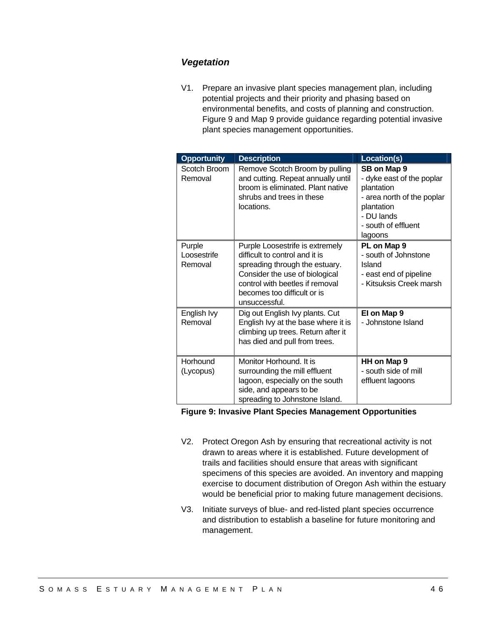### *Vegetation*

V1. Prepare an invasive plant species management plan, including potential projects and their priority and phasing based on environmental benefits, and costs of planning and construction. Figure 9 and Map 9 provide guidance regarding potential invasive plant species management opportunities.

| <b>Opportunity</b>               | <b>Description</b>                                                                                                                                                                                                       | Location(s)                                                                                                                                        |
|----------------------------------|--------------------------------------------------------------------------------------------------------------------------------------------------------------------------------------------------------------------------|----------------------------------------------------------------------------------------------------------------------------------------------------|
| Scotch Broom<br>Removal          | Remove Scotch Broom by pulling<br>and cutting. Repeat annually until<br>broom is eliminated. Plant native<br>shrubs and trees in these<br>locations.                                                                     | SB on Map 9<br>- dyke east of the poplar<br>plantation<br>- area north of the poplar<br>plantation<br>- DU lands<br>- south of effluent<br>lagoons |
| Purple<br>Loosestrife<br>Removal | Purple Loosestrife is extremely<br>difficult to control and it is<br>spreading through the estuary.<br>Consider the use of biological<br>control with beetles if removal<br>becomes too difficult or is<br>unsuccessful. | PL on Map 9<br>- south of Johnstone<br>Island<br>- east end of pipeline<br>- Kitsuksis Creek marsh                                                 |
| English Ivy<br>Removal           | Dig out English Ivy plants. Cut<br>English Ivy at the base where it is<br>climbing up trees. Return after it<br>has died and pull from trees.                                                                            | El on Map 9<br>- Johnstone Island                                                                                                                  |
| Horhound<br>(Lycopus)            | Monitor Horhound. It is<br>surrounding the mill effluent<br>lagoon, especially on the south<br>side, and appears to be<br>spreading to Johnstone Island.                                                                 | HH on Map 9<br>- south side of mill<br>effluent lagoons                                                                                            |

#### **Figure 9: Invasive Plant Species Management Opportunities**

- V2. Protect Oregon Ash by ensuring that recreational activity is not drawn to areas where it is established. Future development of trails and facilities should ensure that areas with significant specimens of this species are avoided. An inventory and mapping exercise to document distribution of Oregon Ash within the estuary would be beneficial prior to making future management decisions.
- V3. Initiate surveys of blue- and red-listed plant species occurrence and distribution to establish a baseline for future monitoring and management.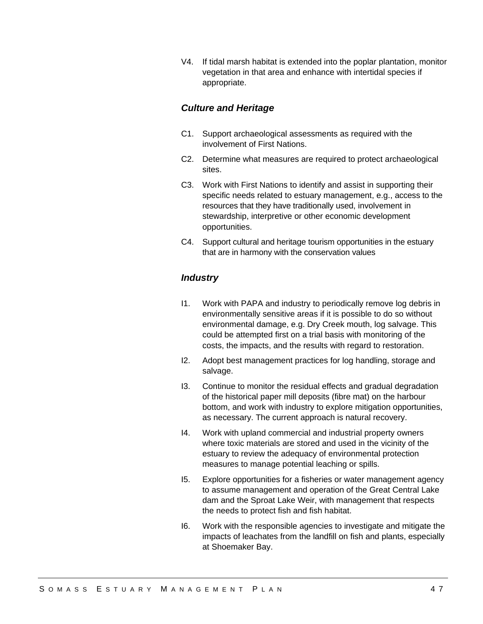V4. If tidal marsh habitat is extended into the poplar plantation, monitor vegetation in that area and enhance with intertidal species if appropriate.

### *Culture and Heritage*

- C1. Support archaeological assessments as required with the involvement of First Nations.
- C2. Determine what measures are required to protect archaeological sites.
- C3. Work with First Nations to identify and assist in supporting their specific needs related to estuary management, e.g., access to the resources that they have traditionally used, involvement in stewardship, interpretive or other economic development opportunities.
- C4. Support cultural and heritage tourism opportunities in the estuary that are in harmony with the conservation values

### *Industry*

- I1. Work with PAPA and industry to periodically remove log debris in environmentally sensitive areas if it is possible to do so without environmental damage, e.g. Dry Creek mouth, log salvage. This could be attempted first on a trial basis with monitoring of the costs, the impacts, and the results with regard to restoration.
- I2. Adopt best management practices for log handling, storage and salvage.
- I3. Continue to monitor the residual effects and gradual degradation of the historical paper mill deposits (fibre mat) on the harbour bottom, and work with industry to explore mitigation opportunities, as necessary. The current approach is natural recovery.
- I4. Work with upland commercial and industrial property owners where toxic materials are stored and used in the vicinity of the estuary to review the adequacy of environmental protection measures to manage potential leaching or spills.
- I5. Explore opportunities for a fisheries or water management agency to assume management and operation of the Great Central Lake dam and the Sproat Lake Weir, with management that respects the needs to protect fish and fish habitat.
- I6. Work with the responsible agencies to investigate and mitigate the impacts of leachates from the landfill on fish and plants, especially at Shoemaker Bay.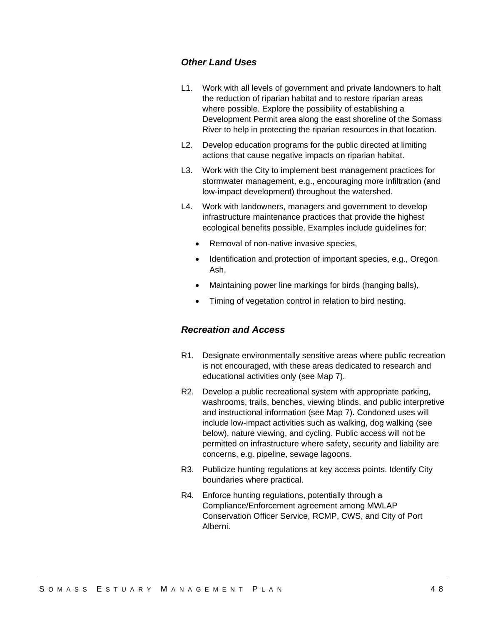### *Other Land Uses*

- L1. Work with all levels of government and private landowners to halt the reduction of riparian habitat and to restore riparian areas where possible. Explore the possibility of establishing a Development Permit area along the east shoreline of the Somass River to help in protecting the riparian resources in that location.
- L2. Develop education programs for the public directed at limiting actions that cause negative impacts on riparian habitat.
- L3. Work with the City to implement best management practices for stormwater management, e.g., encouraging more infiltration (and low-impact development) throughout the watershed.
- L4. Work with landowners, managers and government to develop infrastructure maintenance practices that provide the highest ecological benefits possible. Examples include guidelines for:
	- Removal of non-native invasive species,
	- Identification and protection of important species, e.g., Oregon Ash,
	- Maintaining power line markings for birds (hanging balls),
	- Timing of vegetation control in relation to bird nesting.

## *Recreation and Access*

- R1. Designate environmentally sensitive areas where public recreation is not encouraged, with these areas dedicated to research and educational activities only (see Map 7).
- R2. Develop a public recreational system with appropriate parking, washrooms, trails, benches, viewing blinds, and public interpretive and instructional information (see Map 7). Condoned uses will include low-impact activities such as walking, dog walking (see below), nature viewing, and cycling. Public access will not be permitted on infrastructure where safety, security and liability are concerns, e.g. pipeline, sewage lagoons.
- R3. Publicize hunting regulations at key access points. Identify City boundaries where practical.
- R4. Enforce hunting regulations, potentially through a Compliance/Enforcement agreement among MWLAP Conservation Officer Service, RCMP, CWS, and City of Port Alberni.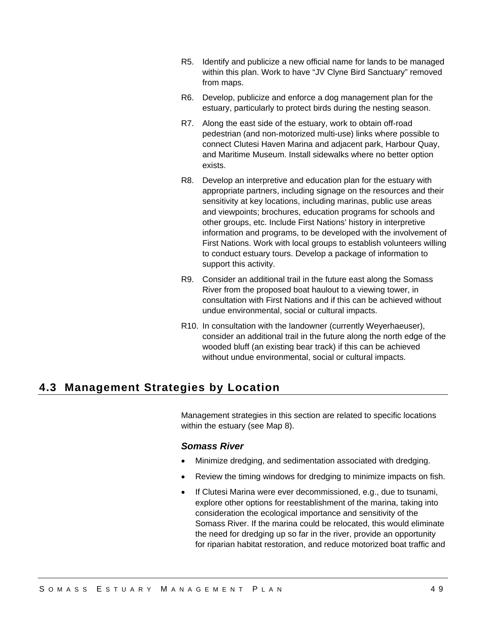- R5. Identify and publicize a new official name for lands to be managed within this plan. Work to have "JV Clyne Bird Sanctuary" removed from maps.
- R6. Develop, publicize and enforce a dog management plan for the estuary, particularly to protect birds during the nesting season.
- R7. Along the east side of the estuary, work to obtain off-road pedestrian (and non-motorized multi-use) links where possible to connect Clutesi Haven Marina and adjacent park, Harbour Quay, and Maritime Museum. Install sidewalks where no better option exists.
- R8. Develop an interpretive and education plan for the estuary with appropriate partners, including signage on the resources and their sensitivity at key locations, including marinas, public use areas and viewpoints; brochures, education programs for schools and other groups, etc. Include First Nations' history in interpretive information and programs, to be developed with the involvement of First Nations. Work with local groups to establish volunteers willing to conduct estuary tours. Develop a package of information to support this activity.
- R9. Consider an additional trail in the future east along the Somass River from the proposed boat haulout to a viewing tower, in consultation with First Nations and if this can be achieved without undue environmental, social or cultural impacts.
- R10. In consultation with the landowner (currently Weyerhaeuser), consider an additional trail in the future along the north edge of the wooded bluff (an existing bear track) if this can be achieved without undue environmental, social or cultural impacts.

## **4.3 Management Strategies by Location**

Management strategies in this section are related to specific locations within the estuary (see Map 8).

### *Somass River*

- Minimize dredging, and sedimentation associated with dredging.
- Review the timing windows for dredging to minimize impacts on fish.
- If Clutesi Marina were ever decommissioned, e.g., due to tsunami, explore other options for reestablishment of the marina, taking into consideration the ecological importance and sensitivity of the Somass River. If the marina could be relocated, this would eliminate the need for dredging up so far in the river, provide an opportunity for riparian habitat restoration, and reduce motorized boat traffic and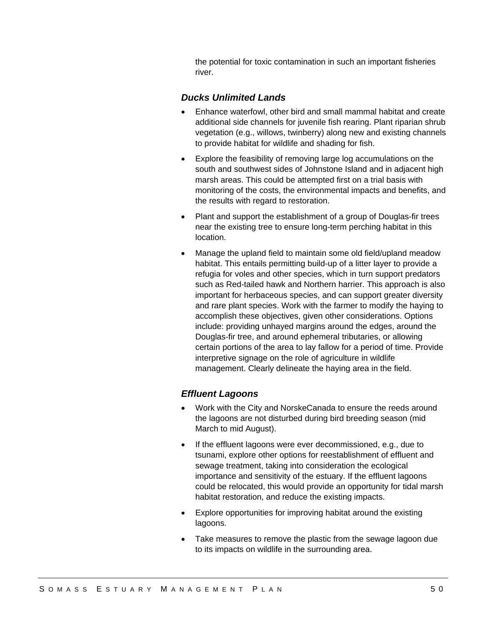the potential for toxic contamination in such an important fisheries river.

#### *Ducks Unlimited Lands*

- Enhance waterfowl, other bird and small mammal habitat and create additional side channels for juvenile fish rearing. Plant riparian shrub vegetation (e.g., willows, twinberry) along new and existing channels to provide habitat for wildlife and shading for fish.
- Explore the feasibility of removing large log accumulations on the south and southwest sides of Johnstone Island and in adjacent high marsh areas. This could be attempted first on a trial basis with monitoring of the costs, the environmental impacts and benefits, and the results with regard to restoration.
- Plant and support the establishment of a group of Douglas-fir trees near the existing tree to ensure long-term perching habitat in this location.
- Manage the upland field to maintain some old field/upland meadow habitat. This entails permitting build-up of a litter layer to provide a refugia for voles and other species, which in turn support predators such as Red-tailed hawk and Northern harrier. This approach is also important for herbaceous species, and can support greater diversity and rare plant species. Work with the farmer to modify the haying to accomplish these objectives, given other considerations. Options include: providing unhayed margins around the edges, around the Douglas-fir tree, and around ephemeral tributaries, or allowing certain portions of the area to lay fallow for a period of time. Provide interpretive signage on the role of agriculture in wildlife management. Clearly delineate the haying area in the field.

### *Effluent Lagoons*

- Work with the City and NorskeCanada to ensure the reeds around the lagoons are not disturbed during bird breeding season (mid March to mid August).
- If the effluent lagoons were ever decommissioned, e.g., due to tsunami, explore other options for reestablishment of effluent and sewage treatment, taking into consideration the ecological importance and sensitivity of the estuary. If the effluent lagoons could be relocated, this would provide an opportunity for tidal marsh habitat restoration, and reduce the existing impacts.
- Explore opportunities for improving habitat around the existing lagoons.
- Take measures to remove the plastic from the sewage lagoon due to its impacts on wildlife in the surrounding area.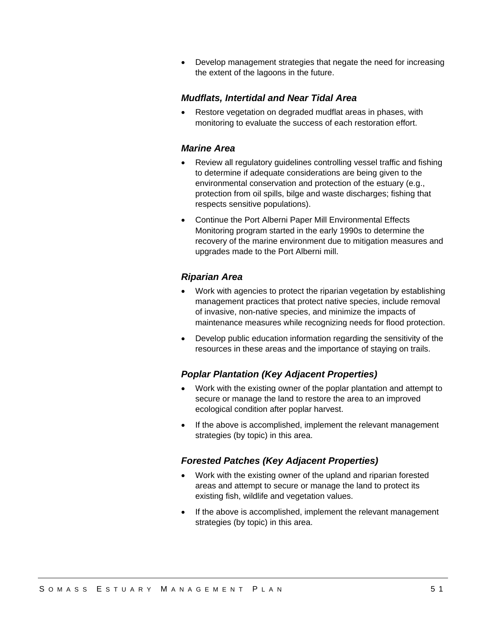Develop management strategies that negate the need for increasing the extent of the lagoons in the future.

### *Mudflats, Intertidal and Near Tidal Area*

 Restore vegetation on degraded mudflat areas in phases, with monitoring to evaluate the success of each restoration effort.

### *Marine Area*

- Review all regulatory guidelines controlling vessel traffic and fishing to determine if adequate considerations are being given to the environmental conservation and protection of the estuary (e.g., protection from oil spills, bilge and waste discharges; fishing that respects sensitive populations).
- Continue the Port Alberni Paper Mill Environmental Effects Monitoring program started in the early 1990s to determine the recovery of the marine environment due to mitigation measures and upgrades made to the Port Alberni mill.

### *Riparian Area*

- Work with agencies to protect the riparian vegetation by establishing management practices that protect native species, include removal of invasive, non-native species, and minimize the impacts of maintenance measures while recognizing needs for flood protection.
- Develop public education information regarding the sensitivity of the resources in these areas and the importance of staying on trails.

### *Poplar Plantation (Key Adjacent Properties)*

- Work with the existing owner of the poplar plantation and attempt to secure or manage the land to restore the area to an improved ecological condition after poplar harvest.
- If the above is accomplished, implement the relevant management strategies (by topic) in this area.

### *Forested Patches (Key Adjacent Properties)*

- Work with the existing owner of the upland and riparian forested areas and attempt to secure or manage the land to protect its existing fish, wildlife and vegetation values.
- If the above is accomplished, implement the relevant management strategies (by topic) in this area.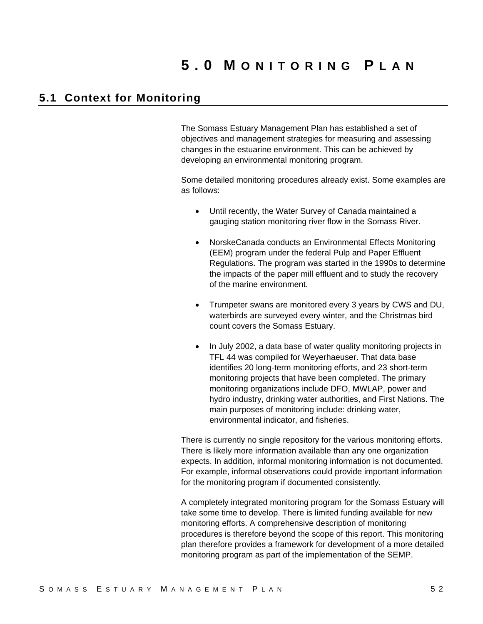## **5.1 Context for Monitoring**

The Somass Estuary Management Plan has established a set of objectives and management strategies for measuring and assessing changes in the estuarine environment. This can be achieved by developing an environmental monitoring program.

Some detailed monitoring procedures already exist. Some examples are as follows:

- Until recently, the Water Survey of Canada maintained a gauging station monitoring river flow in the Somass River.
- NorskeCanada conducts an Environmental Effects Monitoring (EEM) program under the federal Pulp and Paper Effluent Regulations. The program was started in the 1990s to determine the impacts of the paper mill effluent and to study the recovery of the marine environment.
- Trumpeter swans are monitored every 3 years by CWS and DU, waterbirds are surveyed every winter, and the Christmas bird count covers the Somass Estuary.
- In July 2002, a data base of water quality monitoring projects in TFL 44 was compiled for Weyerhaeuser. That data base identifies 20 long-term monitoring efforts, and 23 short-term monitoring projects that have been completed. The primary monitoring organizations include DFO, MWLAP, power and hydro industry, drinking water authorities, and First Nations. The main purposes of monitoring include: drinking water, environmental indicator, and fisheries.

There is currently no single repository for the various monitoring efforts. There is likely more information available than any one organization expects. In addition, informal monitoring information is not documented. For example, informal observations could provide important information for the monitoring program if documented consistently.

A completely integrated monitoring program for the Somass Estuary will take some time to develop. There is limited funding available for new monitoring efforts. A comprehensive description of monitoring procedures is therefore beyond the scope of this report. This monitoring plan therefore provides a framework for development of a more detailed monitoring program as part of the implementation of the SEMP.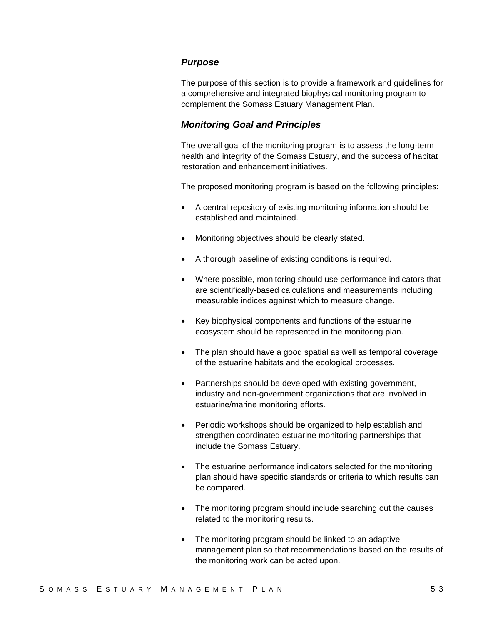#### *Purpose*

The purpose of this section is to provide a framework and guidelines for a comprehensive and integrated biophysical monitoring program to complement the Somass Estuary Management Plan.

### *Monitoring Goal and Principles*

The overall goal of the monitoring program is to assess the long-term health and integrity of the Somass Estuary, and the success of habitat restoration and enhancement initiatives.

The proposed monitoring program is based on the following principles:

- A central repository of existing monitoring information should be established and maintained.
- Monitoring objectives should be clearly stated.
- A thorough baseline of existing conditions is required.
- Where possible, monitoring should use performance indicators that are scientifically-based calculations and measurements including measurable indices against which to measure change.
- Key biophysical components and functions of the estuarine ecosystem should be represented in the monitoring plan.
- The plan should have a good spatial as well as temporal coverage of the estuarine habitats and the ecological processes.
- Partnerships should be developed with existing government, industry and non-government organizations that are involved in estuarine/marine monitoring efforts.
- Periodic workshops should be organized to help establish and strengthen coordinated estuarine monitoring partnerships that include the Somass Estuary.
- The estuarine performance indicators selected for the monitoring plan should have specific standards or criteria to which results can be compared.
- The monitoring program should include searching out the causes related to the monitoring results.
- The monitoring program should be linked to an adaptive management plan so that recommendations based on the results of the monitoring work can be acted upon.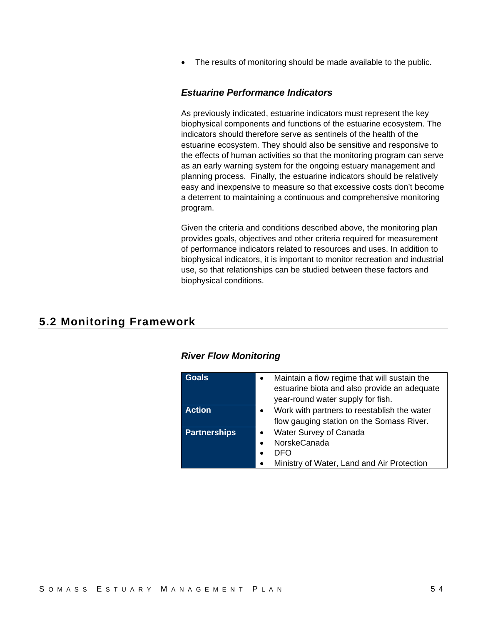• The results of monitoring should be made available to the public.

### *Estuarine Performance Indicators*

As previously indicated, estuarine indicators must represent the key biophysical components and functions of the estuarine ecosystem. The indicators should therefore serve as sentinels of the health of the estuarine ecosystem. They should also be sensitive and responsive to the effects of human activities so that the monitoring program can serve as an early warning system for the ongoing estuary management and planning process. Finally, the estuarine indicators should be relatively easy and inexpensive to measure so that excessive costs don't become a deterrent to maintaining a continuous and comprehensive monitoring program.

Given the criteria and conditions described above, the monitoring plan provides goals, objectives and other criteria required for measurement of performance indicators related to resources and uses. In addition to biophysical indicators, it is important to monitor recreation and industrial use, so that relationships can be studied between these factors and biophysical conditions.

## **5.2 Monitoring Framework**

| Goals               | Maintain a flow regime that will sustain the<br>$\bullet$<br>estuarine biota and also provide an adequate<br>year-round water supply for fish. |
|---------------------|------------------------------------------------------------------------------------------------------------------------------------------------|
| <b>Action</b>       | Work with partners to reestablish the water<br>flow gauging station on the Somass River.                                                       |
| <b>Partnerships</b> | Water Survey of Canada<br>NorskeCanada<br>DEO<br>Ministry of Water, Land and Air Protection<br>$\bullet$                                       |

### *River Flow Monitoring*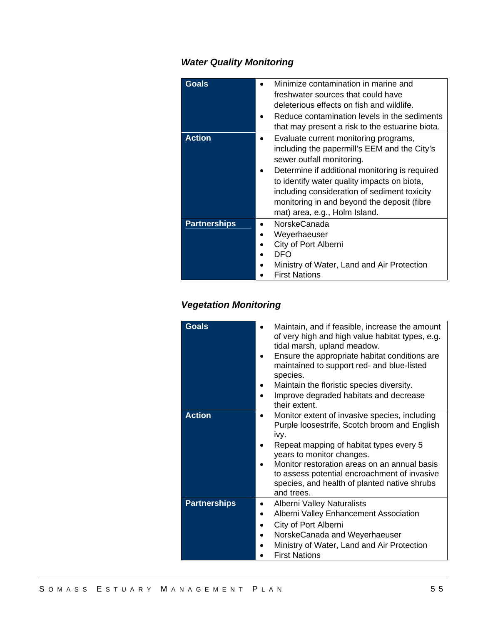## *Water Quality Monitoring*

| <b>Goals</b>        | Minimize contamination in marine and<br>freshwater sources that could have<br>deleterious effects on fish and wildlife.<br>Reduce contamination levels in the sediments<br>that may present a risk to the estuarine biota.                                                                                                                          |
|---------------------|-----------------------------------------------------------------------------------------------------------------------------------------------------------------------------------------------------------------------------------------------------------------------------------------------------------------------------------------------------|
| <b>Action</b>       | Evaluate current monitoring programs,<br>including the papermill's EEM and the City's<br>sewer outfall monitoring.<br>Determine if additional monitoring is required<br>to identify water quality impacts on biota,<br>including consideration of sediment toxicity<br>monitoring in and beyond the deposit (fibre<br>mat) area, e.g., Holm Island. |
| <b>Partnerships</b> | <b>NorskeCanada</b><br>Weyerhaeuser<br>City of Port Alberni<br>DFO<br>Ministry of Water, Land and Air Protection<br><b>First Nations</b>                                                                                                                                                                                                            |

## *Vegetation Monitoring*

| <b>Goals</b>        | Maintain, and if feasible, increase the amount<br>٠<br>of very high and high value habitat types, e.g.<br>tidal marsh, upland meadow.<br>Ensure the appropriate habitat conditions are<br>maintained to support red- and blue-listed<br>species.<br>Maintain the floristic species diversity.<br>Improve degraded habitats and decrease<br>their extent. |
|---------------------|----------------------------------------------------------------------------------------------------------------------------------------------------------------------------------------------------------------------------------------------------------------------------------------------------------------------------------------------------------|
| <b>Action</b>       | Monitor extent of invasive species, including<br>$\bullet$<br>Purple loosestrife, Scotch broom and English<br>ivy.<br>Repeat mapping of habitat types every 5<br>years to monitor changes.<br>Monitor restoration areas on an annual basis<br>to assess potential encroachment of invasive<br>species, and health of planted native shrubs<br>and trees. |
| <b>Partnerships</b> | <b>Alberni Valley Naturalists</b><br>Alberni Valley Enhancement Association<br>City of Port Alberni<br>NorskeCanada and Weyerhaeuser<br>Ministry of Water, Land and Air Protection<br><b>First Nations</b>                                                                                                                                               |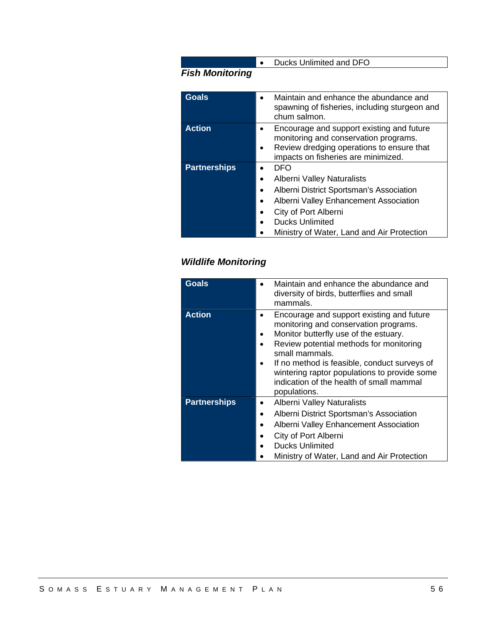## *Fish Monitoring*

| <b>Goals</b>        | Maintain and enhance the abundance and<br>spawning of fisheries, including sturgeon and<br>chum salmon.                                                                |
|---------------------|------------------------------------------------------------------------------------------------------------------------------------------------------------------------|
| <b>Action</b>       | Encourage and support existing and future<br>monitoring and conservation programs.<br>Review dredging operations to ensure that<br>impacts on fisheries are minimized. |
| <b>Partnerships</b> | DFO                                                                                                                                                                    |
|                     | Alberni Valley Naturalists                                                                                                                                             |
|                     | Alberni District Sportsman's Association<br>$\bullet$                                                                                                                  |
|                     | Alberni Valley Enhancement Association                                                                                                                                 |
|                     | City of Port Alberni                                                                                                                                                   |
|                     | <b>Ducks Unlimited</b>                                                                                                                                                 |
|                     | Ministry of Water, Land and Air Protection                                                                                                                             |

• Ducks Unlimited and DFO

## *Wildlife Monitoring*

| Maintain and enhance the abundance and                                                                                                                                                                                                                                                                                                               |
|------------------------------------------------------------------------------------------------------------------------------------------------------------------------------------------------------------------------------------------------------------------------------------------------------------------------------------------------------|
| diversity of birds, butterflies and small<br>mammals.                                                                                                                                                                                                                                                                                                |
| Encourage and support existing and future<br>monitoring and conservation programs.<br>Monitor butterfly use of the estuary.<br>Review potential methods for monitoring<br>small mammals.<br>If no method is feasible, conduct surveys of<br>wintering raptor populations to provide some<br>indication of the health of small mammal<br>populations. |
| <b>Alberni Valley Naturalists</b><br>Alberni District Sportsman's Association<br>Alberni Valley Enhancement Association<br>City of Port Alberni<br><b>Ducks Unlimited</b><br>Ministry of Water, Land and Air Protection                                                                                                                              |
|                                                                                                                                                                                                                                                                                                                                                      |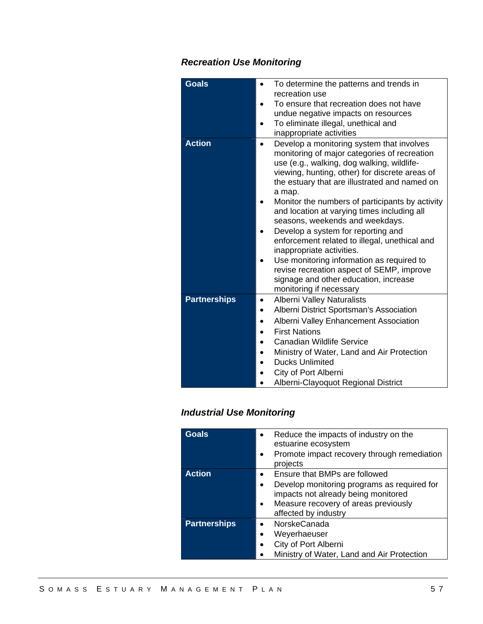## *Recreation Use Monitoring*

| <b>Goals</b>        | To determine the patterns and trends in<br>recreation use<br>To ensure that recreation does not have<br>undue negative impacts on resources<br>To eliminate illegal, unethical and<br>inappropriate activities                                                                                                                                                                                                                                                                                                                                                                                                                                                                           |
|---------------------|------------------------------------------------------------------------------------------------------------------------------------------------------------------------------------------------------------------------------------------------------------------------------------------------------------------------------------------------------------------------------------------------------------------------------------------------------------------------------------------------------------------------------------------------------------------------------------------------------------------------------------------------------------------------------------------|
| <b>Action</b>       | Develop a monitoring system that involves<br>$\bullet$<br>monitoring of major categories of recreation<br>use (e.g., walking, dog walking, wildlife-<br>viewing, hunting, other) for discrete areas of<br>the estuary that are illustrated and named on<br>a map.<br>Monitor the numbers of participants by activity<br>and location at varying times including all<br>seasons, weekends and weekdays.<br>Develop a system for reporting and<br>enforcement related to illegal, unethical and<br>inappropriate activities.<br>Use monitoring information as required to<br>revise recreation aspect of SEMP, improve<br>signage and other education, increase<br>monitoring if necessary |
| <b>Partnerships</b> | <b>Alberni Valley Naturalists</b><br>Alberni District Sportsman's Association<br>Alberni Valley Enhancement Association<br><b>First Nations</b><br><b>Canadian Wildlife Service</b><br>Ministry of Water, Land and Air Protection<br><b>Ducks Unlimited</b><br>City of Port Alberni<br>Alberni-Clayoquot Regional District                                                                                                                                                                                                                                                                                                                                                               |

## *Industrial Use Monitoring*

| <b>Goals</b>        | Reduce the impacts of industry on the<br>$\bullet$<br>estuarine ecosystem<br>Promote impact recovery through remediation<br>$\bullet$<br>projects |
|---------------------|---------------------------------------------------------------------------------------------------------------------------------------------------|
| <b>Action</b>       | Ensure that BMPs are followed<br>$\bullet$                                                                                                        |
|                     | Develop monitoring programs as required for<br>$\bullet$                                                                                          |
|                     | impacts not already being monitored                                                                                                               |
|                     | Measure recovery of areas previously<br>$\bullet$                                                                                                 |
|                     | affected by industry                                                                                                                              |
| <b>Partnerships</b> | <b>NorskeCanada</b><br>$\bullet$                                                                                                                  |
|                     | Weyerhaeuser<br>$\bullet$                                                                                                                         |
|                     | City of Port Alberni<br>$\bullet$                                                                                                                 |
|                     | Ministry of Water, Land and Air Protection                                                                                                        |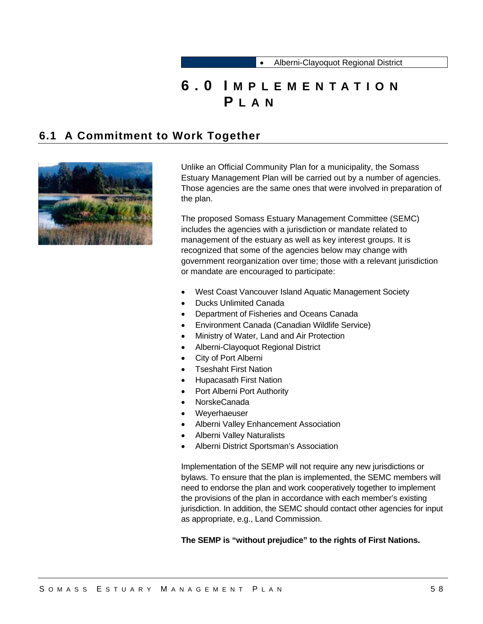# **6.0 I MPLEMENTATION P LAN**

## **6.1 A Commitment to Work Together**



Unlike an Official Community Plan for a municipality, the Somass Estuary Management Plan will be carried out by a number of agencies. Those agencies are the same ones that were involved in preparation of the plan.

The proposed Somass Estuary Management Committee (SEMC) includes the agencies with a jurisdiction or mandate related to management of the estuary as well as key interest groups. It is recognized that some of the agencies below may change with government reorganization over time; those with a relevant jurisdiction or mandate are encouraged to participate:

- West Coast Vancouver Island Aquatic Management Society
- Ducks Unlimited Canada
- Department of Fisheries and Oceans Canada
- Environment Canada (Canadian Wildlife Service)
- Ministry of Water, Land and Air Protection
- Alberni-Clayoquot Regional District
- City of Port Alberni
- Tseshaht First Nation
- Hupacasath First Nation
- Port Alberni Port Authority
- NorskeCanada
- Weyerhaeuser
- Alberni Valley Enhancement Association
- Alberni Valley Naturalists
- Alberni District Sportsman's Association

Implementation of the SEMP will not require any new jurisdictions or bylaws. To ensure that the plan is implemented, the SEMC members will need to endorse the plan and work cooperatively together to implement the provisions of the plan in accordance with each member's existing jurisdiction. In addition, the SEMC should contact other agencies for input as appropriate, e.g., Land Commission.

#### **The SEMP is "without prejudice" to the rights of First Nations.**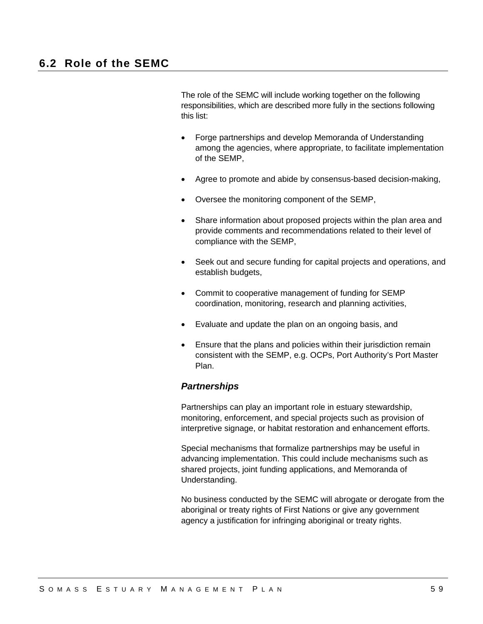The role of the SEMC will include working together on the following responsibilities, which are described more fully in the sections following this list:

- Forge partnerships and develop Memoranda of Understanding among the agencies, where appropriate, to facilitate implementation of the SEMP,
- Agree to promote and abide by consensus-based decision-making,
- Oversee the monitoring component of the SEMP,
- Share information about proposed projects within the plan area and provide comments and recommendations related to their level of compliance with the SEMP,
- Seek out and secure funding for capital projects and operations, and establish budgets,
- Commit to cooperative management of funding for SEMP coordination, monitoring, research and planning activities,
- Evaluate and update the plan on an ongoing basis, and
- Ensure that the plans and policies within their jurisdiction remain consistent with the SEMP, e.g. OCPs, Port Authority's Port Master Plan.

#### *Partnerships*

Partnerships can play an important role in estuary stewardship, monitoring, enforcement, and special projects such as provision of interpretive signage, or habitat restoration and enhancement efforts.

Special mechanisms that formalize partnerships may be useful in advancing implementation. This could include mechanisms such as shared projects, joint funding applications, and Memoranda of Understanding.

No business conducted by the SEMC will abrogate or derogate from the aboriginal or treaty rights of First Nations or give any government agency a justification for infringing aboriginal or treaty rights.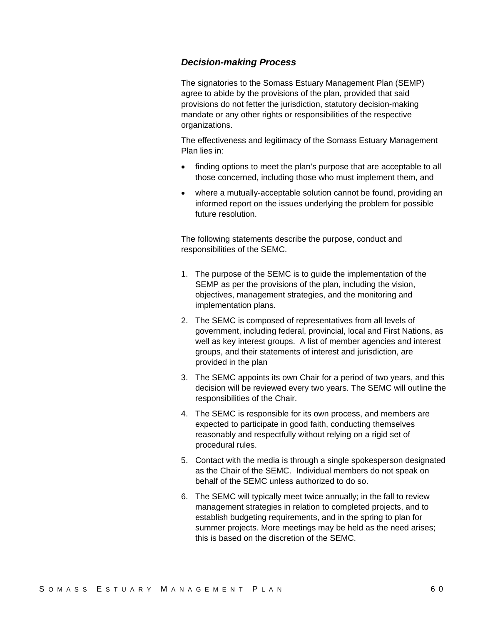### *Decision-making Process*

The signatories to the Somass Estuary Management Plan (SEMP) agree to abide by the provisions of the plan, provided that said provisions do not fetter the jurisdiction, statutory decision-making mandate or any other rights or responsibilities of the respective organizations.

The effectiveness and legitimacy of the Somass Estuary Management Plan lies in:

- finding options to meet the plan's purpose that are acceptable to all those concerned, including those who must implement them, and
- where a mutually-acceptable solution cannot be found, providing an informed report on the issues underlying the problem for possible future resolution.

The following statements describe the purpose, conduct and responsibilities of the SEMC.

- 1. The purpose of the SEMC is to guide the implementation of the SEMP as per the provisions of the plan, including the vision, objectives, management strategies, and the monitoring and implementation plans.
- 2. The SEMC is composed of representatives from all levels of government, including federal, provincial, local and First Nations, as well as key interest groups. A list of member agencies and interest groups, and their statements of interest and jurisdiction, are provided in the plan
- 3. The SEMC appoints its own Chair for a period of two years, and this decision will be reviewed every two years. The SEMC will outline the responsibilities of the Chair.
- 4. The SEMC is responsible for its own process, and members are expected to participate in good faith, conducting themselves reasonably and respectfully without relying on a rigid set of procedural rules.
- 5. Contact with the media is through a single spokesperson designated as the Chair of the SEMC. Individual members do not speak on behalf of the SEMC unless authorized to do so.
- 6. The SEMC will typically meet twice annually; in the fall to review management strategies in relation to completed projects, and to establish budgeting requirements, and in the spring to plan for summer projects. More meetings may be held as the need arises; this is based on the discretion of the SEMC.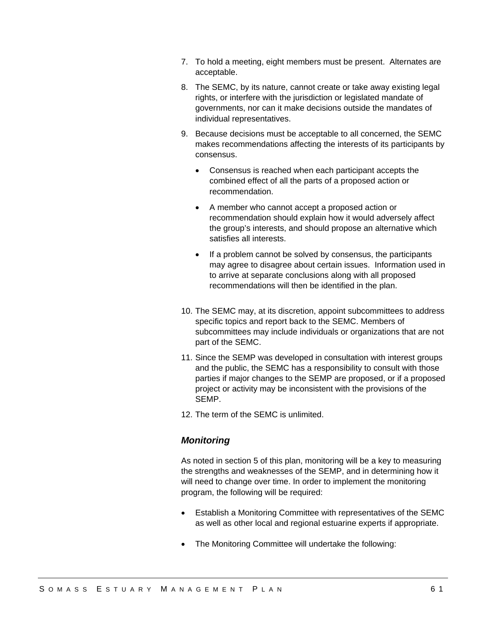- 7. To hold a meeting, eight members must be present. Alternates are acceptable.
- 8. The SEMC, by its nature, cannot create or take away existing legal rights, or interfere with the jurisdiction or legislated mandate of governments, nor can it make decisions outside the mandates of individual representatives.
- 9. Because decisions must be acceptable to all concerned, the SEMC makes recommendations affecting the interests of its participants by consensus.
	- Consensus is reached when each participant accepts the combined effect of all the parts of a proposed action or recommendation.
	- A member who cannot accept a proposed action or recommendation should explain how it would adversely affect the group's interests, and should propose an alternative which satisfies all interests.
	- If a problem cannot be solved by consensus, the participants may agree to disagree about certain issues. Information used in to arrive at separate conclusions along with all proposed recommendations will then be identified in the plan.
- 10. The SEMC may, at its discretion, appoint subcommittees to address specific topics and report back to the SEMC. Members of subcommittees may include individuals or organizations that are not part of the SEMC.
- 11. Since the SEMP was developed in consultation with interest groups and the public, the SEMC has a responsibility to consult with those parties if major changes to the SEMP are proposed, or if a proposed project or activity may be inconsistent with the provisions of the SEMP.
- 12. The term of the SEMC is unlimited.

## *Monitoring*

As noted in section 5 of this plan, monitoring will be a key to measuring the strengths and weaknesses of the SEMP, and in determining how it will need to change over time. In order to implement the monitoring program, the following will be required:

- Establish a Monitoring Committee with representatives of the SEMC as well as other local and regional estuarine experts if appropriate.
- The Monitoring Committee will undertake the following: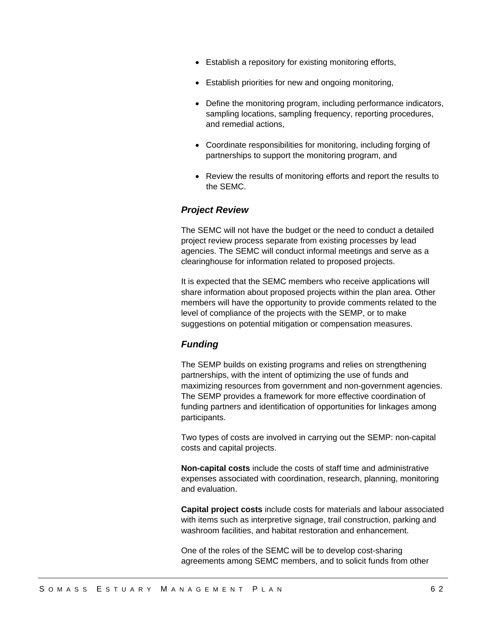- Establish a repository for existing monitoring efforts,
- Establish priorities for new and ongoing monitoring,
- Define the monitoring program, including performance indicators, sampling locations, sampling frequency, reporting procedures, and remedial actions,
- Coordinate responsibilities for monitoring, including forging of partnerships to support the monitoring program, and
- Review the results of monitoring efforts and report the results to the SEMC.

### *Project Review*

The SEMC will not have the budget or the need to conduct a detailed project review process separate from existing processes by lead agencies. The SEMC will conduct informal meetings and serve as a clearinghouse for information related to proposed projects.

It is expected that the SEMC members who receive applications will share information about proposed projects within the plan area. Other members will have the opportunity to provide comments related to the level of compliance of the projects with the SEMP, or to make suggestions on potential mitigation or compensation measures.

## *Funding*

The SEMP builds on existing programs and relies on strengthening partnerships, with the intent of optimizing the use of funds and maximizing resources from government and non-government agencies. The SEMP provides a framework for more effective coordination of funding partners and identification of opportunities for linkages among participants.

Two types of costs are involved in carrying out the SEMP: non-capital costs and capital projects.

**Non-capital costs** include the costs of staff time and administrative expenses associated with coordination, research, planning, monitoring and evaluation.

**Capital project costs** include costs for materials and labour associated with items such as interpretive signage, trail construction, parking and washroom facilities, and habitat restoration and enhancement.

One of the roles of the SEMC will be to develop cost-sharing agreements among SEMC members, and to solicit funds from other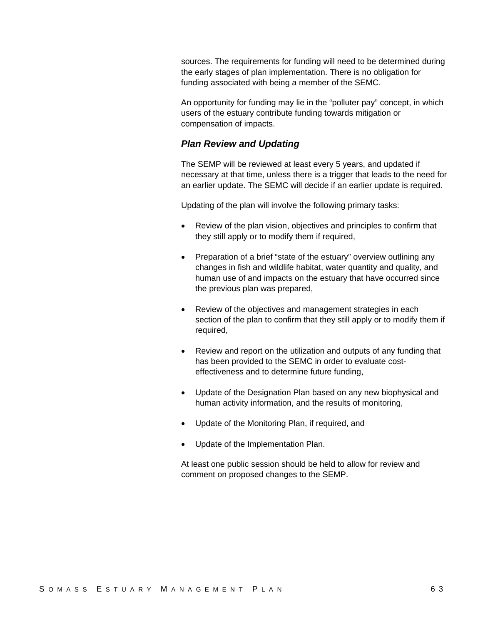sources. The requirements for funding will need to be determined during the early stages of plan implementation. There is no obligation for funding associated with being a member of the SEMC.

An opportunity for funding may lie in the "polluter pay" concept, in which users of the estuary contribute funding towards mitigation or compensation of impacts.

## *Plan Review and Updating*

The SEMP will be reviewed at least every 5 years, and updated if necessary at that time, unless there is a trigger that leads to the need for an earlier update. The SEMC will decide if an earlier update is required.

Updating of the plan will involve the following primary tasks:

- Review of the plan vision, objectives and principles to confirm that they still apply or to modify them if required,
- Preparation of a brief "state of the estuary" overview outlining any changes in fish and wildlife habitat, water quantity and quality, and human use of and impacts on the estuary that have occurred since the previous plan was prepared,
- Review of the objectives and management strategies in each section of the plan to confirm that they still apply or to modify them if required,
- Review and report on the utilization and outputs of any funding that has been provided to the SEMC in order to evaluate costeffectiveness and to determine future funding,
- Update of the Designation Plan based on any new biophysical and human activity information, and the results of monitoring,
- Update of the Monitoring Plan, if required, and
- Update of the Implementation Plan.

At least one public session should be held to allow for review and comment on proposed changes to the SEMP.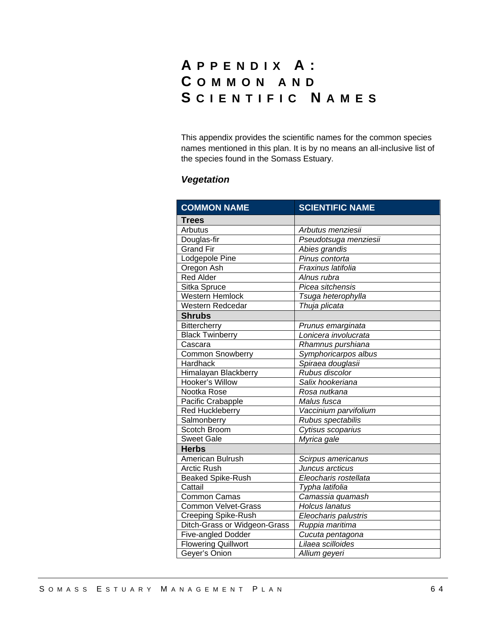# **A PPENDIX A: C OMMON AND S CIENTIFIC N AMES**

This appendix provides the scientific names for the common species names mentioned in this plan. It is by no means an all-inclusive list of the species found in the Somass Estuary.

# *Vegetation*

| <b>COMMON NAME</b>           | <b>SCIENTIFIC NAME</b> |
|------------------------------|------------------------|
| <b>Trees</b>                 |                        |
| Arbutus                      | Arbutus menziesii      |
| Douglas-fir                  | Pseudotsuga menziesii  |
| <b>Grand Fir</b>             | Abies grandis          |
| Lodgepole Pine               | Pinus contorta         |
| Oregon Ash                   | Fraxinus latifolia     |
| <b>Red Alder</b>             | Alnus rubra            |
| Sitka Spruce                 | Picea sitchensis       |
| Western Hemlock              | Tsuga heterophylla     |
| Western Redcedar             | Thuja plicata          |
| <b>Shrubs</b>                |                        |
| <b>Bittercherry</b>          | Prunus emarginata      |
| <b>Black Twinberry</b>       | Lonicera involucrata   |
| Cascara                      | Rhamnus purshiana      |
| <b>Common Snowberry</b>      | Symphoricarpos albus   |
| Hardhack                     | Spiraea douglasii      |
| Himalayan Blackberry         | Rubus discolor         |
| Hooker's Willow              | Salix hookeriana       |
| Nootka Rose                  | Rosa nutkana           |
| Pacific Crabapple            | Malus fusca            |
| <b>Red Huckleberry</b>       | Vaccinium parvifolium  |
| Salmonberry                  | Rubus spectabilis      |
| Scotch Broom                 | Cytisus scoparius      |
| <b>Sweet Gale</b>            | Myrica gale            |
| <b>Herbs</b>                 |                        |
| American Bulrush             | Scirpus americanus     |
| <b>Arctic Rush</b>           | Juncus arcticus        |
| <b>Beaked Spike-Rush</b>     | Eleocharis rostellata  |
| Cattail                      | Typha latifolia        |
| <b>Common Camas</b>          | Camassia quamash       |
| <b>Common Velvet-Grass</b>   | Holcus lanatus         |
| <b>Creeping Spike-Rush</b>   | Eleocharis palustris   |
| Ditch-Grass or Widgeon-Grass | Ruppia maritima        |
| <b>Five-angled Dodder</b>    | Cucuta pentagona       |
| <b>Flowering Quillwort</b>   | Lilaea scilloides      |
| Geyer's Onion                | Allium geyeri          |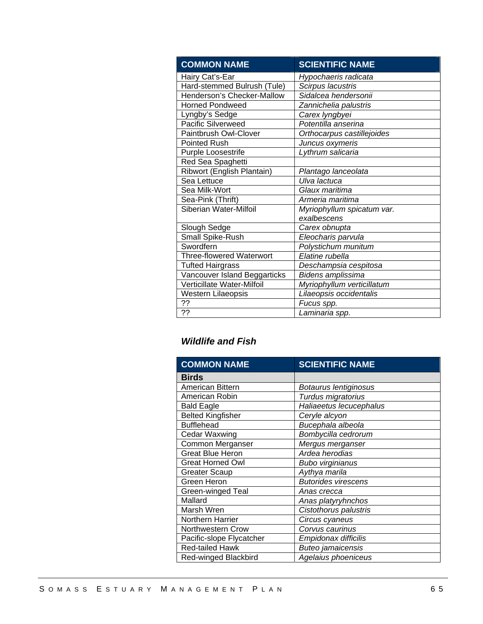| <b>COMMON NAME</b>                | <b>SCIENTIFIC NAME</b>     |
|-----------------------------------|----------------------------|
| Hairy Cat's-Ear                   | Hypochaeris radicata       |
| Hard-stemmed Bulrush (Tule)       | Scirpus lacustris          |
| Henderson's Checker-Mallow        | Sidalcea hendersonii       |
| <b>Horned Pondweed</b>            | Zannichelia palustris      |
| Lyngby's Sedge                    | Carex lyngbyei             |
| <b>Pacific Silverweed</b>         | Potentilla anserina        |
| Paintbrush Owl-Clover             | Orthocarpus castillejoides |
| <b>Pointed Rush</b>               | Juncus oxymeris            |
| Purple Loosestrife                | Lythrum salicaria          |
| Red Sea Spaghetti                 |                            |
| Ribwort (English Plantain)        | Plantago lanceolata        |
| Sea Lettuce                       | Ulva lactuca               |
| Sea Milk-Wort                     | Glaux maritima             |
| Sea-Pink (Thrift)                 | Armeria maritima           |
| Siberian Water-Milfoil            | Myriophyllum spicatum var. |
|                                   | exalbescens                |
| Slough Sedge                      | Carex obnupta              |
| Small Spike-Rush                  | Eleocharis parvula         |
| Swordfern                         | Polystichum munitum        |
| Three-flowered Waterwort          | Elatine rubella            |
| <b>Tufted Hairgrass</b>           | Deschampsia cespitosa      |
| Vancouver Island Beggarticks      | Bidens amplissima          |
| <b>Verticillate Water-Milfoil</b> | Myriophyllum verticillatum |
| Western Lilaeopsis                | Lilaeopsis occidentalis    |
| ??                                | Fucus spp.                 |
| ??                                | Laminaria spp.             |

# *Wildlife and Fish*

| <b>COMMON NAME</b>          | <b>SCIENTIFIC NAME</b>     |
|-----------------------------|----------------------------|
| Birds                       |                            |
| American Bittern            | Botaurus lentiginosus      |
| American Robin              | Turdus migratorius         |
| <b>Bald Eagle</b>           | Haliaeetus lecucephalus    |
| <b>Belted Kingfisher</b>    | Ceryle alcyon              |
| <b>Bufflehead</b>           | Bucephala albeola          |
| <b>Cedar Waxwing</b>        | Bombycilla cedrorum        |
| Common Merganser            | Mergus merganser           |
| <b>Great Blue Heron</b>     | Ardea herodias             |
| <b>Great Horned Owl</b>     | Bubo virginianus           |
| <b>Greater Scaup</b>        | Aythya marila              |
| Green Heron                 | <b>Butorides virescens</b> |
| Green-winged Teal           | Anas crecca                |
| Mallard                     | Anas platyryhnchos         |
| Marsh Wren                  | Cistothorus palustris      |
| Northern Harrier            | Circus cyaneus             |
| Northwestern Crow           | Corvus caurinus            |
| Pacific-slope Flycatcher    | Empidonax difficilis       |
| <b>Red-tailed Hawk</b>      | <b>Buteo jamaicensis</b>   |
| <b>Red-winged Blackbird</b> | Agelaius phoeniceus        |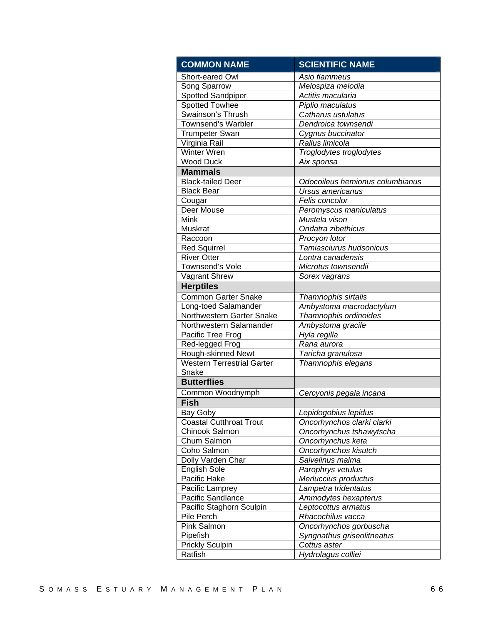| <b>COMMON NAME</b>                | <b>SCIENTIFIC NAME</b>          |
|-----------------------------------|---------------------------------|
| Short-eared Owl                   | Asio flammeus                   |
| Song Sparrow                      | Melospiza melodia               |
| Spotted Sandpiper                 | Actitis macularia               |
| Spotted Towhee                    | Piplio maculatus                |
| Swainson's Thrush                 | Catharus ustulatus              |
| <b>Townsend's Warbler</b>         | Dendroica townsendi             |
| <b>Trumpeter Swan</b>             | Cygnus buccinator               |
| Virginia Rail                     | Rallus limicola                 |
| <b>Winter Wren</b>                | Troglodytes troglodytes         |
| <b>Wood Duck</b>                  | Aix sponsa                      |
| <b>Mammals</b>                    |                                 |
| <b>Black-tailed Deer</b>          | Odocoileus hemionus columbianus |
| <b>Black Bear</b>                 | Ursus americanus                |
| Cougar                            | Felis concolor                  |
| Deer Mouse                        | Peromyscus maniculatus          |
| <b>Mink</b>                       | Mustela vison                   |
| Muskrat                           | Ondatra zibethicus              |
| Raccoon                           | Procyon lotor                   |
| <b>Red Squirrel</b>               | Tamiasciurus hudsonicus         |
| <b>River Otter</b>                | Lontra canadensis               |
| Townsend's Vole                   | Microtus townsendii             |
| Vagrant Shrew                     | Sorex vagrans                   |
| <b>Herptiles</b>                  |                                 |
| <b>Common Garter Snake</b>        | Thamnophis sirtalis             |
| Long-toed Salamander              | Ambystoma macrodactylum         |
| Northwestern Garter Snake         | Thamnophis ordinoides           |
| Northwestern Salamander           | Ambystoma gracile               |
| Pacific Tree Frog                 | Hyla regilla                    |
| Red-legged Frog                   | Rana aurora                     |
| Rough-skinned Newt                | Taricha granulosa               |
| <b>Western Terrestrial Garter</b> | Thamnophis elegans              |
| Snake                             |                                 |
| <b>Butterflies</b>                |                                 |
| Common Woodnymph                  | Cercyonis pegala incana         |
| <b>Fish</b>                       |                                 |
| Bay Goby                          | Lepidogobius lepidus            |
| Coastal Cutthroat Trout           | Oncorhynchos clarki clarki      |
| Chinook Salmon                    | Oncorhynchus tshawytscha        |
| Chum Salmon                       | Oncorhynchus keta               |
| Coho Salmon                       | Oncorhynchos kisutch            |
| Dolly Varden Char                 | Salvelinus malma                |
| <b>English Sole</b>               | Parophrys vetulus               |
| Pacific Hake                      | Merluccius productus            |
| Pacific Lamprey                   | Lampetra tridentatus            |
| Pacific Sandlance                 | Ammodytes hexapterus            |
| Pacific Staghorn Sculpin          | Leptocottus armatus             |
| Pile Perch                        | Rhacochilus vacca               |
| Pink Salmon                       | Oncorhynchos gorbuscha          |
| Pipefish                          | Syngnathus griseolitneatus      |
| <b>Prickly Sculpin</b>            | Cottus aster                    |
| Ratfish                           | Hydrolagus colliei              |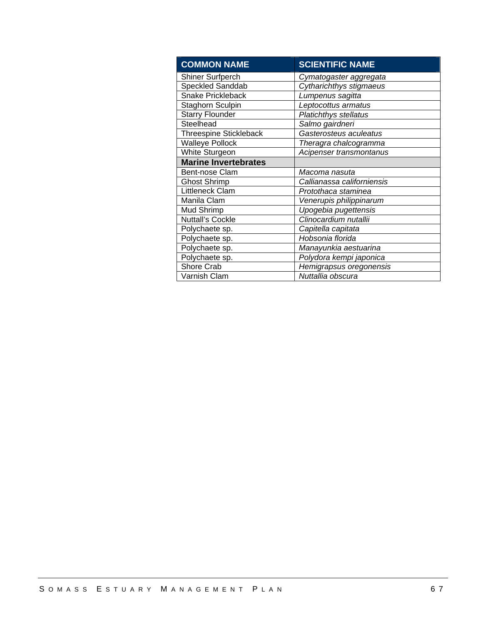| <b>COMMON NAME</b>            | <b>SCIENTIFIC NAME</b>       |
|-------------------------------|------------------------------|
| <b>Shiner Surfperch</b>       | Cymatogaster aggregata       |
| <b>Speckled Sanddab</b>       | Cytharichthys stigmaeus      |
| <b>Snake Prickleback</b>      | Lumpenus sagitta             |
| Staghorn Sculpin              | Leptocottus armatus          |
| <b>Starry Flounder</b>        | <b>Platichthys stellatus</b> |
| Steelhead                     | Salmo gairdneri              |
| <b>Threespine Stickleback</b> | Gasterosteus aculeatus       |
| <b>Walleye Pollock</b>        | Theragra chalcogramma        |
| White Sturgeon                | Acipenser transmontanus      |
| <b>Marine Invertebrates</b>   |                              |
| Bent-nose Clam                | Macoma nasuta                |
| <b>Ghost Shrimp</b>           | Callianassa californiensis   |
| Littleneck Clam               | Protothaca staminea          |
| Manila Clam                   | Venerupis philippinarum      |
| Mud Shrimp                    | Upogebia pugettensis         |
| <b>Nuttall's Cockle</b>       | Clinocardium nutallii        |
| Polychaete sp.                | Capitella capitata           |
| Polychaete sp.                | Hobsonia florida             |
| Polychaete sp.                | Manayunkia aestuarina        |
| Polychaete sp.                | Polydora kempi japonica      |
| Shore Crab                    | Hemigrapsus oregonensis      |
| Varnish Clam                  | Nuttallia obscura            |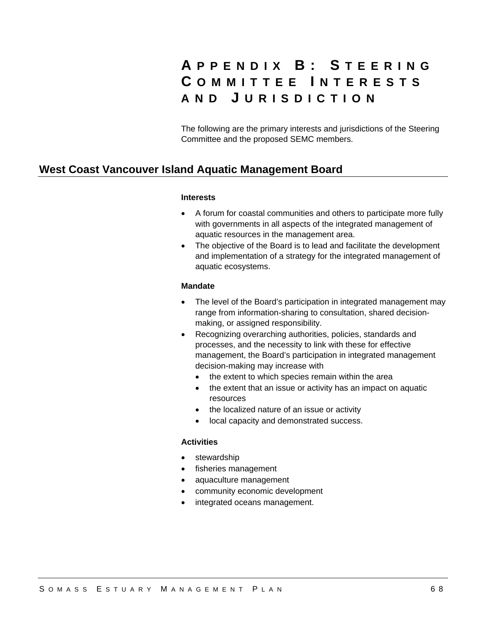# **A PPENDIX B: S TEERING C OMMITTEE I NTERESTS AND J URISDICTION**

The following are the primary interests and jurisdictions of the Steering Committee and the proposed SEMC members.

# **West Coast Vancouver Island Aquatic Management Board**

#### **Interests**

- A forum for coastal communities and others to participate more fully with governments in all aspects of the integrated management of aquatic resources in the management area.
- The objective of the Board is to lead and facilitate the development and implementation of a strategy for the integrated management of aquatic ecosystems.

#### **Mandate**

- The level of the Board's participation in integrated management may range from information-sharing to consultation, shared decisionmaking, or assigned responsibility.
- Recognizing overarching authorities, policies, standards and processes, and the necessity to link with these for effective management, the Board's participation in integrated management decision-making may increase with
	- the extent to which species remain within the area
	- the extent that an issue or activity has an impact on aquatic resources
	- the localized nature of an issue or activity
	- local capacity and demonstrated success.

### **Activities**

- stewardship
- fisheries management
- aquaculture management
- community economic development
- integrated oceans management.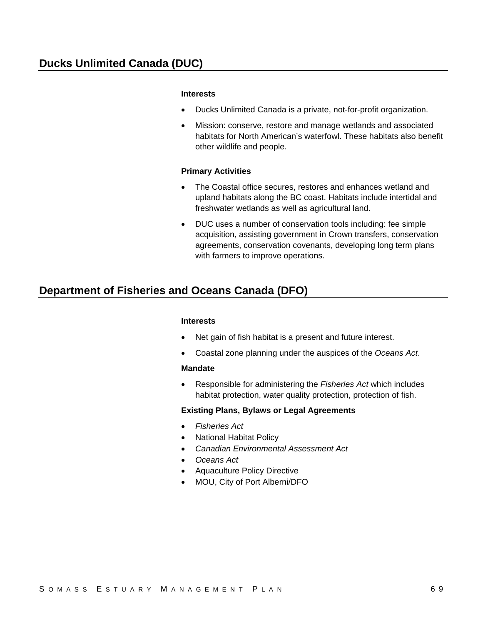### **Interests**

- Ducks Unlimited Canada is a private, not-for-profit organization.
- Mission: conserve, restore and manage wetlands and associated habitats for North American's waterfowl. These habitats also benefit other wildlife and people.

#### **Primary Activities**

- The Coastal office secures, restores and enhances wetland and upland habitats along the BC coast. Habitats include intertidal and freshwater wetlands as well as agricultural land.
- DUC uses a number of conservation tools including: fee simple acquisition, assisting government in Crown transfers, conservation agreements, conservation covenants, developing long term plans with farmers to improve operations.

# **Department of Fisheries and Oceans Canada (DFO)**

#### **Interests**

- Net gain of fish habitat is a present and future interest.
- Coastal zone planning under the auspices of the *Oceans Act*.

#### **Mandate**

 Responsible for administering the *Fisheries Act* which includes habitat protection, water quality protection, protection of fish.

### **Existing Plans, Bylaws or Legal Agreements**

- *Fisheries Act*
- National Habitat Policy
- *Canadian Environmental Assessment Act*
- *Oceans Act*
- Aquaculture Policy Directive
- MOU, City of Port Alberni/DFO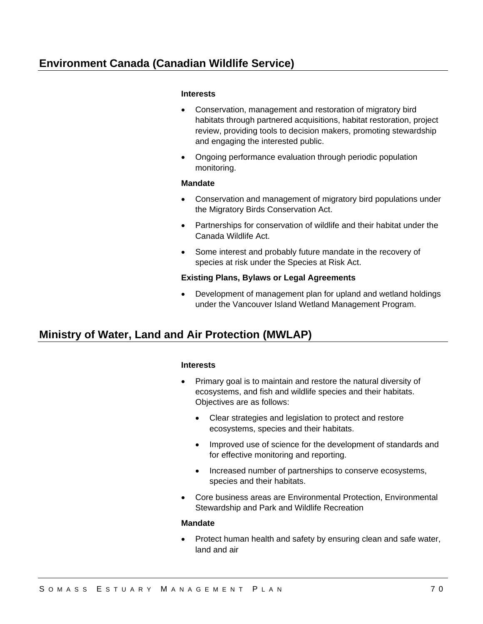# **Environment Canada (Canadian Wildlife Service)**

#### **Interests**

- Conservation, management and restoration of migratory bird habitats through partnered acquisitions, habitat restoration, project review, providing tools to decision makers, promoting stewardship and engaging the interested public.
- Ongoing performance evaluation through periodic population monitoring.

#### **Mandate**

- Conservation and management of migratory bird populations under the Migratory Birds Conservation Act.
- Partnerships for conservation of wildlife and their habitat under the Canada Wildlife Act.
- Some interest and probably future mandate in the recovery of species at risk under the Species at Risk Act.

### **Existing Plans, Bylaws or Legal Agreements**

 Development of management plan for upland and wetland holdings under the Vancouver Island Wetland Management Program.

# **Ministry of Water, Land and Air Protection (MWLAP)**

### **Interests**

- Primary goal is to maintain and restore the natural diversity of ecosystems, and fish and wildlife species and their habitats. Objectives are as follows:
	- Clear strategies and legislation to protect and restore ecosystems, species and their habitats.
	- Improved use of science for the development of standards and for effective monitoring and reporting.
	- Increased number of partnerships to conserve ecosystems, species and their habitats.
- Core business areas are Environmental Protection, Environmental Stewardship and Park and Wildlife Recreation

#### **Mandate**

 Protect human health and safety by ensuring clean and safe water, land and air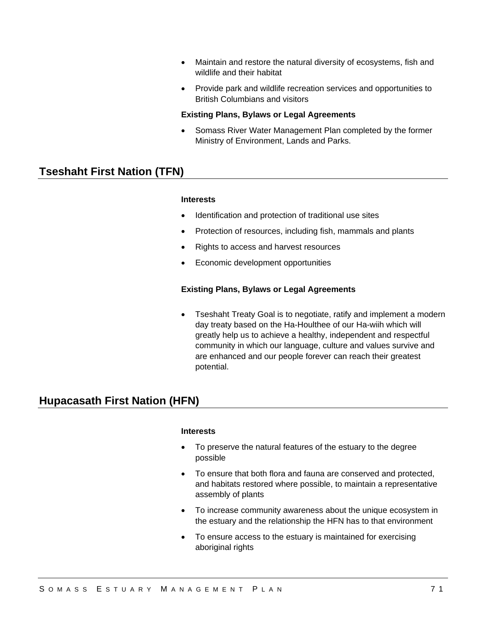- Maintain and restore the natural diversity of ecosystems, fish and wildlife and their habitat
- Provide park and wildlife recreation services and opportunities to British Columbians and visitors

#### **Existing Plans, Bylaws or Legal Agreements**

 Somass River Water Management Plan completed by the former Ministry of Environment, Lands and Parks.

# **Tseshaht First Nation (TFN)**

#### **Interests**

- Identification and protection of traditional use sites
- Protection of resources, including fish, mammals and plants
- Rights to access and harvest resources
- Economic development opportunities

### **Existing Plans, Bylaws or Legal Agreements**

• Tseshaht Treaty Goal is to negotiate, ratify and implement a modern day treaty based on the Ha-Houlthee of our Ha-wiih which will greatly help us to achieve a healthy, independent and respectful community in which our language, culture and values survive and are enhanced and our people forever can reach their greatest potential.

# **Hupacasath First Nation (HFN)**

#### **Interests**

- To preserve the natural features of the estuary to the degree possible
- To ensure that both flora and fauna are conserved and protected, and habitats restored where possible, to maintain a representative assembly of plants
- To increase community awareness about the unique ecosystem in the estuary and the relationship the HFN has to that environment
- To ensure access to the estuary is maintained for exercising aboriginal rights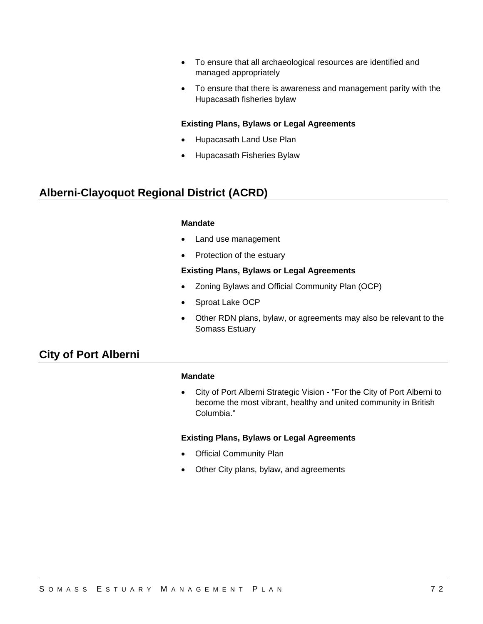- To ensure that all archaeological resources are identified and managed appropriately
- To ensure that there is awareness and management parity with the Hupacasath fisheries bylaw

### **Existing Plans, Bylaws or Legal Agreements**

- Hupacasath Land Use Plan
- Hupacasath Fisheries Bylaw

# **Alberni-Clayoquot Regional District (ACRD)**

#### **Mandate**

- Land use management
- Protection of the estuary

#### **Existing Plans, Bylaws or Legal Agreements**

- Zoning Bylaws and Official Community Plan (OCP)
- Sproat Lake OCP
- Other RDN plans, bylaw, or agreements may also be relevant to the Somass Estuary

# **City of Port Alberni**

#### **Mandate**

 City of Port Alberni Strategic Vision - "For the City of Port Alberni to become the most vibrant, healthy and united community in British Columbia."

### **Existing Plans, Bylaws or Legal Agreements**

- Official Community Plan
- Other City plans, bylaw, and agreements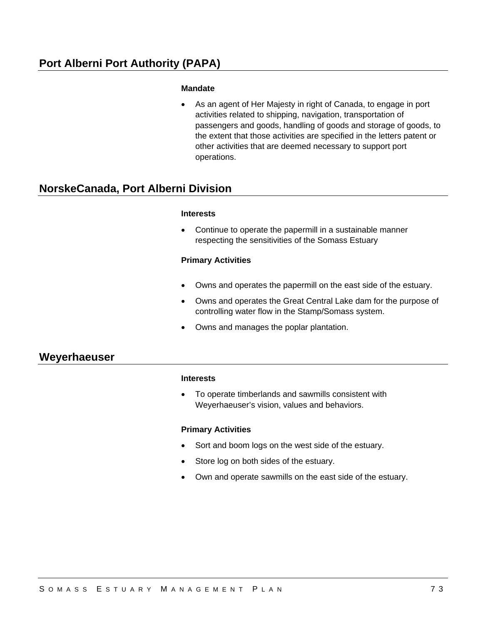### **Mandate**

 As an agent of Her Majesty in right of Canada, to engage in port activities related to shipping, navigation, transportation of passengers and goods, handling of goods and storage of goods, to the extent that those activities are specified in the letters patent or other activities that are deemed necessary to support port operations.

# **NorskeCanada, Port Alberni Division**

#### **Interests**

 Continue to operate the papermill in a sustainable manner respecting the sensitivities of the Somass Estuary

### **Primary Activities**

- Owns and operates the papermill on the east side of the estuary.
- Owns and operates the Great Central Lake dam for the purpose of controlling water flow in the Stamp/Somass system.
- Owns and manages the poplar plantation.

# **Weyerhaeuser**

### **Interests**

 To operate timberlands and sawmills consistent with Weyerhaeuser's vision, values and behaviors.

#### **Primary Activities**

- Sort and boom logs on the west side of the estuary.
- Store log on both sides of the estuary.
- Own and operate sawmills on the east side of the estuary.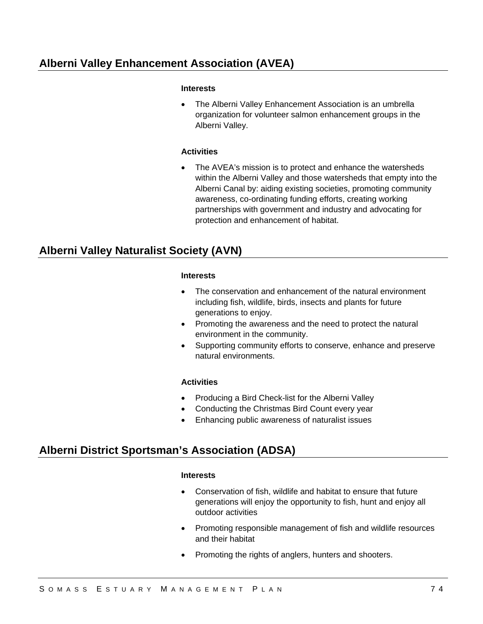# **Alberni Valley Enhancement Association (AVEA)**

### **Interests**

 The Alberni Valley Enhancement Association is an umbrella organization for volunteer salmon enhancement groups in the Alberni Valley.

### **Activities**

 The AVEA's mission is to protect and enhance the watersheds within the Alberni Valley and those watersheds that empty into the Alberni Canal by: aiding existing societies, promoting community awareness, co-ordinating funding efforts, creating working partnerships with government and industry and advocating for protection and enhancement of habitat.

# **Alberni Valley Naturalist Society (AVN)**

#### **Interests**

- The conservation and enhancement of the natural environment including fish, wildlife, birds, insects and plants for future generations to enjoy.
- Promoting the awareness and the need to protect the natural environment in the community.
- Supporting community efforts to conserve, enhance and preserve natural environments.

### **Activities**

- Producing a Bird Check-list for the Alberni Valley
- Conducting the Christmas Bird Count every year
- Enhancing public awareness of naturalist issues

# **Alberni District Sportsman's Association (ADSA)**

#### **Interests**

- Conservation of fish, wildlife and habitat to ensure that future generations will enjoy the opportunity to fish, hunt and enjoy all outdoor activities
- Promoting responsible management of fish and wildlife resources and their habitat
- Promoting the rights of anglers, hunters and shooters.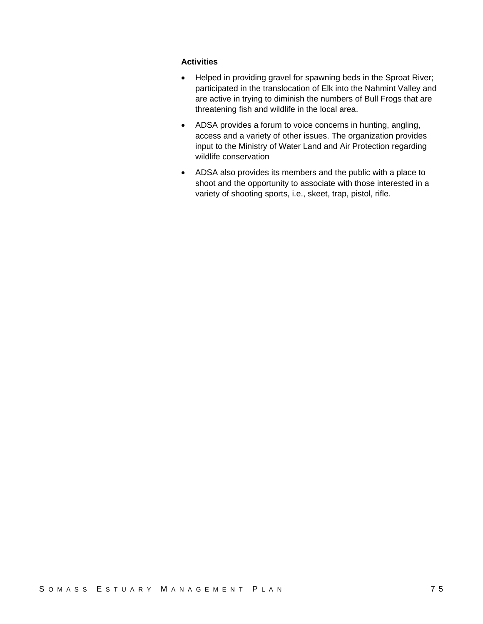### **Activities**

- Helped in providing gravel for spawning beds in the Sproat River; participated in the translocation of Elk into the Nahmint Valley and are active in trying to diminish the numbers of Bull Frogs that are threatening fish and wildlife in the local area.
- ADSA provides a forum to voice concerns in hunting, angling, access and a variety of other issues. The organization provides input to the Ministry of Water Land and Air Protection regarding wildlife conservation
- ADSA also provides its members and the public with a place to shoot and the opportunity to associate with those interested in a variety of shooting sports, i.e., skeet, trap, pistol, rifle.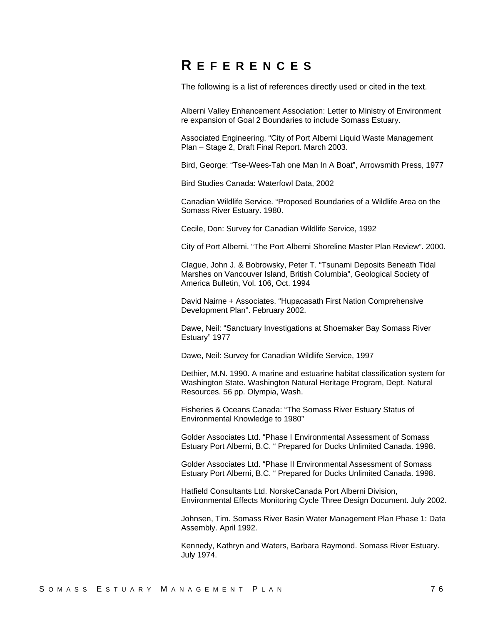# **R EFERENCES**

The following is a list of references directly used or cited in the text.

Alberni Valley Enhancement Association: Letter to Ministry of Environment re expansion of Goal 2 Boundaries to include Somass Estuary.

Associated Engineering. "City of Port Alberni Liquid Waste Management Plan – Stage 2, Draft Final Report. March 2003.

Bird, George: "Tse-Wees-Tah one Man In A Boat", Arrowsmith Press, 1977

Bird Studies Canada: Waterfowl Data, 2002

Canadian Wildlife Service. "Proposed Boundaries of a Wildlife Area on the Somass River Estuary. 1980.

Cecile, Don: Survey for Canadian Wildlife Service, 1992

City of Port Alberni. "The Port Alberni Shoreline Master Plan Review". 2000.

Clague, John J. & Bobrowsky, Peter T. "Tsunami Deposits Beneath Tidal Marshes on Vancouver Island, British Columbia", Geological Society of America Bulletin, Vol. 106, Oct. 1994

David Nairne + Associates. "Hupacasath First Nation Comprehensive Development Plan". February 2002.

Dawe, Neil: "Sanctuary Investigations at Shoemaker Bay Somass River Estuary" 1977

Dawe, Neil: Survey for Canadian Wildlife Service, 1997

Dethier, M.N. 1990. A marine and estuarine habitat classification system for Washington State. Washington Natural Heritage Program, Dept. Natural Resources. 56 pp. Olympia, Wash.

Fisheries & Oceans Canada: "The Somass River Estuary Status of Environmental Knowledge to 1980"

Golder Associates Ltd. "Phase I Environmental Assessment of Somass Estuary Port Alberni, B.C. " Prepared for Ducks Unlimited Canada. 1998.

Golder Associates Ltd. "Phase II Environmental Assessment of Somass Estuary Port Alberni, B.C. " Prepared for Ducks Unlimited Canada. 1998.

Hatfield Consultants Ltd. NorskeCanada Port Alberni Division, Environmental Effects Monitoring Cycle Three Design Document. July 2002.

Johnsen, Tim. Somass River Basin Water Management Plan Phase 1: Data Assembly. April 1992.

Kennedy, Kathryn and Waters, Barbara Raymond. Somass River Estuary. July 1974.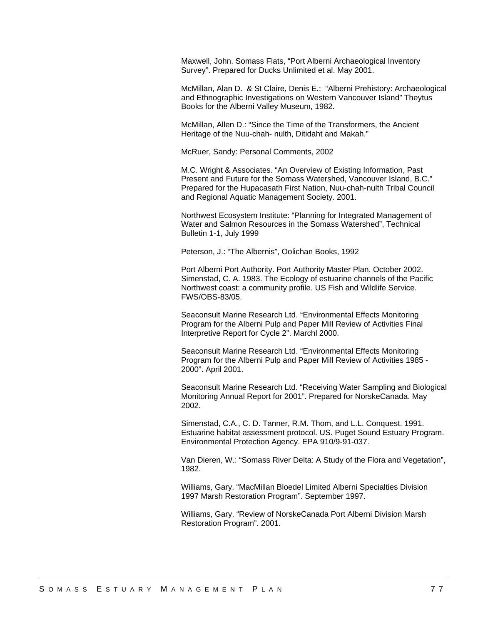Maxwell, John. Somass Flats, "Port Alberni Archaeological Inventory Survey". Prepared for Ducks Unlimited et al. May 2001.

McMillan, Alan D. & St Claire, Denis E.: "Alberni Prehistory: Archaeological and Ethnographic Investigations on Western Vancouver Island" Theytus Books for the Alberni Valley Museum, 1982.

McMillan, Allen D.: "Since the Time of the Transformers, the Ancient Heritage of the Nuu-chah- nulth, Ditidaht and Makah."

McRuer, Sandy: Personal Comments, 2002

M.C. Wright & Associates. "An Overview of Existing Information, Past Present and Future for the Somass Watershed, Vancouver Island, B.C." Prepared for the Hupacasath First Nation, Nuu-chah-nulth Tribal Council and Regional Aquatic Management Society. 2001.

Northwest Ecosystem Institute: "Planning for Integrated Management of Water and Salmon Resources in the Somass Watershed", Technical Bulletin 1-1, July 1999

Peterson, J.: "The Albernis", Oolichan Books, 1992

Port Alberni Port Authority. Port Authority Master Plan. October 2002. Simenstad, C. A. 1983. The Ecology of estuarine channels of the Pacific Northwest coast: a community profile. US Fish and Wildlife Service. FWS/OBS-83/05.

Seaconsult Marine Research Ltd. "Environmental Effects Monitoring Program for the Alberni Pulp and Paper Mill Review of Activities Final Interpretive Report for Cycle 2". Marchl 2000.

Seaconsult Marine Research Ltd. "Environmental Effects Monitoring Program for the Alberni Pulp and Paper Mill Review of Activities 1985 - 2000". April 2001.

Seaconsult Marine Research Ltd. "Receiving Water Sampling and Biological Monitoring Annual Report for 2001". Prepared for NorskeCanada. May 2002.

Simenstad, C.A., C. D. Tanner, R.M. Thom, and L.L. Conquest. 1991. Estuarine habitat assessment protocol. US. Puget Sound Estuary Program. Environmental Protection Agency. EPA 910/9-91-037.

Van Dieren, W.: "Somass River Delta: A Study of the Flora and Vegetation", 1982.

Williams, Gary. "MacMillan Bloedel Limited Alberni Specialties Division 1997 Marsh Restoration Program". September 1997.

Williams, Gary. "Review of NorskeCanada Port Alberni Division Marsh Restoration Program". 2001.